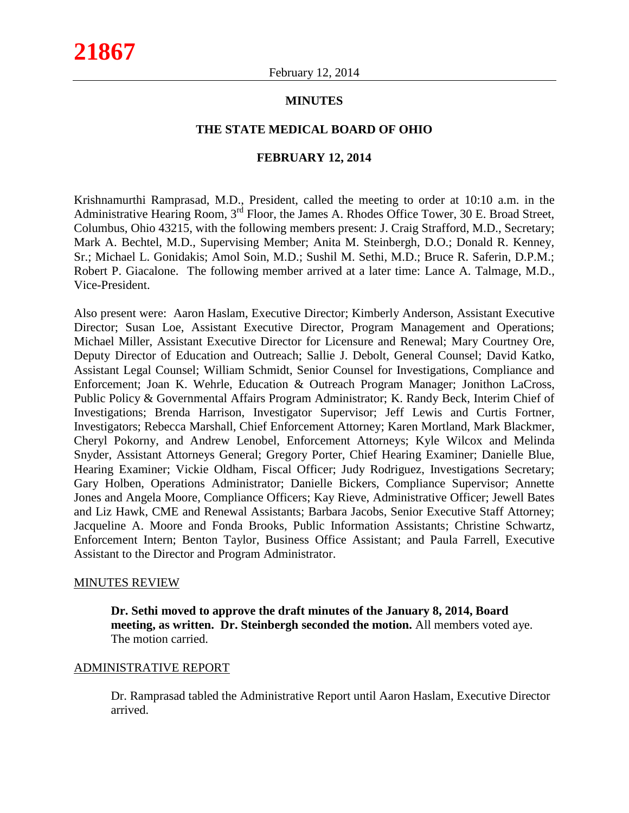#### **MINUTES**

#### **THE STATE MEDICAL BOARD OF OHIO**

#### **FEBRUARY 12, 2014**

Krishnamurthi Ramprasad, M.D., President, called the meeting to order at 10:10 a.m. in the Administrative Hearing Room, 3<sup>rd</sup> Floor, the James A. Rhodes Office Tower, 30 E. Broad Street, Columbus, Ohio 43215, with the following members present: J. Craig Strafford, M.D., Secretary; Mark A. Bechtel, M.D., Supervising Member; Anita M. Steinbergh, D.O.; Donald R. Kenney, Sr.; Michael L. Gonidakis; Amol Soin, M.D.; Sushil M. Sethi, M.D.; Bruce R. Saferin, D.P.M.; Robert P. Giacalone. The following member arrived at a later time: Lance A. Talmage, M.D., Vice-President.

Also present were: Aaron Haslam, Executive Director; Kimberly Anderson, Assistant Executive Director; Susan Loe, Assistant Executive Director, Program Management and Operations; Michael Miller, Assistant Executive Director for Licensure and Renewal; Mary Courtney Ore, Deputy Director of Education and Outreach; Sallie J. Debolt, General Counsel; David Katko, Assistant Legal Counsel; William Schmidt, Senior Counsel for Investigations, Compliance and Enforcement; Joan K. Wehrle, Education & Outreach Program Manager; Jonithon LaCross, Public Policy & Governmental Affairs Program Administrator; K. Randy Beck, Interim Chief of Investigations; Brenda Harrison, Investigator Supervisor; Jeff Lewis and Curtis Fortner, Investigators; Rebecca Marshall, Chief Enforcement Attorney; Karen Mortland, Mark Blackmer, Cheryl Pokorny, and Andrew Lenobel, Enforcement Attorneys; Kyle Wilcox and Melinda Snyder, Assistant Attorneys General; Gregory Porter, Chief Hearing Examiner; Danielle Blue, Hearing Examiner; Vickie Oldham, Fiscal Officer; Judy Rodriguez, Investigations Secretary; Gary Holben, Operations Administrator; Danielle Bickers, Compliance Supervisor; Annette Jones and Angela Moore, Compliance Officers; Kay Rieve, Administrative Officer; Jewell Bates and Liz Hawk, CME and Renewal Assistants; Barbara Jacobs, Senior Executive Staff Attorney; Jacqueline A. Moore and Fonda Brooks, Public Information Assistants; Christine Schwartz, Enforcement Intern; Benton Taylor, Business Office Assistant; and Paula Farrell, Executive Assistant to the Director and Program Administrator.

#### MINUTES REVIEW

**Dr. Sethi moved to approve the draft minutes of the January 8, 2014, Board meeting, as written. Dr. Steinbergh seconded the motion.** All members voted aye. The motion carried.

#### ADMINISTRATIVE REPORT

Dr. Ramprasad tabled the Administrative Report until Aaron Haslam, Executive Director arrived.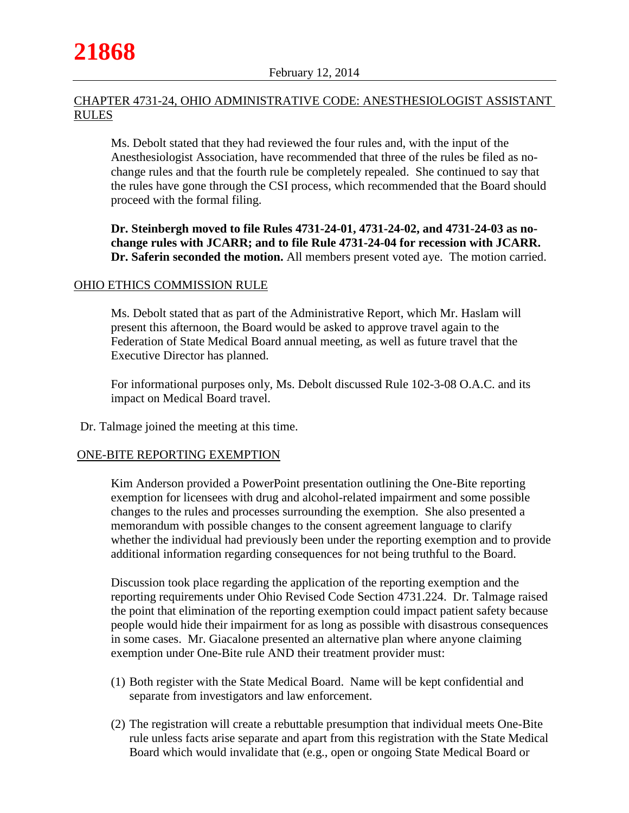# CHAPTER 4731-24, OHIO ADMINISTRATIVE CODE: ANESTHESIOLOGIST ASSISTANT RULES

Ms. Debolt stated that they had reviewed the four rules and, with the input of the Anesthesiologist Association, have recommended that three of the rules be filed as nochange rules and that the fourth rule be completely repealed. She continued to say that the rules have gone through the CSI process, which recommended that the Board should proceed with the formal filing.

**Dr. Steinbergh moved to file Rules 4731-24-01, 4731-24-02, and 4731-24-03 as nochange rules with JCARR; and to file Rule 4731-24-04 for recession with JCARR. Dr. Saferin seconded the motion.** All members present voted aye. The motion carried.

## OHIO ETHICS COMMISSION RULE

Ms. Debolt stated that as part of the Administrative Report, which Mr. Haslam will present this afternoon, the Board would be asked to approve travel again to the Federation of State Medical Board annual meeting, as well as future travel that the Executive Director has planned.

For informational purposes only, Ms. Debolt discussed Rule 102-3-08 O.A.C. and its impact on Medical Board travel.

Dr. Talmage joined the meeting at this time.

# ONE-BITE REPORTING EXEMPTION

Kim Anderson provided a PowerPoint presentation outlining the One-Bite reporting exemption for licensees with drug and alcohol-related impairment and some possible changes to the rules and processes surrounding the exemption. She also presented a memorandum with possible changes to the consent agreement language to clarify whether the individual had previously been under the reporting exemption and to provide additional information regarding consequences for not being truthful to the Board.

Discussion took place regarding the application of the reporting exemption and the reporting requirements under Ohio Revised Code Section 4731.224. Dr. Talmage raised the point that elimination of the reporting exemption could impact patient safety because people would hide their impairment for as long as possible with disastrous consequences in some cases. Mr. Giacalone presented an alternative plan where anyone claiming exemption under One-Bite rule AND their treatment provider must:

- (1) Both register with the State Medical Board. Name will be kept confidential and separate from investigators and law enforcement.
- (2) The registration will create a rebuttable presumption that individual meets One-Bite rule unless facts arise separate and apart from this registration with the State Medical Board which would invalidate that (e.g., open or ongoing State Medical Board or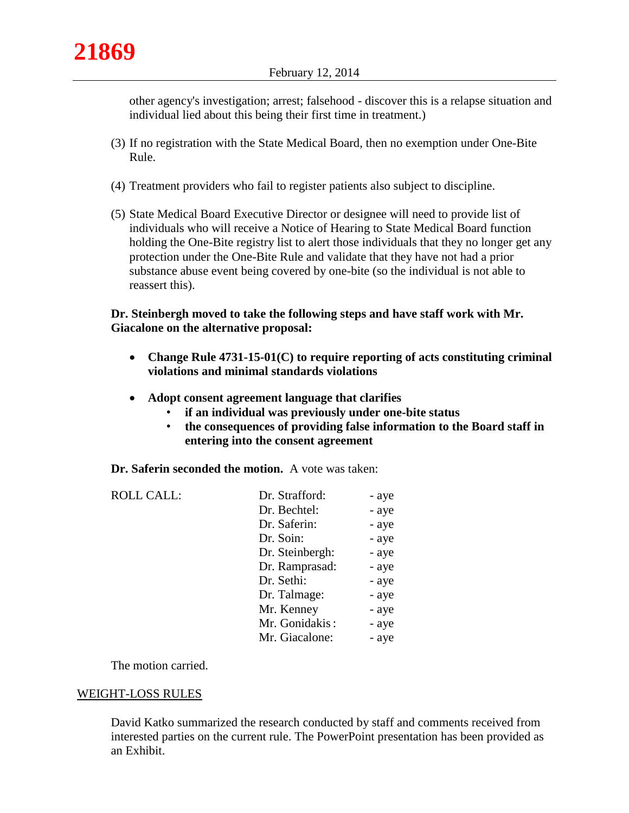other agency's investigation; arrest; falsehood - discover this is a relapse situation and individual lied about this being their first time in treatment.)

- (3) If no registration with the State Medical Board, then no exemption under One-Bite Rule.
- (4) Treatment providers who fail to register patients also subject to discipline.
- (5) State Medical Board Executive Director or designee will need to provide list of individuals who will receive a Notice of Hearing to State Medical Board function holding the One-Bite registry list to alert those individuals that they no longer get any protection under the One-Bite Rule and validate that they have not had a prior substance abuse event being covered by one-bite (so the individual is not able to reassert this).

## **Dr. Steinbergh moved to take the following steps and have staff work with Mr. Giacalone on the alternative proposal:**

- **Change Rule 4731-15-01(C) to require reporting of acts constituting criminal violations and minimal standards violations**
- **Adopt consent agreement language that clarifies**
	- **if an individual was previously under one-bite status**
	- **the consequences of providing false information to the Board staff in entering into the consent agreement**

**Dr. Saferin seconded the motion.** A vote was taken:

| Dr. Strafford:  | - aye |
|-----------------|-------|
| Dr. Bechtel:    | - aye |
| Dr. Saferin:    | - aye |
| Dr. Soin:       | - aye |
| Dr. Steinbergh: | - aye |
| Dr. Ramprasad:  | - aye |
| Dr. Sethi:      | - aye |
| Dr. Talmage:    | - aye |
| Mr. Kenney      | - aye |
| Mr. Gonidakis:  | - aye |
| Mr. Giacalone:  | - aye |
|                 |       |

The motion carried.

# WEIGHT-LOSS RULES

David Katko summarized the research conducted by staff and comments received from interested parties on the current rule. The PowerPoint presentation has been provided as an Exhibit.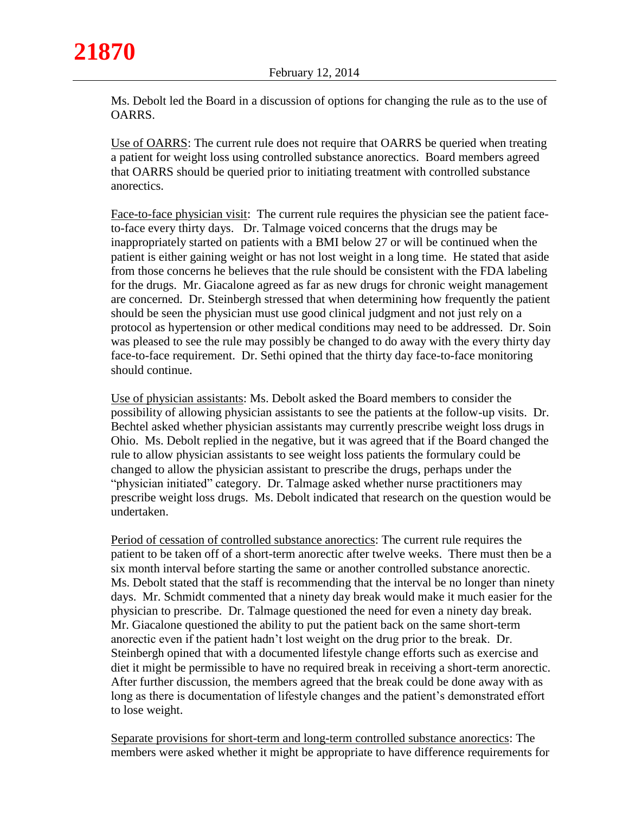Ms. Debolt led the Board in a discussion of options for changing the rule as to the use of OARRS.

Use of OARRS: The current rule does not require that OARRS be queried when treating a patient for weight loss using controlled substance anorectics. Board members agreed that OARRS should be queried prior to initiating treatment with controlled substance anorectics.

Face-to-face physician visit: The current rule requires the physician see the patient faceto-face every thirty days. Dr. Talmage voiced concerns that the drugs may be inappropriately started on patients with a BMI below 27 or will be continued when the patient is either gaining weight or has not lost weight in a long time. He stated that aside from those concerns he believes that the rule should be consistent with the FDA labeling for the drugs. Mr. Giacalone agreed as far as new drugs for chronic weight management are concerned. Dr. Steinbergh stressed that when determining how frequently the patient should be seen the physician must use good clinical judgment and not just rely on a protocol as hypertension or other medical conditions may need to be addressed. Dr. Soin was pleased to see the rule may possibly be changed to do away with the every thirty day face-to-face requirement. Dr. Sethi opined that the thirty day face-to-face monitoring should continue.

Use of physician assistants: Ms. Debolt asked the Board members to consider the possibility of allowing physician assistants to see the patients at the follow-up visits. Dr. Bechtel asked whether physician assistants may currently prescribe weight loss drugs in Ohio. Ms. Debolt replied in the negative, but it was agreed that if the Board changed the rule to allow physician assistants to see weight loss patients the formulary could be changed to allow the physician assistant to prescribe the drugs, perhaps under the "physician initiated" category. Dr. Talmage asked whether nurse practitioners may prescribe weight loss drugs. Ms. Debolt indicated that research on the question would be undertaken.

Period of cessation of controlled substance anorectics: The current rule requires the patient to be taken off of a short-term anorectic after twelve weeks. There must then be a six month interval before starting the same or another controlled substance anorectic. Ms. Debolt stated that the staff is recommending that the interval be no longer than ninety days. Mr. Schmidt commented that a ninety day break would make it much easier for the physician to prescribe. Dr. Talmage questioned the need for even a ninety day break. Mr. Giacalone questioned the ability to put the patient back on the same short-term anorectic even if the patient hadn't lost weight on the drug prior to the break. Dr. Steinbergh opined that with a documented lifestyle change efforts such as exercise and diet it might be permissible to have no required break in receiving a short-term anorectic. After further discussion, the members agreed that the break could be done away with as long as there is documentation of lifestyle changes and the patient's demonstrated effort to lose weight.

Separate provisions for short-term and long-term controlled substance anorectics: The members were asked whether it might be appropriate to have difference requirements for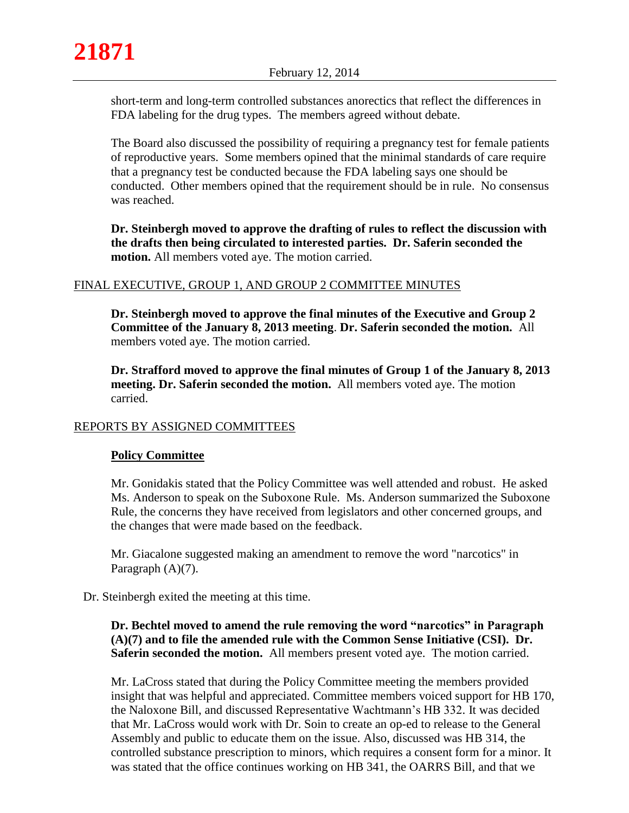short-term and long-term controlled substances anorectics that reflect the differences in FDA labeling for the drug types. The members agreed without debate.

The Board also discussed the possibility of requiring a pregnancy test for female patients of reproductive years. Some members opined that the minimal standards of care require that a pregnancy test be conducted because the FDA labeling says one should be conducted. Other members opined that the requirement should be in rule. No consensus was reached.

**Dr. Steinbergh moved to approve the drafting of rules to reflect the discussion with the drafts then being circulated to interested parties. Dr. Saferin seconded the motion.** All members voted aye. The motion carried.

# FINAL EXECUTIVE, GROUP 1, AND GROUP 2 COMMITTEE MINUTES

**Dr. Steinbergh moved to approve the final minutes of the Executive and Group 2 Committee of the January 8, 2013 meeting**. **Dr. Saferin seconded the motion.** All members voted aye. The motion carried.

**Dr. Strafford moved to approve the final minutes of Group 1 of the January 8, 2013 meeting. Dr. Saferin seconded the motion.** All members voted aye. The motion carried.

# REPORTS BY ASSIGNED COMMITTEES

# **Policy Committee**

Mr. Gonidakis stated that the Policy Committee was well attended and robust. He asked Ms. Anderson to speak on the Suboxone Rule. Ms. Anderson summarized the Suboxone Rule, the concerns they have received from legislators and other concerned groups, and the changes that were made based on the feedback.

Mr. Giacalone suggested making an amendment to remove the word "narcotics" in Paragraph  $(A)(7)$ .

Dr. Steinbergh exited the meeting at this time.

# **Dr. Bechtel moved to amend the rule removing the word "narcotics" in Paragraph (A)(7) and to file the amended rule with the Common Sense Initiative (CSI). Dr. Saferin seconded the motion.** All members present voted aye. The motion carried.

Mr. LaCross stated that during the Policy Committee meeting the members provided insight that was helpful and appreciated. Committee members voiced support for HB 170, the Naloxone Bill, and discussed Representative Wachtmann's HB 332. It was decided that Mr. LaCross would work with Dr. Soin to create an op-ed to release to the General Assembly and public to educate them on the issue. Also, discussed was HB 314, the controlled substance prescription to minors, which requires a consent form for a minor. It was stated that the office continues working on HB 341, the OARRS Bill, and that we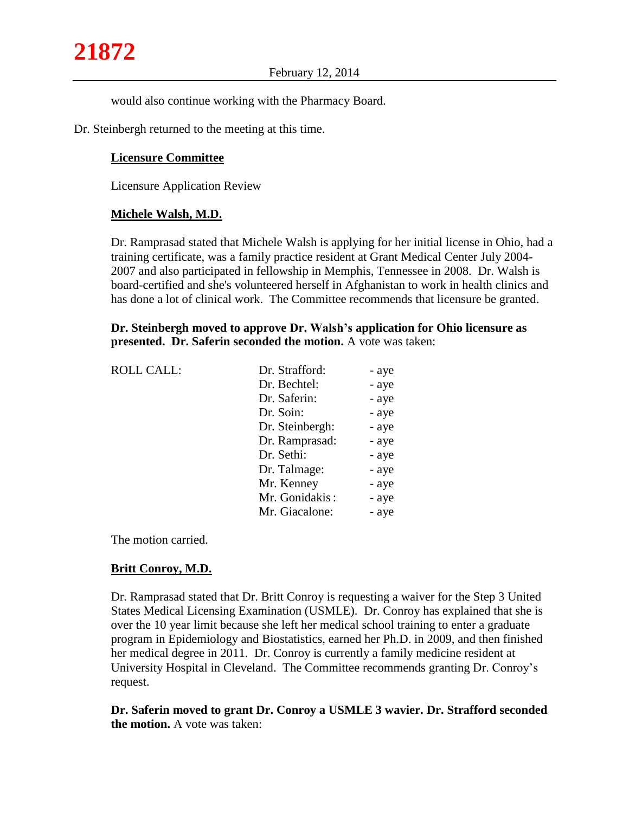would also continue working with the Pharmacy Board.

Dr. Steinbergh returned to the meeting at this time.

## **Licensure Committee**

Licensure Application Review

## **Michele Walsh, M.D.**

Dr. Ramprasad stated that Michele Walsh is applying for her initial license in Ohio, had a training certificate, was a family practice resident at Grant Medical Center July 2004- 2007 and also participated in fellowship in Memphis, Tennessee in 2008. Dr. Walsh is board-certified and she's volunteered herself in Afghanistan to work in health clinics and has done a lot of clinical work. The Committee recommends that licensure be granted.

**Dr. Steinbergh moved to approve Dr. Walsh's application for Ohio licensure as presented. Dr. Saferin seconded the motion.** A vote was taken:

| <b>ROLL CALL:</b> | Dr. Strafford:  | - aye |
|-------------------|-----------------|-------|
|                   | Dr. Bechtel:    | - aye |
|                   | Dr. Saferin:    | - aye |
|                   | Dr. Soin:       | - aye |
|                   | Dr. Steinbergh: | - aye |
|                   | Dr. Ramprasad:  | - aye |
|                   | Dr. Sethi:      | - aye |
|                   | Dr. Talmage:    | - aye |
|                   | Mr. Kenney      | - aye |
|                   | Mr. Gonidakis:  | - aye |
|                   | Mr. Giacalone:  | - aye |
|                   |                 |       |

The motion carried.

## **Britt Conroy, M.D.**

Dr. Ramprasad stated that Dr. Britt Conroy is requesting a waiver for the Step 3 United States Medical Licensing Examination (USMLE). Dr. Conroy has explained that she is over the 10 year limit because she left her medical school training to enter a graduate program in Epidemiology and Biostatistics, earned her Ph.D. in 2009, and then finished her medical degree in 2011. Dr. Conroy is currently a family medicine resident at University Hospital in Cleveland. The Committee recommends granting Dr. Conroy's request.

**Dr. Saferin moved to grant Dr. Conroy a USMLE 3 wavier. Dr. Strafford seconded the motion.** A vote was taken: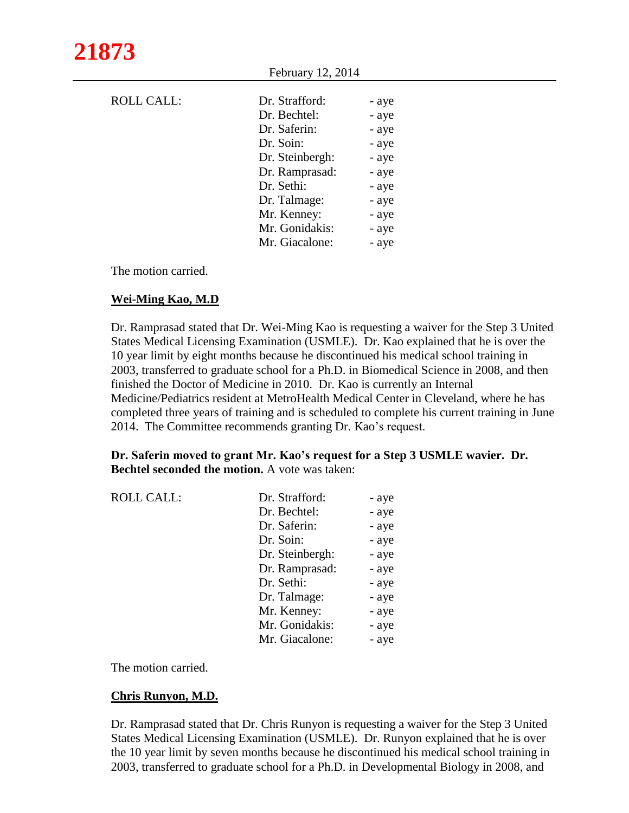February 12, 2014

| <b>ROLL CALL:</b> | Dr. Strafford:  | - aye |
|-------------------|-----------------|-------|
|                   | Dr. Bechtel:    | - aye |
|                   | Dr. Saferin:    | - aye |
|                   | Dr. Soin:       | - aye |
|                   | Dr. Steinbergh: | - aye |
|                   | Dr. Ramprasad:  | - aye |
|                   | Dr. Sethi:      | - aye |
|                   | Dr. Talmage:    | - aye |
|                   | Mr. Kenney:     | - aye |
|                   | Mr. Gonidakis:  | - aye |
|                   | Mr. Giacalone:  | - aye |

The motion carried.

#### **Wei-Ming Kao, M.D**

Dr. Ramprasad stated that Dr. Wei-Ming Kao is requesting a waiver for the Step 3 United States Medical Licensing Examination (USMLE). Dr. Kao explained that he is over the 10 year limit by eight months because he discontinued his medical school training in 2003, transferred to graduate school for a Ph.D. in Biomedical Science in 2008, and then finished the Doctor of Medicine in 2010. Dr. Kao is currently an Internal Medicine/Pediatrics resident at MetroHealth Medical Center in Cleveland, where he has completed three years of training and is scheduled to complete his current training in June 2014. The Committee recommends granting Dr. Kao's request.

#### **Dr. Saferin moved to grant Mr. Kao's request for a Step 3 USMLE wavier. Dr. Bechtel seconded the motion.** A vote was taken:

| <b>ROLL CALL:</b> | Dr. Strafford:  | - aye |
|-------------------|-----------------|-------|
|                   | Dr. Bechtel:    | - aye |
|                   | Dr. Saferin:    | - aye |
|                   | Dr. Soin:       | - aye |
|                   | Dr. Steinbergh: | - aye |
|                   | Dr. Ramprasad:  | - aye |
|                   | Dr. Sethi:      | - aye |
|                   | Dr. Talmage:    | - aye |
|                   | Mr. Kenney:     | - aye |
|                   | Mr. Gonidakis:  | - aye |
|                   | Mr. Giacalone:  | - aye |
|                   |                 |       |

The motion carried.

## **Chris Runyon, M.D.**

Dr. Ramprasad stated that Dr. Chris Runyon is requesting a waiver for the Step 3 United States Medical Licensing Examination (USMLE). Dr. Runyon explained that he is over the 10 year limit by seven months because he discontinued his medical school training in 2003, transferred to graduate school for a Ph.D. in Developmental Biology in 2008, and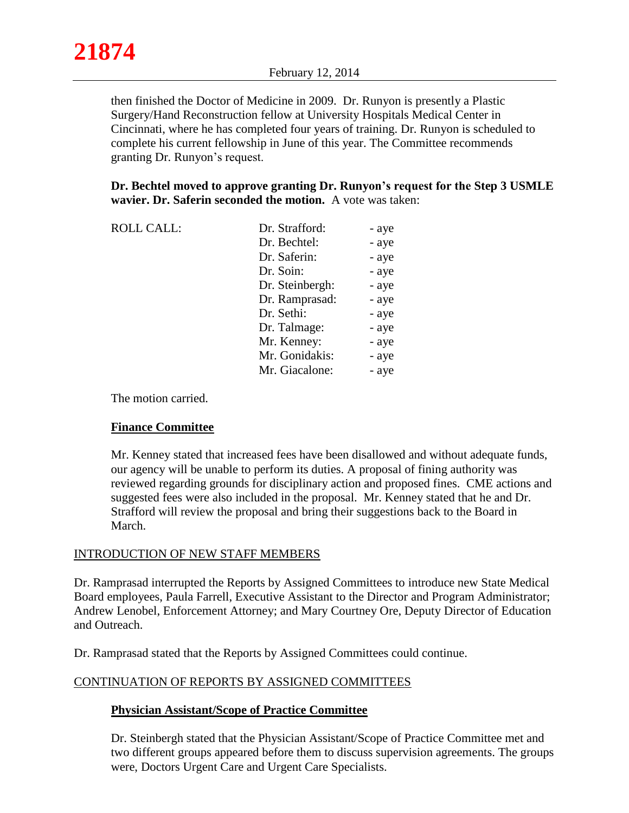then finished the Doctor of Medicine in 2009. Dr. Runyon is presently a Plastic Surgery/Hand Reconstruction fellow at University Hospitals Medical Center in Cincinnati, where he has completed four years of training. Dr. Runyon is scheduled to complete his current fellowship in June of this year. The Committee recommends granting Dr. Runyon's request.

 **Dr. Bechtel moved to approve granting Dr. Runyon's request for the Step 3 USMLE wavier. Dr. Saferin seconded the motion.** A vote was taken:

| <b>ROLL CALL:</b> | Dr. Strafford:  | - aye |
|-------------------|-----------------|-------|
|                   | Dr. Bechtel:    | - aye |
|                   | Dr. Saferin:    | - aye |
|                   | Dr. Soin:       | - aye |
|                   | Dr. Steinbergh: | - aye |
|                   | Dr. Ramprasad:  | - aye |
|                   | Dr. Sethi:      | - aye |
|                   | Dr. Talmage:    | - aye |
|                   | Mr. Kenney:     | - aye |
|                   | Mr. Gonidakis:  | - aye |
|                   | Mr. Giacalone:  | - aye |

The motion carried.

## **Finance Committee**

Mr. Kenney stated that increased fees have been disallowed and without adequate funds, our agency will be unable to perform its duties. A proposal of fining authority was reviewed regarding grounds for disciplinary action and proposed fines. CME actions and suggested fees were also included in the proposal. Mr. Kenney stated that he and Dr. Strafford will review the proposal and bring their suggestions back to the Board in March.

## INTRODUCTION OF NEW STAFF MEMBERS

Dr. Ramprasad interrupted the Reports by Assigned Committees to introduce new State Medical Board employees, Paula Farrell, Executive Assistant to the Director and Program Administrator; Andrew Lenobel, Enforcement Attorney; and Mary Courtney Ore, Deputy Director of Education and Outreach.

Dr. Ramprasad stated that the Reports by Assigned Committees could continue.

## CONTINUATION OF REPORTS BY ASSIGNED COMMITTEES

## **Physician Assistant/Scope of Practice Committee**

Dr. Steinbergh stated that the Physician Assistant/Scope of Practice Committee met and two different groups appeared before them to discuss supervision agreements. The groups were, Doctors Urgent Care and Urgent Care Specialists.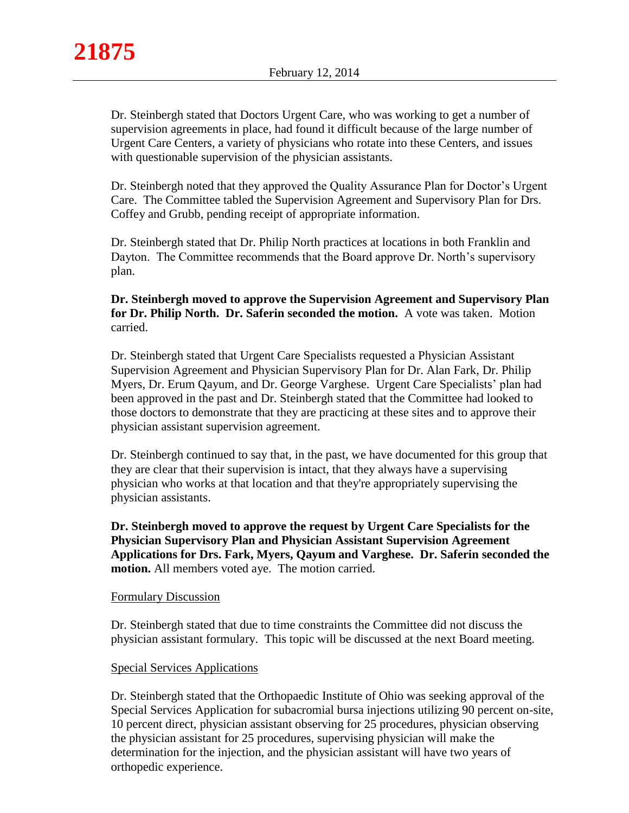Dr. Steinbergh stated that Doctors Urgent Care, who was working to get a number of supervision agreements in place, had found it difficult because of the large number of Urgent Care Centers, a variety of physicians who rotate into these Centers, and issues with questionable supervision of the physician assistants.

Dr. Steinbergh noted that they approved the Quality Assurance Plan for Doctor's Urgent Care. The Committee tabled the Supervision Agreement and Supervisory Plan for Drs. Coffey and Grubb, pending receipt of appropriate information.

Dr. Steinbergh stated that Dr. Philip North practices at locations in both Franklin and Dayton. The Committee recommends that the Board approve Dr. North's supervisory plan.

**Dr. Steinbergh moved to approve the Supervision Agreement and Supervisory Plan for Dr. Philip North. Dr. Saferin seconded the motion.** A vote was taken. Motion carried.

Dr. Steinbergh stated that Urgent Care Specialists requested a Physician Assistant Supervision Agreement and Physician Supervisory Plan for Dr. Alan Fark, Dr. Philip Myers, Dr. Erum Qayum, and Dr. George Varghese. Urgent Care Specialists' plan had been approved in the past and Dr. Steinbergh stated that the Committee had looked to those doctors to demonstrate that they are practicing at these sites and to approve their physician assistant supervision agreement.

Dr. Steinbergh continued to say that, in the past, we have documented for this group that they are clear that their supervision is intact, that they always have a supervising physician who works at that location and that they're appropriately supervising the physician assistants.

**Dr. Steinbergh moved to approve the request by Urgent Care Specialists for the Physician Supervisory Plan and Physician Assistant Supervision Agreement Applications for Drs. Fark, Myers, Qayum and Varghese. Dr. Saferin seconded the motion.** All members voted aye. The motion carried.

## Formulary Discussion

Dr. Steinbergh stated that due to time constraints the Committee did not discuss the physician assistant formulary. This topic will be discussed at the next Board meeting.

## Special Services Applications

Dr. Steinbergh stated that the Orthopaedic Institute of Ohio was seeking approval of the Special Services Application for subacromial bursa injections utilizing 90 percent on-site, 10 percent direct, physician assistant observing for 25 procedures, physician observing the physician assistant for 25 procedures, supervising physician will make the determination for the injection, and the physician assistant will have two years of orthopedic experience.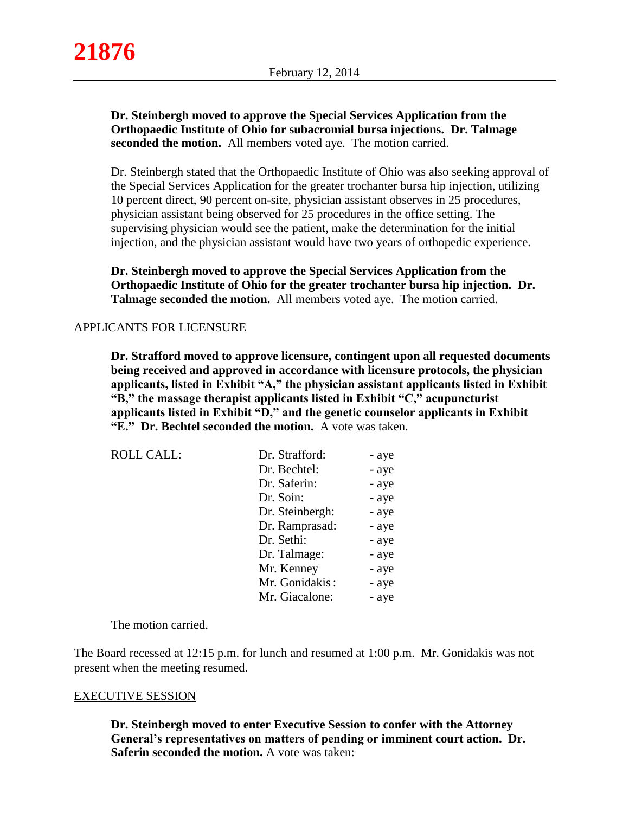## **Dr. Steinbergh moved to approve the Special Services Application from the Orthopaedic Institute of Ohio for subacromial bursa injections. Dr. Talmage seconded the motion.** All members voted aye. The motion carried.

Dr. Steinbergh stated that the Orthopaedic Institute of Ohio was also seeking approval of the Special Services Application for the greater trochanter bursa hip injection, utilizing 10 percent direct, 90 percent on-site, physician assistant observes in 25 procedures, physician assistant being observed for 25 procedures in the office setting. The supervising physician would see the patient, make the determination for the initial injection, and the physician assistant would have two years of orthopedic experience.

**Dr. Steinbergh moved to approve the Special Services Application from the Orthopaedic Institute of Ohio for the greater trochanter bursa hip injection. Dr. Talmage seconded the motion.** All members voted aye. The motion carried.

## APPLICANTS FOR LICENSURE

**Dr. Strafford moved to approve licensure, contingent upon all requested documents being received and approved in accordance with licensure protocols, the physician applicants, listed in Exhibit "A," the physician assistant applicants listed in Exhibit "B," the massage therapist applicants listed in Exhibit "C," acupuncturist applicants listed in Exhibit "D," and the genetic counselor applicants in Exhibit "E." Dr. Bechtel seconded the motion.** A vote was taken.

| <b>ROLL CALL:</b> | Dr. Strafford:  | - aye |
|-------------------|-----------------|-------|
|                   | Dr. Bechtel:    | - aye |
|                   | Dr. Saferin:    | - aye |
|                   | Dr. Soin:       | - aye |
|                   | Dr. Steinbergh: | - aye |
|                   | Dr. Ramprasad:  | - aye |
|                   | Dr. Sethi:      | - aye |
|                   | Dr. Talmage:    | - aye |
|                   | Mr. Kenney      | - aye |
|                   | Mr. Gonidakis:  | - aye |
|                   | Mr. Giacalone:  | - aye |

The motion carried.

The Board recessed at 12:15 p.m. for lunch and resumed at 1:00 p.m. Mr. Gonidakis was not present when the meeting resumed.

#### EXECUTIVE SESSION

**Dr. Steinbergh moved to enter Executive Session to confer with the Attorney General's representatives on matters of pending or imminent court action. Dr. Saferin seconded the motion.** A vote was taken: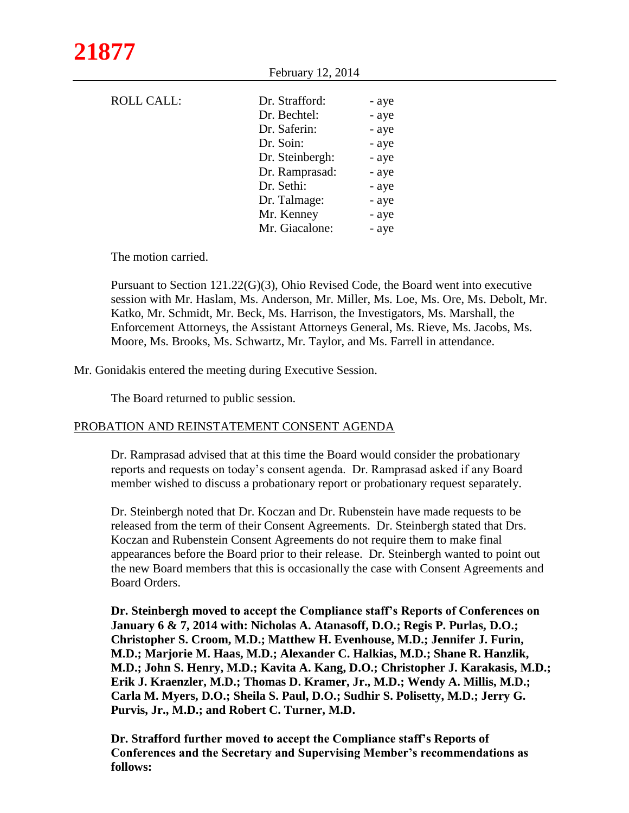| <b>ROLL CALL:</b> | Dr. Strafford:  | - aye |
|-------------------|-----------------|-------|
|                   | Dr. Bechtel:    | - aye |
|                   | Dr. Saferin:    | - aye |
|                   | Dr. Soin:       | - aye |
|                   | Dr. Steinbergh: | - aye |
|                   | Dr. Ramprasad:  | - aye |
|                   | Dr. Sethi:      | - aye |
|                   | Dr. Talmage:    | - aye |
|                   | Mr. Kenney      | - aye |
|                   | Mr. Giacalone:  | - aye |
|                   |                 |       |

February 12, 2014

The motion carried.

Pursuant to Section 121.22(G)(3), Ohio Revised Code, the Board went into executive session with Mr. Haslam, Ms. Anderson, Mr. Miller, Ms. Loe, Ms. Ore, Ms. Debolt, Mr. Katko, Mr. Schmidt, Mr. Beck, Ms. Harrison, the Investigators, Ms. Marshall, the Enforcement Attorneys, the Assistant Attorneys General, Ms. Rieve, Ms. Jacobs, Ms. Moore, Ms. Brooks, Ms. Schwartz, Mr. Taylor, and Ms. Farrell in attendance.

Mr. Gonidakis entered the meeting during Executive Session.

The Board returned to public session.

## PROBATION AND REINSTATEMENT CONSENT AGENDA

Dr. Ramprasad advised that at this time the Board would consider the probationary reports and requests on today's consent agenda. Dr. Ramprasad asked if any Board member wished to discuss a probationary report or probationary request separately.

Dr. Steinbergh noted that Dr. Koczan and Dr. Rubenstein have made requests to be released from the term of their Consent Agreements. Dr. Steinbergh stated that Drs. Koczan and Rubenstein Consent Agreements do not require them to make final appearances before the Board prior to their release. Dr. Steinbergh wanted to point out the new Board members that this is occasionally the case with Consent Agreements and Board Orders.

**Dr. Steinbergh moved to accept the Compliance staff's Reports of Conferences on January 6 & 7, 2014 with: Nicholas A. Atanasoff, D.O.; Regis P. Purlas, D.O.; Christopher S. Croom, M.D.; Matthew H. Evenhouse, M.D.; Jennifer J. Furin, M.D.; Marjorie M. Haas, M.D.; Alexander C. Halkias, M.D.; Shane R. Hanzlik, M.D.; John S. Henry, M.D.; Kavita A. Kang, D.O.; Christopher J. Karakasis, M.D.; Erik J. Kraenzler, M.D.; Thomas D. Kramer, Jr., M.D.; Wendy A. Millis, M.D.; Carla M. Myers, D.O.; Sheila S. Paul, D.O.; Sudhir S. Polisetty, M.D.; Jerry G. Purvis, Jr., M.D.; and Robert C. Turner, M.D.**

**Dr. Strafford further moved to accept the Compliance staff's Reports of Conferences and the Secretary and Supervising Member's recommendations as follows:**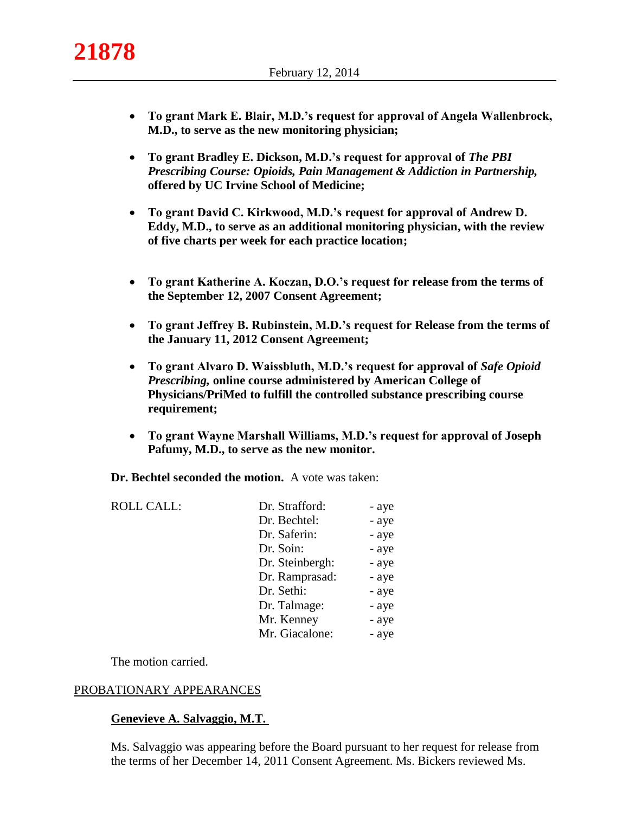- **To grant Mark E. Blair, M.D.'s request for approval of Angela Wallenbrock, M.D., to serve as the new monitoring physician;**
- To grant Bradley E. Dickson, M.D.'s request for approval of *The PBI Prescribing Course: Opioids, Pain Management & Addiction in Partnership,*  **offered by UC Irvine School of Medicine;**
- **To grant David C. Kirkwood, M.D.'s request for approval of Andrew D. Eddy, M.D., to serve as an additional monitoring physician, with the review of five charts per week for each practice location;**
- **To grant Katherine A. Koczan, D.O.'s request for release from the terms of the September 12, 2007 Consent Agreement;**
- **To grant Jeffrey B. Rubinstein, M.D.'s request for Release from the terms of the January 11, 2012 Consent Agreement;**
- **To grant Alvaro D. Waissbluth, M.D.'s request for approval of** *Safe Opioid Prescribing,* **online course administered by American College of Physicians/PriMed to fulfill the controlled substance prescribing course requirement;**
- **To grant Wayne Marshall Williams, M.D.'s request for approval of Joseph Pafumy, M.D., to serve as the new monitor.**

**Dr. Bechtel seconded the motion.** A vote was taken:

| <b>ROLL CALL:</b> | Dr. Strafford:  | - aye |
|-------------------|-----------------|-------|
|                   | Dr. Bechtel:    | - aye |
|                   | Dr. Saferin:    | - aye |
|                   | Dr. Soin:       | - aye |
|                   | Dr. Steinbergh: | - aye |
|                   | Dr. Ramprasad:  | - aye |
|                   | Dr. Sethi:      | - aye |
|                   | Dr. Talmage:    | - aye |
|                   | Mr. Kenney      | - aye |
|                   | Mr. Giacalone:  | - aye |

The motion carried.

## PROBATIONARY APPEARANCES

# **Genevieve A. Salvaggio, M.T.**

Ms. Salvaggio was appearing before the Board pursuant to her request for release from the terms of her December 14, 2011 Consent Agreement. Ms. Bickers reviewed Ms.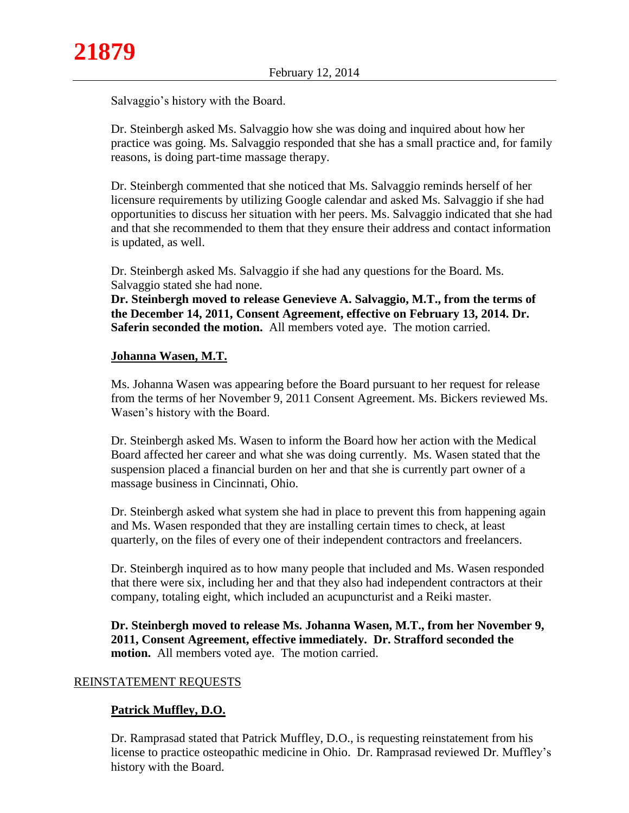Salvaggio's history with the Board.

Dr. Steinbergh asked Ms. Salvaggio how she was doing and inquired about how her practice was going. Ms. Salvaggio responded that she has a small practice and, for family reasons, is doing part-time massage therapy.

Dr. Steinbergh commented that she noticed that Ms. Salvaggio reminds herself of her licensure requirements by utilizing Google calendar and asked Ms. Salvaggio if she had opportunities to discuss her situation with her peers. Ms. Salvaggio indicated that she had and that she recommended to them that they ensure their address and contact information is updated, as well.

Dr. Steinbergh asked Ms. Salvaggio if she had any questions for the Board. Ms. Salvaggio stated she had none.

**Dr. Steinbergh moved to release Genevieve A. Salvaggio, M.T., from the terms of the December 14, 2011, Consent Agreement, effective on February 13, 2014. Dr. Saferin seconded the motion.** All members voted aye. The motion carried.

# **Johanna Wasen, M.T.**

Ms. Johanna Wasen was appearing before the Board pursuant to her request for release from the terms of her November 9, 2011 Consent Agreement. Ms. Bickers reviewed Ms. Wasen's history with the Board.

Dr. Steinbergh asked Ms. Wasen to inform the Board how her action with the Medical Board affected her career and what she was doing currently. Ms. Wasen stated that the suspension placed a financial burden on her and that she is currently part owner of a massage business in Cincinnati, Ohio.

Dr. Steinbergh asked what system she had in place to prevent this from happening again and Ms. Wasen responded that they are installing certain times to check, at least quarterly, on the files of every one of their independent contractors and freelancers.

Dr. Steinbergh inquired as to how many people that included and Ms. Wasen responded that there were six, including her and that they also had independent contractors at their company, totaling eight, which included an acupuncturist and a Reiki master.

**Dr. Steinbergh moved to release Ms. Johanna Wasen, M.T., from her November 9, 2011, Consent Agreement, effective immediately. Dr. Strafford seconded the motion.** All members voted aye. The motion carried.

# REINSTATEMENT REQUESTS

# **Patrick Muffley, D.O.**

Dr. Ramprasad stated that Patrick Muffley, D.O., is requesting reinstatement from his license to practice osteopathic medicine in Ohio. Dr. Ramprasad reviewed Dr. Muffley's history with the Board.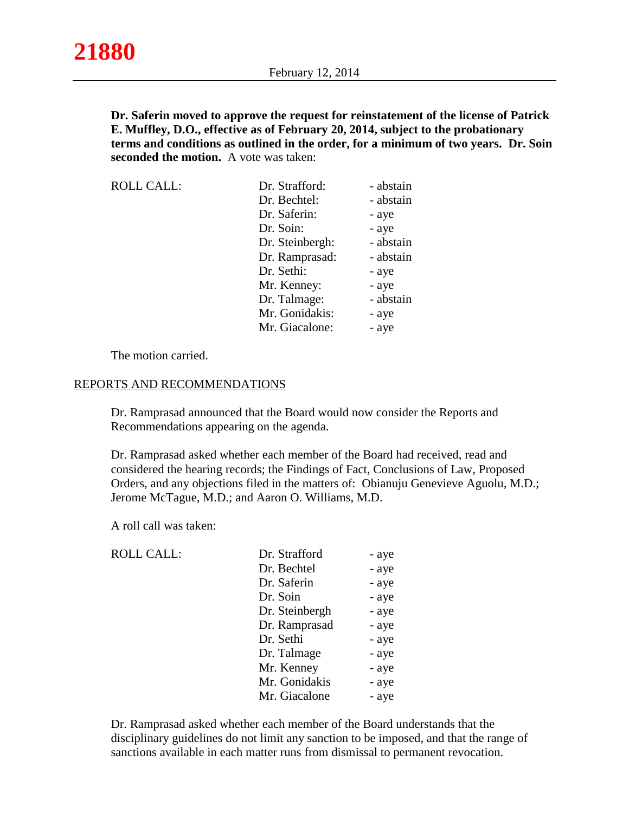**Dr. Saferin moved to approve the request for reinstatement of the license of Patrick E. Muffley, D.O., effective as of February 20, 2014, subject to the probationary terms and conditions as outlined in the order, for a minimum of two years. Dr. Soin seconded the motion.** A vote was taken:

| <b>ROLL CALL:</b> | Dr. Strafford:  | - abstain |
|-------------------|-----------------|-----------|
|                   | Dr. Bechtel:    | - abstain |
|                   | Dr. Saferin:    | - aye     |
|                   | Dr. Soin:       | - aye     |
|                   | Dr. Steinbergh: | - abstain |
|                   | Dr. Ramprasad:  | - abstain |
|                   | Dr. Sethi:      | - aye     |
|                   | Mr. Kenney:     | - aye     |
|                   | Dr. Talmage:    | - abstain |
|                   | Mr. Gonidakis:  | - aye     |
|                   | Mr. Giacalone:  | - aye     |

The motion carried.

#### REPORTS AND RECOMMENDATIONS

Dr. Ramprasad announced that the Board would now consider the Reports and Recommendations appearing on the agenda.

Dr. Ramprasad asked whether each member of the Board had received, read and considered the hearing records; the Findings of Fact, Conclusions of Law, Proposed Orders, and any objections filed in the matters of: Obianuju Genevieve Aguolu, M.D.; Jerome McTague, M.D.; and Aaron O. Williams, M.D.

A roll call was taken:

ROLL CALL: Dr. Strafford

| Dr. Strafford  | - aye |
|----------------|-------|
| Dr. Bechtel    | - aye |
| Dr. Saferin    | - aye |
| Dr. Soin       | - aye |
| Dr. Steinbergh | - aye |
| Dr. Ramprasad  | - aye |
| Dr. Sethi      | - aye |
| Dr. Talmage    | - aye |
| Mr. Kenney     | - aye |
| Mr. Gonidakis  | - aye |
| Mr. Giacalone  | - aye |

Dr. Ramprasad asked whether each member of the Board understands that the disciplinary guidelines do not limit any sanction to be imposed, and that the range of sanctions available in each matter runs from dismissal to permanent revocation.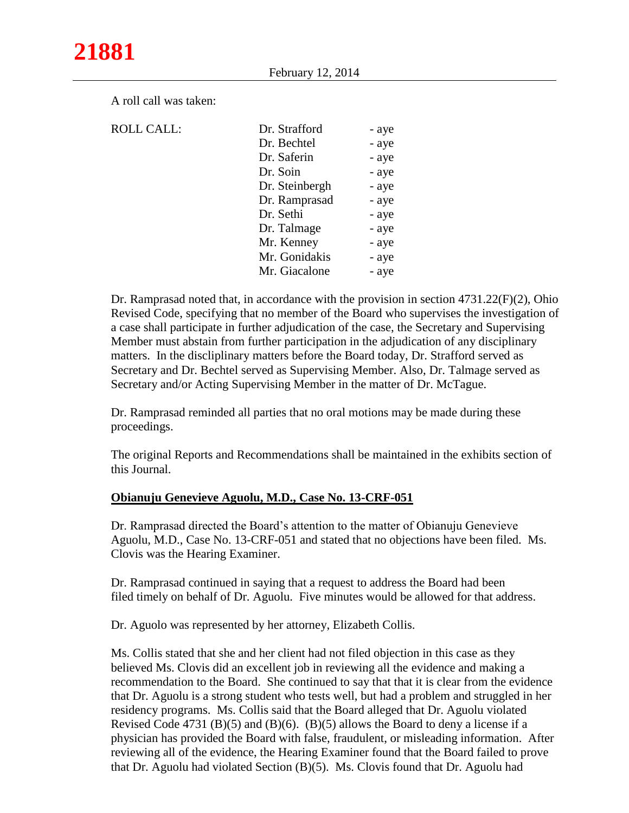A roll call was taken:

| <b>ROLL CALL:</b> | Dr. Strafford  | - aye |
|-------------------|----------------|-------|
|                   |                |       |
|                   | Dr. Bechtel    | - aye |
|                   | Dr. Saferin    | - aye |
|                   | Dr. Soin       | - aye |
|                   | Dr. Steinbergh | - aye |
|                   | Dr. Ramprasad  | - aye |
|                   | Dr. Sethi      | - aye |
|                   | Dr. Talmage    | - aye |
|                   | Mr. Kenney     | - aye |
|                   | Mr. Gonidakis  | - aye |
|                   | Mr. Giacalone  | - aye |
|                   |                |       |

Dr. Ramprasad noted that, in accordance with the provision in section 4731.22(F)(2), Ohio Revised Code, specifying that no member of the Board who supervises the investigation of a case shall participate in further adjudication of the case, the Secretary and Supervising Member must abstain from further participation in the adjudication of any disciplinary matters. In the discliplinary matters before the Board today, Dr. Strafford served as Secretary and Dr. Bechtel served as Supervising Member. Also, Dr. Talmage served as Secretary and/or Acting Supervising Member in the matter of Dr. McTague.

Dr. Ramprasad reminded all parties that no oral motions may be made during these proceedings.

The original Reports and Recommendations shall be maintained in the exhibits section of this Journal.

## **Obianuju Genevieve Aguolu, M.D., Case No. 13-CRF-051**

Dr. Ramprasad directed the Board's attention to the matter of Obianuju Genevieve Aguolu, M.D., Case No. 13-CRF-051 and stated that no objections have been filed. Ms. Clovis was the Hearing Examiner.

Dr. Ramprasad continued in saying that a request to address the Board had been filed timely on behalf of Dr. Aguolu. Five minutes would be allowed for that address.

Dr. Aguolo was represented by her attorney, Elizabeth Collis.

Ms. Collis stated that she and her client had not filed objection in this case as they believed Ms. Clovis did an excellent job in reviewing all the evidence and making a recommendation to the Board. She continued to say that that it is clear from the evidence that Dr. Aguolu is a strong student who tests well, but had a problem and struggled in her residency programs. Ms. Collis said that the Board alleged that Dr. Aguolu violated Revised Code 4731 (B)(5) and (B)(6). (B)(5) allows the Board to deny a license if a physician has provided the Board with false, fraudulent, or misleading information. After reviewing all of the evidence, the Hearing Examiner found that the Board failed to prove that Dr. Aguolu had violated Section (B)(5). Ms. Clovis found that Dr. Aguolu had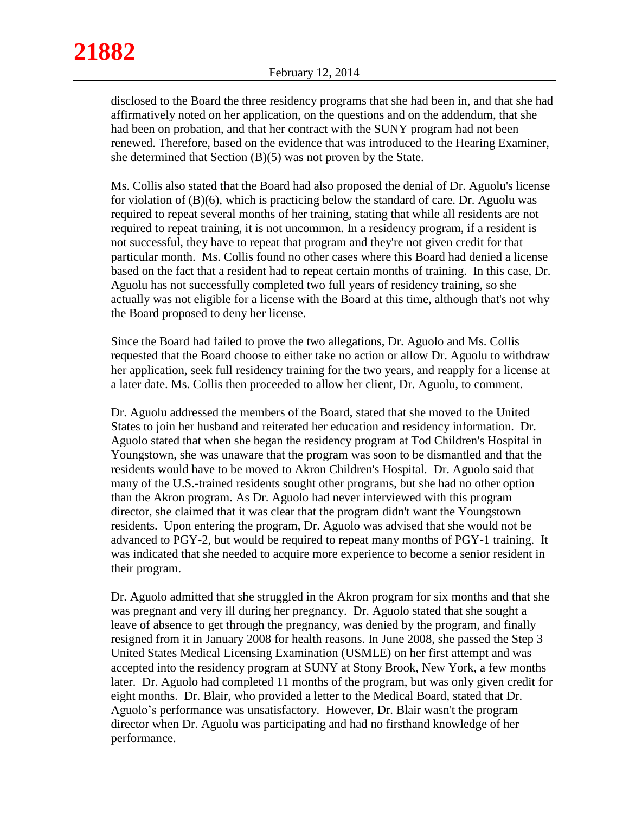disclosed to the Board the three residency programs that she had been in, and that she had affirmatively noted on her application, on the questions and on the addendum, that she had been on probation, and that her contract with the SUNY program had not been renewed. Therefore, based on the evidence that was introduced to the Hearing Examiner, she determined that Section (B)(5) was not proven by the State.

Ms. Collis also stated that the Board had also proposed the denial of Dr. Aguolu's license for violation of  $(B)(6)$ , which is practicing below the standard of care. Dr. Aguolu was required to repeat several months of her training, stating that while all residents are not required to repeat training, it is not uncommon. In a residency program, if a resident is not successful, they have to repeat that program and they're not given credit for that particular month. Ms. Collis found no other cases where this Board had denied a license based on the fact that a resident had to repeat certain months of training. In this case, Dr. Aguolu has not successfully completed two full years of residency training, so she actually was not eligible for a license with the Board at this time, although that's not why the Board proposed to deny her license.

Since the Board had failed to prove the two allegations, Dr. Aguolo and Ms. Collis requested that the Board choose to either take no action or allow Dr. Aguolu to withdraw her application, seek full residency training for the two years, and reapply for a license at a later date. Ms. Collis then proceeded to allow her client, Dr. Aguolu, to comment.

Dr. Aguolu addressed the members of the Board, stated that she moved to the United States to join her husband and reiterated her education and residency information. Dr. Aguolo stated that when she began the residency program at Tod Children's Hospital in Youngstown, she was unaware that the program was soon to be dismantled and that the residents would have to be moved to Akron Children's Hospital. Dr. Aguolo said that many of the U.S.-trained residents sought other programs, but she had no other option than the Akron program. As Dr. Aguolo had never interviewed with this program director, she claimed that it was clear that the program didn't want the Youngstown residents. Upon entering the program, Dr. Aguolo was advised that she would not be advanced to PGY-2, but would be required to repeat many months of PGY-1 training. It was indicated that she needed to acquire more experience to become a senior resident in their program.

Dr. Aguolo admitted that she struggled in the Akron program for six months and that she was pregnant and very ill during her pregnancy. Dr. Aguolo stated that she sought a leave of absence to get through the pregnancy, was denied by the program, and finally resigned from it in January 2008 for health reasons. In June 2008, she passed the Step 3 United States Medical Licensing Examination (USMLE) on her first attempt and was accepted into the residency program at SUNY at Stony Brook, New York, a few months later. Dr. Aguolo had completed 11 months of the program, but was only given credit for eight months. Dr. Blair, who provided a letter to the Medical Board, stated that Dr. Aguolo's performance was unsatisfactory. However, Dr. Blair wasn't the program director when Dr. Aguolu was participating and had no firsthand knowledge of her performance.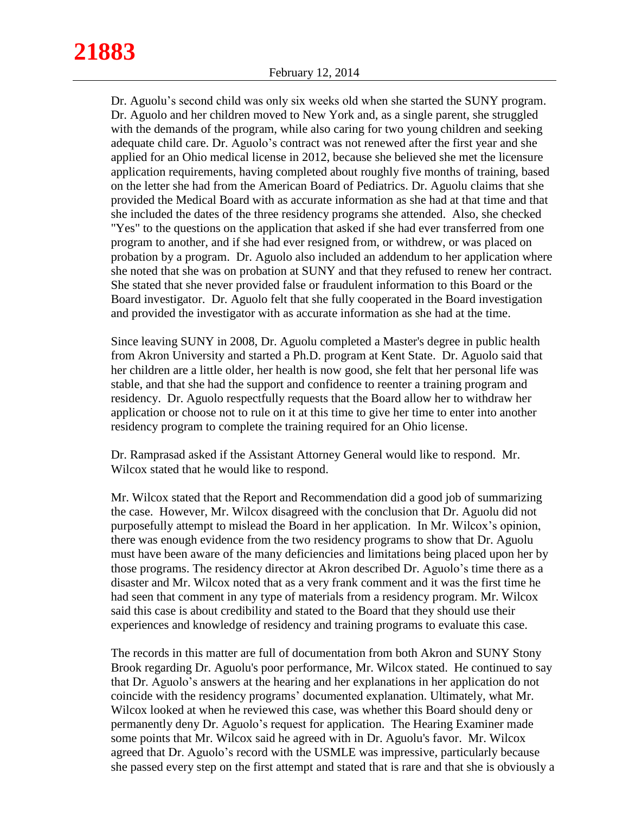Dr. Aguolu's second child was only six weeks old when she started the SUNY program. Dr. Aguolo and her children moved to New York and, as a single parent, she struggled with the demands of the program, while also caring for two young children and seeking adequate child care. Dr. Aguolo's contract was not renewed after the first year and she applied for an Ohio medical license in 2012, because she believed she met the licensure application requirements, having completed about roughly five months of training, based on the letter she had from the American Board of Pediatrics. Dr. Aguolu claims that she provided the Medical Board with as accurate information as she had at that time and that she included the dates of the three residency programs she attended. Also, she checked "Yes" to the questions on the application that asked if she had ever transferred from one program to another, and if she had ever resigned from, or withdrew, or was placed on probation by a program. Dr. Aguolo also included an addendum to her application where she noted that she was on probation at SUNY and that they refused to renew her contract. She stated that she never provided false or fraudulent information to this Board or the Board investigator. Dr. Aguolo felt that she fully cooperated in the Board investigation and provided the investigator with as accurate information as she had at the time.

Since leaving SUNY in 2008, Dr. Aguolu completed a Master's degree in public health from Akron University and started a Ph.D. program at Kent State. Dr. Aguolo said that her children are a little older, her health is now good, she felt that her personal life was stable, and that she had the support and confidence to reenter a training program and residency. Dr. Aguolo respectfully requests that the Board allow her to withdraw her application or choose not to rule on it at this time to give her time to enter into another residency program to complete the training required for an Ohio license.

Dr. Ramprasad asked if the Assistant Attorney General would like to respond. Mr. Wilcox stated that he would like to respond.

Mr. Wilcox stated that the Report and Recommendation did a good job of summarizing the case. However, Mr. Wilcox disagreed with the conclusion that Dr. Aguolu did not purposefully attempt to mislead the Board in her application. In Mr. Wilcox's opinion, there was enough evidence from the two residency programs to show that Dr. Aguolu must have been aware of the many deficiencies and limitations being placed upon her by those programs. The residency director at Akron described Dr. Aguolo's time there as a disaster and Mr. Wilcox noted that as a very frank comment and it was the first time he had seen that comment in any type of materials from a residency program. Mr. Wilcox said this case is about credibility and stated to the Board that they should use their experiences and knowledge of residency and training programs to evaluate this case.

The records in this matter are full of documentation from both Akron and SUNY Stony Brook regarding Dr. Aguolu's poor performance, Mr. Wilcox stated. He continued to say that Dr. Aguolo's answers at the hearing and her explanations in her application do not coincide with the residency programs' documented explanation. Ultimately, what Mr. Wilcox looked at when he reviewed this case, was whether this Board should deny or permanently deny Dr. Aguolo's request for application. The Hearing Examiner made some points that Mr. Wilcox said he agreed with in Dr. Aguolu's favor. Mr. Wilcox agreed that Dr. Aguolo's record with the USMLE was impressive, particularly because she passed every step on the first attempt and stated that is rare and that she is obviously a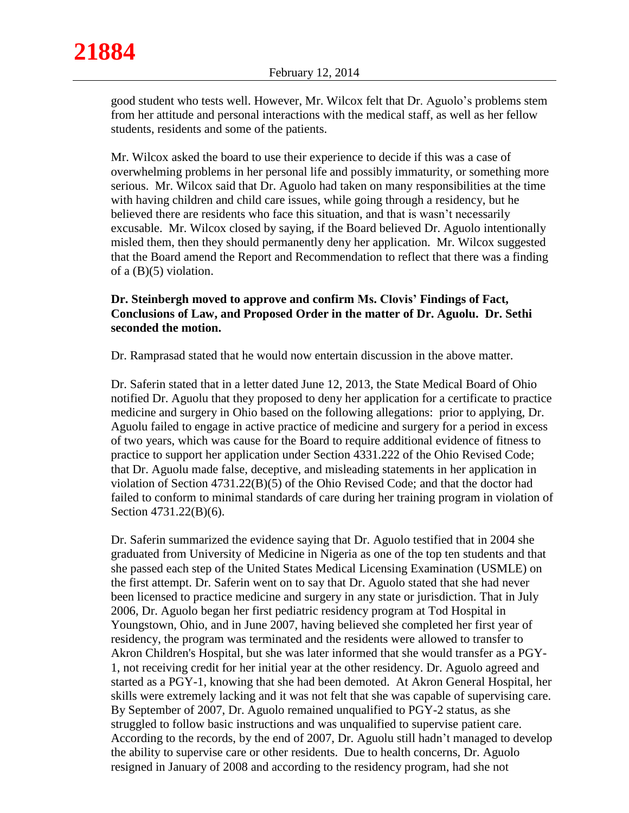good student who tests well. However, Mr. Wilcox felt that Dr. Aguolo's problems stem from her attitude and personal interactions with the medical staff, as well as her fellow students, residents and some of the patients.

Mr. Wilcox asked the board to use their experience to decide if this was a case of overwhelming problems in her personal life and possibly immaturity, or something more serious. Mr. Wilcox said that Dr. Aguolo had taken on many responsibilities at the time with having children and child care issues, while going through a residency, but he believed there are residents who face this situation, and that is wasn't necessarily excusable. Mr. Wilcox closed by saying, if the Board believed Dr. Aguolo intentionally misled them, then they should permanently deny her application. Mr. Wilcox suggested that the Board amend the Report and Recommendation to reflect that there was a finding of a (B)(5) violation.

# **Dr. Steinbergh moved to approve and confirm Ms. Clovis' Findings of Fact, Conclusions of Law, and Proposed Order in the matter of Dr. Aguolu. Dr. Sethi seconded the motion.**

Dr. Ramprasad stated that he would now entertain discussion in the above matter.

Dr. Saferin stated that in a letter dated June 12, 2013, the State Medical Board of Ohio notified Dr. Aguolu that they proposed to deny her application for a certificate to practice medicine and surgery in Ohio based on the following allegations: prior to applying, Dr. Aguolu failed to engage in active practice of medicine and surgery for a period in excess of two years, which was cause for the Board to require additional evidence of fitness to practice to support her application under Section 4331.222 of the Ohio Revised Code; that Dr. Aguolu made false, deceptive, and misleading statements in her application in violation of Section 4731.22(B)(5) of the Ohio Revised Code; and that the doctor had failed to conform to minimal standards of care during her training program in violation of Section 4731.22(B)(6).

Dr. Saferin summarized the evidence saying that Dr. Aguolo testified that in 2004 she graduated from University of Medicine in Nigeria as one of the top ten students and that she passed each step of the United States Medical Licensing Examination (USMLE) on the first attempt. Dr. Saferin went on to say that Dr. Aguolo stated that she had never been licensed to practice medicine and surgery in any state or jurisdiction. That in July 2006, Dr. Aguolo began her first pediatric residency program at Tod Hospital in Youngstown, Ohio, and in June 2007, having believed she completed her first year of residency, the program was terminated and the residents were allowed to transfer to Akron Children's Hospital, but she was later informed that she would transfer as a PGY-1, not receiving credit for her initial year at the other residency. Dr. Aguolo agreed and started as a PGY-1, knowing that she had been demoted. At Akron General Hospital, her skills were extremely lacking and it was not felt that she was capable of supervising care. By September of 2007, Dr. Aguolo remained unqualified to PGY-2 status, as she struggled to follow basic instructions and was unqualified to supervise patient care. According to the records, by the end of 2007, Dr. Aguolu still hadn't managed to develop the ability to supervise care or other residents. Due to health concerns, Dr. Aguolo resigned in January of 2008 and according to the residency program, had she not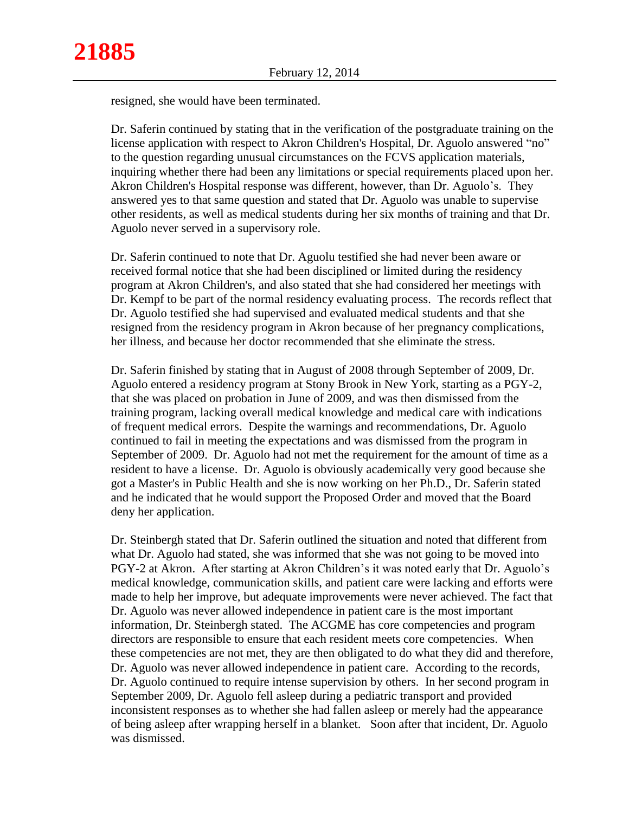resigned, she would have been terminated.

Dr. Saferin continued by stating that in the verification of the postgraduate training on the license application with respect to Akron Children's Hospital, Dr. Aguolo answered "no" to the question regarding unusual circumstances on the FCVS application materials, inquiring whether there had been any limitations or special requirements placed upon her. Akron Children's Hospital response was different, however, than Dr. Aguolo's. They answered yes to that same question and stated that Dr. Aguolo was unable to supervise other residents, as well as medical students during her six months of training and that Dr. Aguolo never served in a supervisory role.

Dr. Saferin continued to note that Dr. Aguolu testified she had never been aware or received formal notice that she had been disciplined or limited during the residency program at Akron Children's, and also stated that she had considered her meetings with Dr. Kempf to be part of the normal residency evaluating process. The records reflect that Dr. Aguolo testified she had supervised and evaluated medical students and that she resigned from the residency program in Akron because of her pregnancy complications, her illness, and because her doctor recommended that she eliminate the stress.

Dr. Saferin finished by stating that in August of 2008 through September of 2009, Dr. Aguolo entered a residency program at Stony Brook in New York, starting as a PGY-2, that she was placed on probation in June of 2009, and was then dismissed from the training program, lacking overall medical knowledge and medical care with indications of frequent medical errors. Despite the warnings and recommendations, Dr. Aguolo continued to fail in meeting the expectations and was dismissed from the program in September of 2009. Dr. Aguolo had not met the requirement for the amount of time as a resident to have a license. Dr. Aguolo is obviously academically very good because she got a Master's in Public Health and she is now working on her Ph.D., Dr. Saferin stated and he indicated that he would support the Proposed Order and moved that the Board deny her application.

Dr. Steinbergh stated that Dr. Saferin outlined the situation and noted that different from what Dr. Aguolo had stated, she was informed that she was not going to be moved into PGY-2 at Akron. After starting at Akron Children's it was noted early that Dr. Aguolo's medical knowledge, communication skills, and patient care were lacking and efforts were made to help her improve, but adequate improvements were never achieved. The fact that Dr. Aguolo was never allowed independence in patient care is the most important information, Dr. Steinbergh stated. The ACGME has core competencies and program directors are responsible to ensure that each resident meets core competencies. When these competencies are not met, they are then obligated to do what they did and therefore, Dr. Aguolo was never allowed independence in patient care. According to the records, Dr. Aguolo continued to require intense supervision by others. In her second program in September 2009, Dr. Aguolo fell asleep during a pediatric transport and provided inconsistent responses as to whether she had fallen asleep or merely had the appearance of being asleep after wrapping herself in a blanket. Soon after that incident, Dr. Aguolo was dismissed.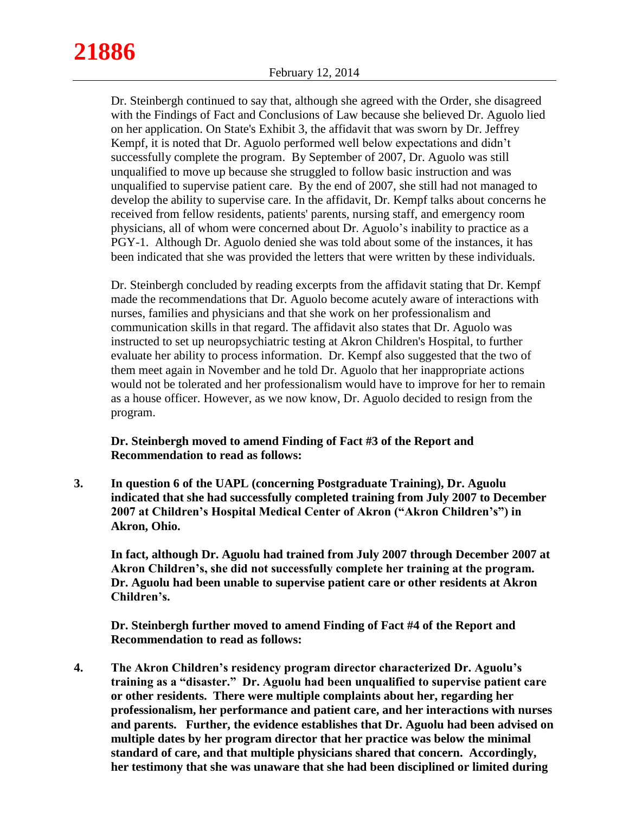Dr. Steinbergh continued to say that, although she agreed with the Order, she disagreed with the Findings of Fact and Conclusions of Law because she believed Dr. Aguolo lied on her application. On State's Exhibit 3, the affidavit that was sworn by Dr. Jeffrey Kempf, it is noted that Dr. Aguolo performed well below expectations and didn't successfully complete the program. By September of 2007, Dr. Aguolo was still unqualified to move up because she struggled to follow basic instruction and was unqualified to supervise patient care. By the end of 2007, she still had not managed to develop the ability to supervise care. In the affidavit, Dr. Kempf talks about concerns he received from fellow residents, patients' parents, nursing staff, and emergency room physicians, all of whom were concerned about Dr. Aguolo's inability to practice as a PGY-1. Although Dr. Aguolo denied she was told about some of the instances, it has been indicated that she was provided the letters that were written by these individuals.

Dr. Steinbergh concluded by reading excerpts from the affidavit stating that Dr. Kempf made the recommendations that Dr. Aguolo become acutely aware of interactions with nurses, families and physicians and that she work on her professionalism and communication skills in that regard. The affidavit also states that Dr. Aguolo was instructed to set up neuropsychiatric testing at Akron Children's Hospital, to further evaluate her ability to process information. Dr. Kempf also suggested that the two of them meet again in November and he told Dr. Aguolo that her inappropriate actions would not be tolerated and her professionalism would have to improve for her to remain as a house officer. However, as we now know, Dr. Aguolo decided to resign from the program.

**Dr. Steinbergh moved to amend Finding of Fact #3 of the Report and Recommendation to read as follows:**

**3. In question 6 of the UAPL (concerning Postgraduate Training), Dr. Aguolu indicated that she had successfully completed training from July 2007 to December 2007 at Children's Hospital Medical Center of Akron ("Akron Children's") in Akron, Ohio.**

**In fact, although Dr. Aguolu had trained from July 2007 through December 2007 at Akron Children's, she did not successfully complete her training at the program. Dr. Aguolu had been unable to supervise patient care or other residents at Akron Children's.**

**Dr. Steinbergh further moved to amend Finding of Fact #4 of the Report and Recommendation to read as follows:**

**4. The Akron Children's residency program director characterized Dr. Aguolu's training as a "disaster." Dr. Aguolu had been unqualified to supervise patient care or other residents. There were multiple complaints about her, regarding her professionalism, her performance and patient care, and her interactions with nurses and parents. Further, the evidence establishes that Dr. Aguolu had been advised on multiple dates by her program director that her practice was below the minimal standard of care, and that multiple physicians shared that concern. Accordingly, her testimony that she was unaware that she had been disciplined or limited during**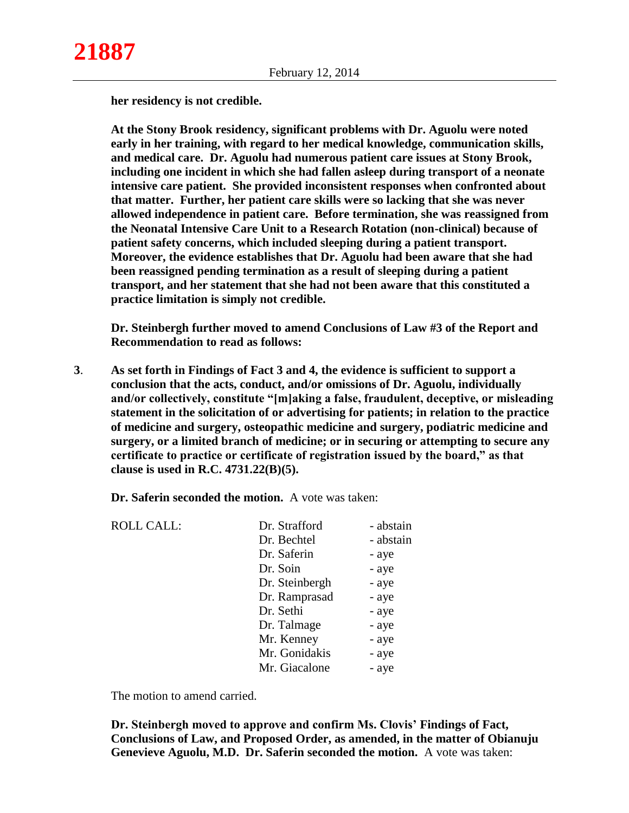**her residency is not credible.** 

**At the Stony Brook residency, significant problems with Dr. Aguolu were noted early in her training, with regard to her medical knowledge, communication skills, and medical care. Dr. Aguolu had numerous patient care issues at Stony Brook, including one incident in which she had fallen asleep during transport of a neonate intensive care patient. She provided inconsistent responses when confronted about that matter. Further, her patient care skills were so lacking that she was never allowed independence in patient care. Before termination, she was reassigned from the Neonatal Intensive Care Unit to a Research Rotation (non-clinical) because of patient safety concerns, which included sleeping during a patient transport. Moreover, the evidence establishes that Dr. Aguolu had been aware that she had been reassigned pending termination as a result of sleeping during a patient transport, and her statement that she had not been aware that this constituted a practice limitation is simply not credible.**

**Dr. Steinbergh further moved to amend Conclusions of Law #3 of the Report and Recommendation to read as follows:**

**3**. **As set forth in Findings of Fact 3 and 4, the evidence is sufficient to support a conclusion that the acts, conduct, and/or omissions of Dr. Aguolu, individually and/or collectively, constitute "[m]aking a false, fraudulent, deceptive, or misleading statement in the solicitation of or advertising for patients; in relation to the practice of medicine and surgery, osteopathic medicine and surgery, podiatric medicine and surgery, or a limited branch of medicine; or in securing or attempting to secure any certificate to practice or certificate of registration issued by the board," as that clause is used in R.C. 4731.22(B)(5).**

**Dr. Saferin seconded the motion.** A vote was taken:

| <b>ROLL CALL:</b> | Dr. Strafford  | - abstain |
|-------------------|----------------|-----------|
|                   | Dr. Bechtel    | - abstain |
|                   | Dr. Saferin    | - aye     |
|                   | Dr. Soin       | - aye     |
|                   | Dr. Steinbergh | - aye     |
|                   | Dr. Ramprasad  | - aye     |
|                   | Dr. Sethi      | - aye     |
|                   | Dr. Talmage    | - aye     |
|                   | Mr. Kenney     | - aye     |
|                   | Mr. Gonidakis  | - aye     |
|                   | Mr. Giacalone  | - aye     |
|                   |                |           |

The motion to amend carried.

**Dr. Steinbergh moved to approve and confirm Ms. Clovis' Findings of Fact, Conclusions of Law, and Proposed Order, as amended, in the matter of Obianuju Genevieve Aguolu, M.D. Dr. Saferin seconded the motion.** A vote was taken: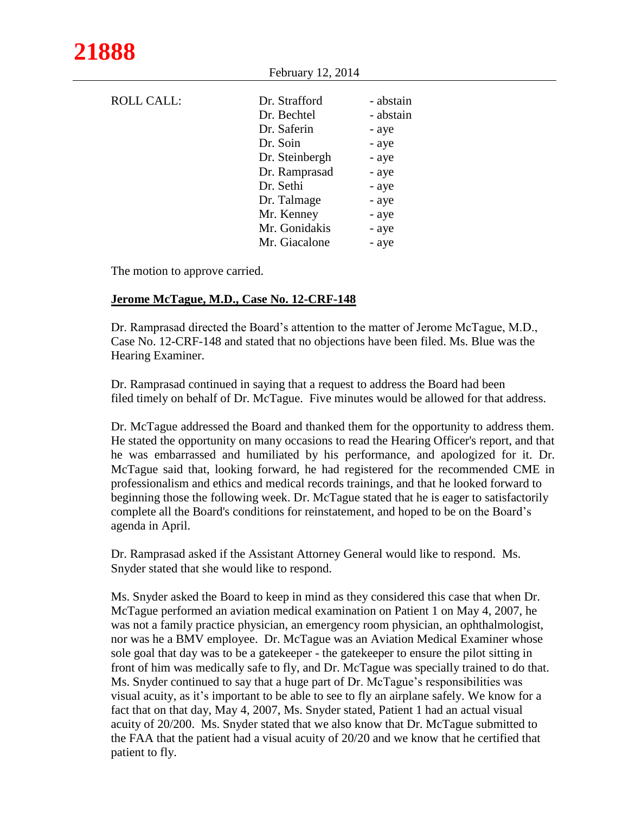| <b>ROLL CALL:</b> | Dr. Strafford  | - abstain |
|-------------------|----------------|-----------|
|                   | Dr. Bechtel    | - abstain |
|                   | Dr. Saferin    | - aye     |
|                   | Dr. Soin       | - aye     |
|                   | Dr. Steinbergh | - aye     |
|                   | Dr. Ramprasad  | - aye     |
|                   | Dr. Sethi      | - aye     |
|                   | Dr. Talmage    | - aye     |
|                   | Mr. Kenney     | - aye     |
|                   | Mr. Gonidakis  | - aye     |
|                   | Mr. Giacalone  | - aye     |

The motion to approve carried.

## **Jerome McTague, M.D., Case No. 12-CRF-148**

Dr. Ramprasad directed the Board's attention to the matter of Jerome McTague, M.D., Case No. 12-CRF-148 and stated that no objections have been filed. Ms. Blue was the Hearing Examiner.

February 12, 2014

Dr. Ramprasad continued in saying that a request to address the Board had been filed timely on behalf of Dr. McTague. Five minutes would be allowed for that address.

Dr. McTague addressed the Board and thanked them for the opportunity to address them. He stated the opportunity on many occasions to read the Hearing Officer's report, and that he was embarrassed and humiliated by his performance, and apologized for it. Dr. McTague said that, looking forward, he had registered for the recommended CME in professionalism and ethics and medical records trainings, and that he looked forward to beginning those the following week. Dr. McTague stated that he is eager to satisfactorily complete all the Board's conditions for reinstatement, and hoped to be on the Board's agenda in April.

Dr. Ramprasad asked if the Assistant Attorney General would like to respond. Ms. Snyder stated that she would like to respond.

Ms. Snyder asked the Board to keep in mind as they considered this case that when Dr. McTague performed an aviation medical examination on Patient 1 on May 4, 2007, he was not a family practice physician, an emergency room physician, an ophthalmologist, nor was he a BMV employee. Dr. McTague was an Aviation Medical Examiner whose sole goal that day was to be a gatekeeper - the gatekeeper to ensure the pilot sitting in front of him was medically safe to fly, and Dr. McTague was specially trained to do that. Ms. Snyder continued to say that a huge part of Dr. McTague's responsibilities was visual acuity, as it's important to be able to see to fly an airplane safely. We know for a fact that on that day, May 4, 2007, Ms. Snyder stated, Patient 1 had an actual visual acuity of 20/200. Ms. Snyder stated that we also know that Dr. McTague submitted to the FAA that the patient had a visual acuity of 20/20 and we know that he certified that patient to fly.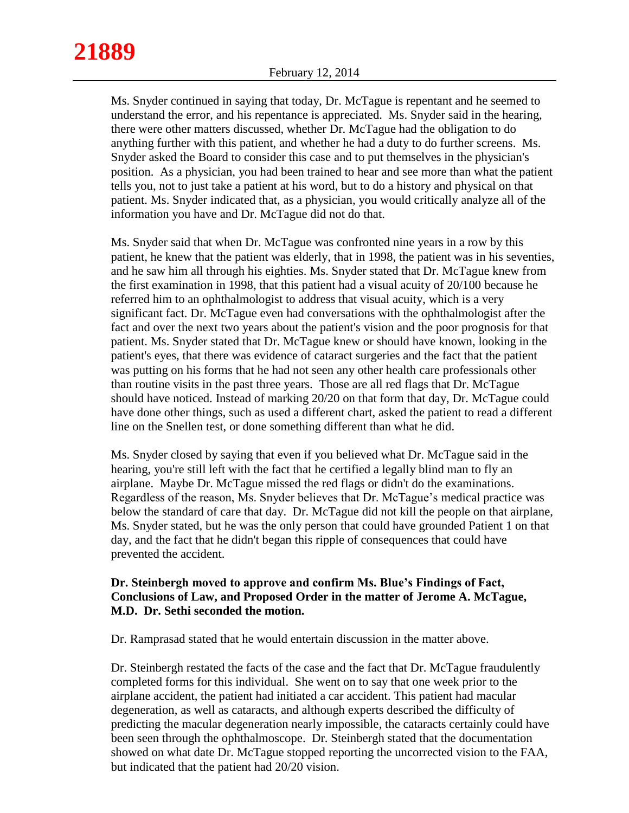Ms. Snyder continued in saying that today, Dr. McTague is repentant and he seemed to understand the error, and his repentance is appreciated. Ms. Snyder said in the hearing, there were other matters discussed, whether Dr. McTague had the obligation to do anything further with this patient, and whether he had a duty to do further screens. Ms. Snyder asked the Board to consider this case and to put themselves in the physician's position. As a physician, you had been trained to hear and see more than what the patient tells you, not to just take a patient at his word, but to do a history and physical on that patient. Ms. Snyder indicated that, as a physician, you would critically analyze all of the information you have and Dr. McTague did not do that.

Ms. Snyder said that when Dr. McTague was confronted nine years in a row by this patient, he knew that the patient was elderly, that in 1998, the patient was in his seventies, and he saw him all through his eighties. Ms. Snyder stated that Dr. McTague knew from the first examination in 1998, that this patient had a visual acuity of 20/100 because he referred him to an ophthalmologist to address that visual acuity, which is a very significant fact. Dr. McTague even had conversations with the ophthalmologist after the fact and over the next two years about the patient's vision and the poor prognosis for that patient. Ms. Snyder stated that Dr. McTague knew or should have known, looking in the patient's eyes, that there was evidence of cataract surgeries and the fact that the patient was putting on his forms that he had not seen any other health care professionals other than routine visits in the past three years. Those are all red flags that Dr. McTague should have noticed. Instead of marking 20/20 on that form that day, Dr. McTague could have done other things, such as used a different chart, asked the patient to read a different line on the Snellen test, or done something different than what he did.

Ms. Snyder closed by saying that even if you believed what Dr. McTague said in the hearing, you're still left with the fact that he certified a legally blind man to fly an airplane. Maybe Dr. McTague missed the red flags or didn't do the examinations. Regardless of the reason, Ms. Snyder believes that Dr. McTague's medical practice was below the standard of care that day. Dr. McTague did not kill the people on that airplane, Ms. Snyder stated, but he was the only person that could have grounded Patient 1 on that day, and the fact that he didn't began this ripple of consequences that could have prevented the accident.

## **Dr. Steinbergh moved to approve and confirm Ms. Blue's Findings of Fact, Conclusions of Law, and Proposed Order in the matter of Jerome A. McTague, M.D. Dr. Sethi seconded the motion.**

Dr. Ramprasad stated that he would entertain discussion in the matter above.

Dr. Steinbergh restated the facts of the case and the fact that Dr. McTague fraudulently completed forms for this individual. She went on to say that one week prior to the airplane accident, the patient had initiated a car accident. This patient had macular degeneration, as well as cataracts, and although experts described the difficulty of predicting the macular degeneration nearly impossible, the cataracts certainly could have been seen through the ophthalmoscope. Dr. Steinbergh stated that the documentation showed on what date Dr. McTague stopped reporting the uncorrected vision to the FAA, but indicated that the patient had 20/20 vision.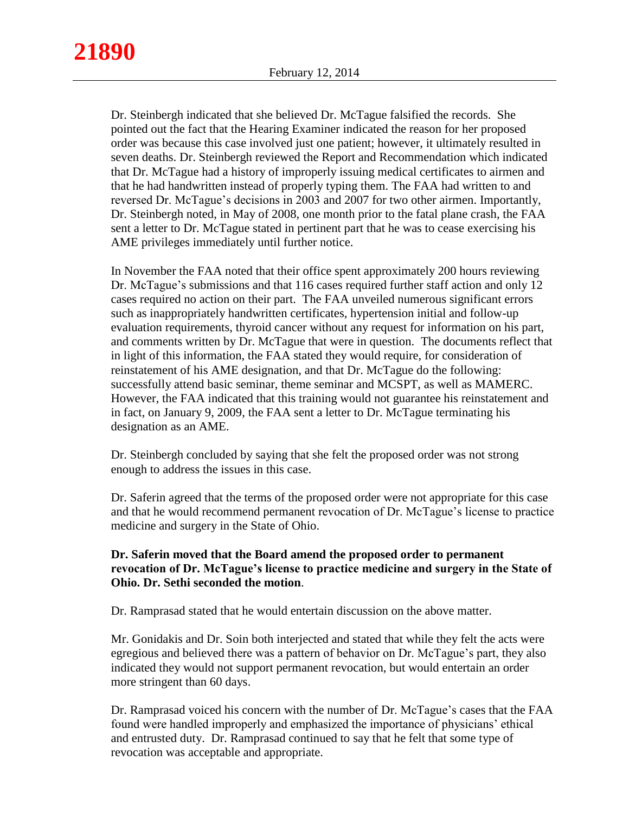Dr. Steinbergh indicated that she believed Dr. McTague falsified the records. She pointed out the fact that the Hearing Examiner indicated the reason for her proposed order was because this case involved just one patient; however, it ultimately resulted in seven deaths. Dr. Steinbergh reviewed the Report and Recommendation which indicated that Dr. McTague had a history of improperly issuing medical certificates to airmen and that he had handwritten instead of properly typing them. The FAA had written to and reversed Dr. McTague's decisions in 2003 and 2007 for two other airmen. Importantly, Dr. Steinbergh noted, in May of 2008, one month prior to the fatal plane crash, the FAA sent a letter to Dr. McTague stated in pertinent part that he was to cease exercising his AME privileges immediately until further notice.

In November the FAA noted that their office spent approximately 200 hours reviewing Dr. McTague's submissions and that 116 cases required further staff action and only 12 cases required no action on their part. The FAA unveiled numerous significant errors such as inappropriately handwritten certificates, hypertension initial and follow-up evaluation requirements, thyroid cancer without any request for information on his part, and comments written by Dr. McTague that were in question. The documents reflect that in light of this information, the FAA stated they would require, for consideration of reinstatement of his AME designation, and that Dr. McTague do the following: successfully attend basic seminar, theme seminar and MCSPT, as well as MAMERC. However, the FAA indicated that this training would not guarantee his reinstatement and in fact, on January 9, 2009, the FAA sent a letter to Dr. McTague terminating his designation as an AME.

Dr. Steinbergh concluded by saying that she felt the proposed order was not strong enough to address the issues in this case.

Dr. Saferin agreed that the terms of the proposed order were not appropriate for this case and that he would recommend permanent revocation of Dr. McTague's license to practice medicine and surgery in the State of Ohio.

## **Dr. Saferin moved that the Board amend the proposed order to permanent revocation of Dr. McTague's license to practice medicine and surgery in the State of Ohio. Dr. Sethi seconded the motion**.

Dr. Ramprasad stated that he would entertain discussion on the above matter.

Mr. Gonidakis and Dr. Soin both interjected and stated that while they felt the acts were egregious and believed there was a pattern of behavior on Dr. McTague's part, they also indicated they would not support permanent revocation, but would entertain an order more stringent than 60 days.

Dr. Ramprasad voiced his concern with the number of Dr. McTague's cases that the FAA found were handled improperly and emphasized the importance of physicians' ethical and entrusted duty. Dr. Ramprasad continued to say that he felt that some type of revocation was acceptable and appropriate.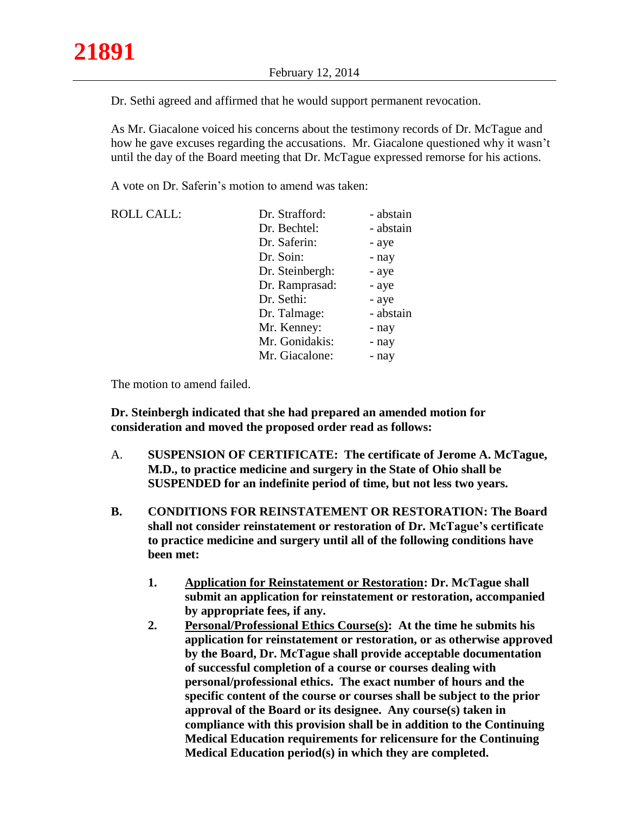Dr. Sethi agreed and affirmed that he would support permanent revocation.

As Mr. Giacalone voiced his concerns about the testimony records of Dr. McTague and how he gave excuses regarding the accusations. Mr. Giacalone questioned why it wasn't until the day of the Board meeting that Dr. McTague expressed remorse for his actions.

A vote on Dr. Saferin's motion to amend was taken:

| <b>ROLL CALL:</b> | Dr. Strafford:  | - abstain |
|-------------------|-----------------|-----------|
|                   | Dr. Bechtel:    | - abstain |
|                   | Dr. Saferin:    | - aye     |
|                   | Dr. Soin:       | - nay     |
|                   | Dr. Steinbergh: | - aye     |
|                   | Dr. Ramprasad:  | - aye     |
|                   | Dr. Sethi:      | - aye     |
|                   | Dr. Talmage:    | - abstain |
|                   | Mr. Kenney:     | - nay     |
|                   | Mr. Gonidakis:  | - nay     |
|                   | Mr. Giacalone:  | - nay     |

The motion to amend failed.

**Dr. Steinbergh indicated that she had prepared an amended motion for consideration and moved the proposed order read as follows:**

- A. **SUSPENSION OF CERTIFICATE: The certificate of Jerome A. McTague, M.D., to practice medicine and surgery in the State of Ohio shall be SUSPENDED for an indefinite period of time, but not less two years.**
- **B. CONDITIONS FOR REINSTATEMENT OR RESTORATION: The Board shall not consider reinstatement or restoration of Dr. McTague's certificate to practice medicine and surgery until all of the following conditions have been met:**
	- **1. Application for Reinstatement or Restoration: Dr. McTague shall submit an application for reinstatement or restoration, accompanied by appropriate fees, if any.**
	- **2. Personal/Professional Ethics Course(s): At the time he submits his application for reinstatement or restoration, or as otherwise approved by the Board, Dr. McTague shall provide acceptable documentation of successful completion of a course or courses dealing with personal/professional ethics. The exact number of hours and the specific content of the course or courses shall be subject to the prior approval of the Board or its designee. Any course(s) taken in compliance with this provision shall be in addition to the Continuing Medical Education requirements for relicensure for the Continuing Medical Education period(s) in which they are completed.**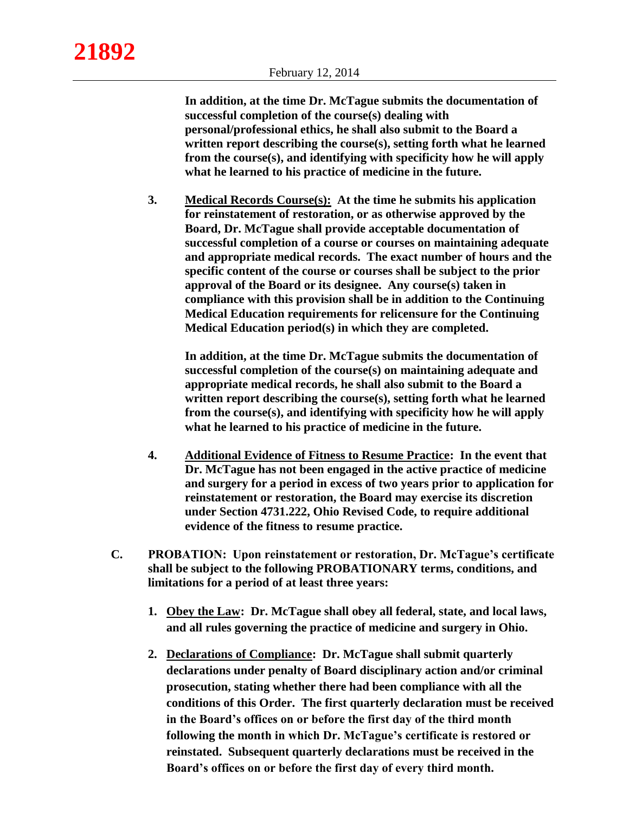**In addition, at the time Dr. McTague submits the documentation of successful completion of the course(s) dealing with personal/professional ethics, he shall also submit to the Board a written report describing the course(s), setting forth what he learned from the course(s), and identifying with specificity how he will apply what he learned to his practice of medicine in the future.**

**3. Medical Records Course(s): At the time he submits his application for reinstatement of restoration, or as otherwise approved by the Board, Dr. McTague shall provide acceptable documentation of successful completion of a course or courses on maintaining adequate and appropriate medical records. The exact number of hours and the specific content of the course or courses shall be subject to the prior approval of the Board or its designee. Any course(s) taken in compliance with this provision shall be in addition to the Continuing Medical Education requirements for relicensure for the Continuing Medical Education period(s) in which they are completed.**

**In addition, at the time Dr. McTague submits the documentation of successful completion of the course(s) on maintaining adequate and appropriate medical records, he shall also submit to the Board a written report describing the course(s), setting forth what he learned from the course(s), and identifying with specificity how he will apply what he learned to his practice of medicine in the future.**

- **4. Additional Evidence of Fitness to Resume Practice: In the event that Dr. McTague has not been engaged in the active practice of medicine and surgery for a period in excess of two years prior to application for reinstatement or restoration, the Board may exercise its discretion under Section 4731.222, Ohio Revised Code, to require additional evidence of the fitness to resume practice.**
- **C. PROBATION: Upon reinstatement or restoration, Dr. McTague's certificate shall be subject to the following PROBATIONARY terms, conditions, and limitations for a period of at least three years:**
	- **1. Obey the Law: Dr. McTague shall obey all federal, state, and local laws, and all rules governing the practice of medicine and surgery in Ohio.**
	- **2. Declarations of Compliance: Dr. McTague shall submit quarterly declarations under penalty of Board disciplinary action and/or criminal prosecution, stating whether there had been compliance with all the conditions of this Order. The first quarterly declaration must be received in the Board's offices on or before the first day of the third month following the month in which Dr. McTague's certificate is restored or reinstated. Subsequent quarterly declarations must be received in the Board's offices on or before the first day of every third month.**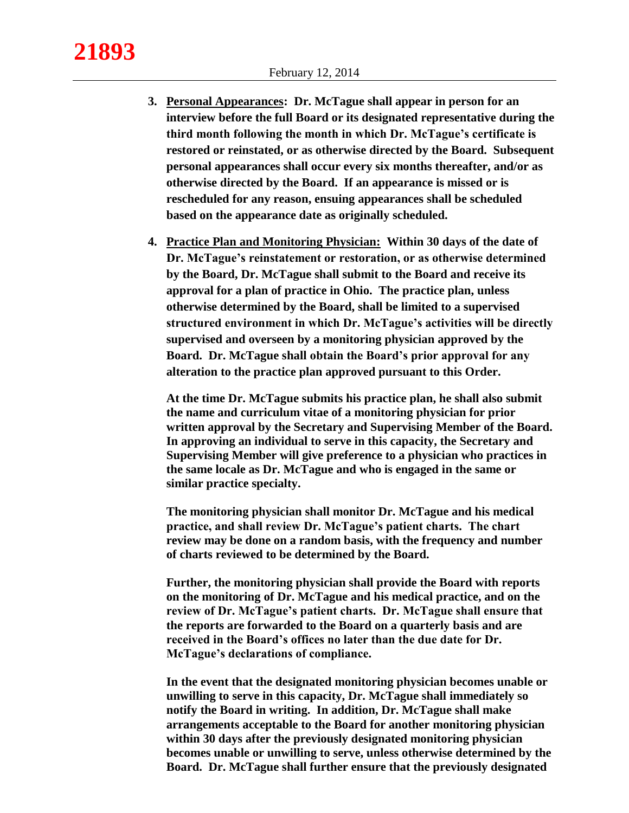- **3. Personal Appearances: Dr. McTague shall appear in person for an interview before the full Board or its designated representative during the third month following the month in which Dr. McTague's certificate is restored or reinstated, or as otherwise directed by the Board. Subsequent personal appearances shall occur every six months thereafter, and/or as otherwise directed by the Board. If an appearance is missed or is rescheduled for any reason, ensuing appearances shall be scheduled based on the appearance date as originally scheduled.**
- **4. Practice Plan and Monitoring Physician: Within 30 days of the date of Dr. McTague's reinstatement or restoration, or as otherwise determined by the Board, Dr. McTague shall submit to the Board and receive its approval for a plan of practice in Ohio. The practice plan, unless otherwise determined by the Board, shall be limited to a supervised structured environment in which Dr. McTague's activities will be directly supervised and overseen by a monitoring physician approved by the Board. Dr. McTague shall obtain the Board's prior approval for any alteration to the practice plan approved pursuant to this Order.**

**At the time Dr. McTague submits his practice plan, he shall also submit the name and curriculum vitae of a monitoring physician for prior written approval by the Secretary and Supervising Member of the Board. In approving an individual to serve in this capacity, the Secretary and Supervising Member will give preference to a physician who practices in the same locale as Dr. McTague and who is engaged in the same or similar practice specialty.**

**The monitoring physician shall monitor Dr. McTague and his medical practice, and shall review Dr. McTague's patient charts. The chart review may be done on a random basis, with the frequency and number of charts reviewed to be determined by the Board.**

**Further, the monitoring physician shall provide the Board with reports on the monitoring of Dr. McTague and his medical practice, and on the review of Dr. McTague's patient charts. Dr. McTague shall ensure that the reports are forwarded to the Board on a quarterly basis and are received in the Board's offices no later than the due date for Dr. McTague's declarations of compliance.**

**In the event that the designated monitoring physician becomes unable or unwilling to serve in this capacity, Dr. McTague shall immediately so notify the Board in writing. In addition, Dr. McTague shall make arrangements acceptable to the Board for another monitoring physician within 30 days after the previously designated monitoring physician becomes unable or unwilling to serve, unless otherwise determined by the Board. Dr. McTague shall further ensure that the previously designated**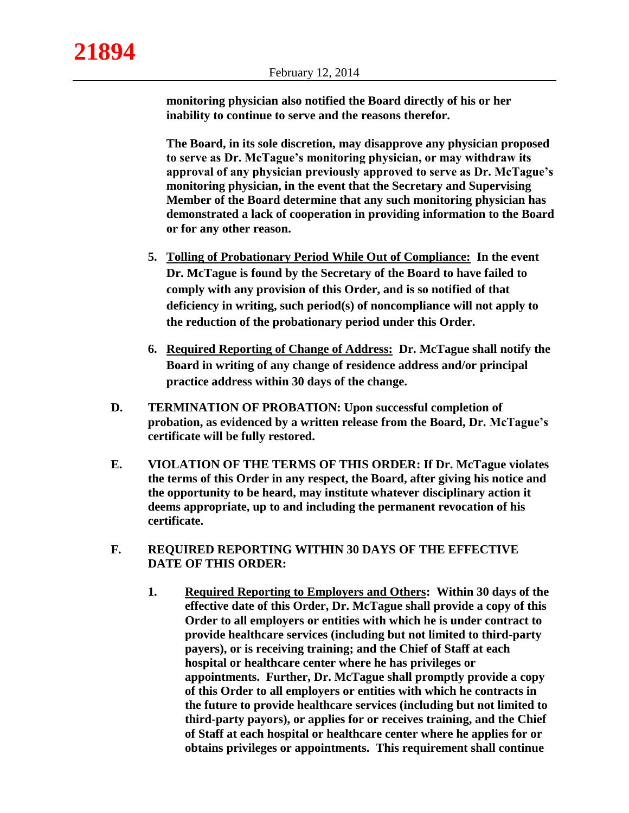**monitoring physician also notified the Board directly of his or her inability to continue to serve and the reasons therefor.**

**The Board, in its sole discretion, may disapprove any physician proposed to serve as Dr. McTague's monitoring physician, or may withdraw its approval of any physician previously approved to serve as Dr. McTague's monitoring physician, in the event that the Secretary and Supervising Member of the Board determine that any such monitoring physician has demonstrated a lack of cooperation in providing information to the Board or for any other reason.**

- **5. Tolling of Probationary Period While Out of Compliance: In the event Dr. McTague is found by the Secretary of the Board to have failed to comply with any provision of this Order, and is so notified of that deficiency in writing, such period(s) of noncompliance will not apply to the reduction of the probationary period under this Order.**
- **6. Required Reporting of Change of Address: Dr. McTague shall notify the Board in writing of any change of residence address and/or principal practice address within 30 days of the change.**
- **D. TERMINATION OF PROBATION: Upon successful completion of probation, as evidenced by a written release from the Board, Dr. McTague's certificate will be fully restored.**
- **E. VIOLATION OF THE TERMS OF THIS ORDER: If Dr. McTague violates the terms of this Order in any respect, the Board, after giving his notice and the opportunity to be heard, may institute whatever disciplinary action it deems appropriate, up to and including the permanent revocation of his certificate.**
- **F. REQUIRED REPORTING WITHIN 30 DAYS OF THE EFFECTIVE DATE OF THIS ORDER:**
	- **1. Required Reporting to Employers and Others: Within 30 days of the effective date of this Order, Dr. McTague shall provide a copy of this Order to all employers or entities with which he is under contract to provide healthcare services (including but not limited to third-party payers), or is receiving training; and the Chief of Staff at each hospital or healthcare center where he has privileges or appointments. Further, Dr. McTague shall promptly provide a copy of this Order to all employers or entities with which he contracts in the future to provide healthcare services (including but not limited to third-party payors), or applies for or receives training, and the Chief of Staff at each hospital or healthcare center where he applies for or obtains privileges or appointments. This requirement shall continue**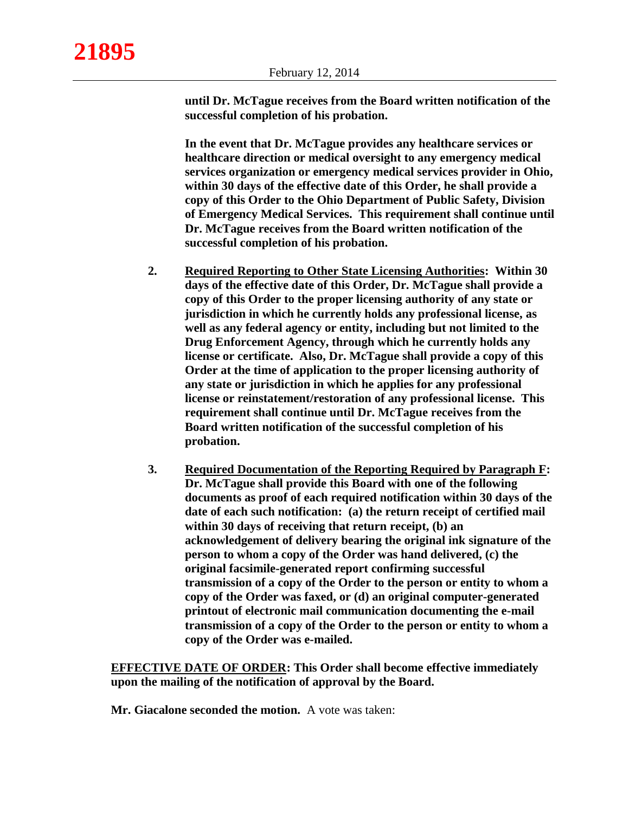**until Dr. McTague receives from the Board written notification of the successful completion of his probation.**

**In the event that Dr. McTague provides any healthcare services or healthcare direction or medical oversight to any emergency medical services organization or emergency medical services provider in Ohio, within 30 days of the effective date of this Order, he shall provide a copy of this Order to the Ohio Department of Public Safety, Division of Emergency Medical Services. This requirement shall continue until Dr. McTague receives from the Board written notification of the successful completion of his probation.**

- **2. Required Reporting to Other State Licensing Authorities: Within 30 days of the effective date of this Order, Dr. McTague shall provide a copy of this Order to the proper licensing authority of any state or jurisdiction in which he currently holds any professional license, as well as any federal agency or entity, including but not limited to the Drug Enforcement Agency, through which he currently holds any license or certificate. Also, Dr. McTague shall provide a copy of this Order at the time of application to the proper licensing authority of any state or jurisdiction in which he applies for any professional license or reinstatement/restoration of any professional license. This requirement shall continue until Dr. McTague receives from the Board written notification of the successful completion of his probation.**
- **3. Required Documentation of the Reporting Required by Paragraph F: Dr. McTague shall provide this Board with one of the following documents as proof of each required notification within 30 days of the date of each such notification: (a) the return receipt of certified mail within 30 days of receiving that return receipt, (b) an acknowledgement of delivery bearing the original ink signature of the person to whom a copy of the Order was hand delivered, (c) the original facsimile-generated report confirming successful transmission of a copy of the Order to the person or entity to whom a copy of the Order was faxed, or (d) an original computer-generated printout of electronic mail communication documenting the e-mail transmission of a copy of the Order to the person or entity to whom a copy of the Order was e-mailed.**

**EFFECTIVE DATE OF ORDER: This Order shall become effective immediately upon the mailing of the notification of approval by the Board.**

**Mr. Giacalone seconded the motion.** A vote was taken: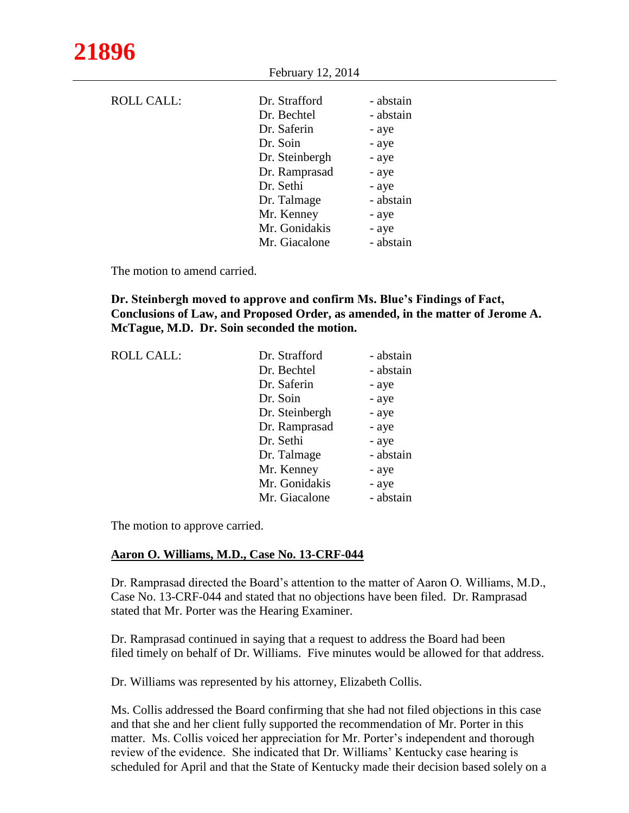| Dr. Strafford  | - abstain |
|----------------|-----------|
| Dr. Bechtel    | - abstain |
| Dr. Saferin    | - aye     |
| Dr. Soin       | - aye     |
| Dr. Steinbergh | - aye     |
| Dr. Ramprasad  | - aye     |
| Dr. Sethi      | - aye     |
| Dr. Talmage    | - abstain |
| Mr. Kenney     | - aye     |
| Mr. Gonidakis  | - aye     |
| Mr. Giacalone  | - abstain |
|                |           |

February 12, 2014

The motion to amend carried.

# **Dr. Steinbergh moved to approve and confirm Ms. Blue's Findings of Fact, Conclusions of Law, and Proposed Order, as amended, in the matter of Jerome A. McTague, M.D. Dr. Soin seconded the motion.**

| <b>ROLL CALL:</b> | Dr. Strafford  | - abstain |
|-------------------|----------------|-----------|
|                   | Dr. Bechtel    | - abstain |
|                   | Dr. Saferin    | - aye     |
|                   | Dr. Soin       | - aye     |
|                   | Dr. Steinbergh | - aye     |
|                   | Dr. Ramprasad  | - aye     |
|                   | Dr. Sethi      | - aye     |
|                   | Dr. Talmage    | - abstain |
|                   | Mr. Kenney     | - aye     |
|                   | Mr. Gonidakis  | - aye     |
|                   | Mr. Giacalone  | - abstain |
|                   |                |           |

The motion to approve carried.

# **Aaron O. Williams, M.D., Case No. 13-CRF-044**

Dr. Ramprasad directed the Board's attention to the matter of Aaron O. Williams, M.D., Case No. 13-CRF-044 and stated that no objections have been filed. Dr. Ramprasad stated that Mr. Porter was the Hearing Examiner.

Dr. Ramprasad continued in saying that a request to address the Board had been filed timely on behalf of Dr. Williams. Five minutes would be allowed for that address.

Dr. Williams was represented by his attorney, Elizabeth Collis.

Ms. Collis addressed the Board confirming that she had not filed objections in this case and that she and her client fully supported the recommendation of Mr. Porter in this matter. Ms. Collis voiced her appreciation for Mr. Porter's independent and thorough review of the evidence. She indicated that Dr. Williams' Kentucky case hearing is scheduled for April and that the State of Kentucky made their decision based solely on a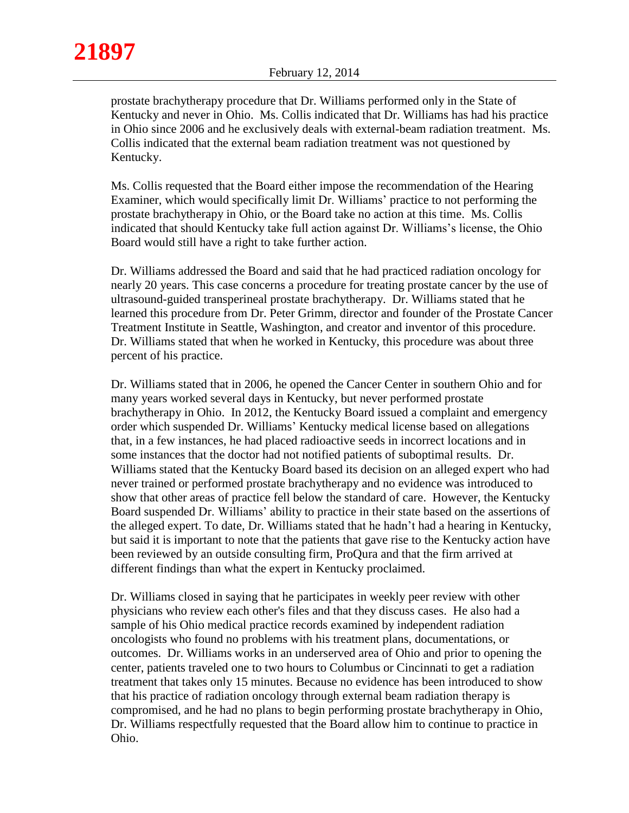prostate brachytherapy procedure that Dr. Williams performed only in the State of Kentucky and never in Ohio. Ms. Collis indicated that Dr. Williams has had his practice in Ohio since 2006 and he exclusively deals with external-beam radiation treatment. Ms. Collis indicated that the external beam radiation treatment was not questioned by Kentucky.

Ms. Collis requested that the Board either impose the recommendation of the Hearing Examiner, which would specifically limit Dr. Williams' practice to not performing the prostate brachytherapy in Ohio, or the Board take no action at this time. Ms. Collis indicated that should Kentucky take full action against Dr. Williams's license, the Ohio Board would still have a right to take further action.

Dr. Williams addressed the Board and said that he had practiced radiation oncology for nearly 20 years. This case concerns a procedure for treating prostate cancer by the use of ultrasound-guided transperineal prostate brachytherapy. Dr. Williams stated that he learned this procedure from Dr. Peter Grimm, director and founder of the Prostate Cancer Treatment Institute in Seattle, Washington, and creator and inventor of this procedure. Dr. Williams stated that when he worked in Kentucky, this procedure was about three percent of his practice.

Dr. Williams stated that in 2006, he opened the Cancer Center in southern Ohio and for many years worked several days in Kentucky, but never performed prostate brachytherapy in Ohio. In 2012, the Kentucky Board issued a complaint and emergency order which suspended Dr. Williams' Kentucky medical license based on allegations that, in a few instances, he had placed radioactive seeds in incorrect locations and in some instances that the doctor had not notified patients of suboptimal results. Dr. Williams stated that the Kentucky Board based its decision on an alleged expert who had never trained or performed prostate brachytherapy and no evidence was introduced to show that other areas of practice fell below the standard of care. However, the Kentucky Board suspended Dr. Williams' ability to practice in their state based on the assertions of the alleged expert. To date, Dr. Williams stated that he hadn't had a hearing in Kentucky, but said it is important to note that the patients that gave rise to the Kentucky action have been reviewed by an outside consulting firm, ProQura and that the firm arrived at different findings than what the expert in Kentucky proclaimed.

Dr. Williams closed in saying that he participates in weekly peer review with other physicians who review each other's files and that they discuss cases. He also had a sample of his Ohio medical practice records examined by independent radiation oncologists who found no problems with his treatment plans, documentations, or outcomes. Dr. Williams works in an underserved area of Ohio and prior to opening the center, patients traveled one to two hours to Columbus or Cincinnati to get a radiation treatment that takes only 15 minutes. Because no evidence has been introduced to show that his practice of radiation oncology through external beam radiation therapy is compromised, and he had no plans to begin performing prostate brachytherapy in Ohio, Dr. Williams respectfully requested that the Board allow him to continue to practice in Ohio.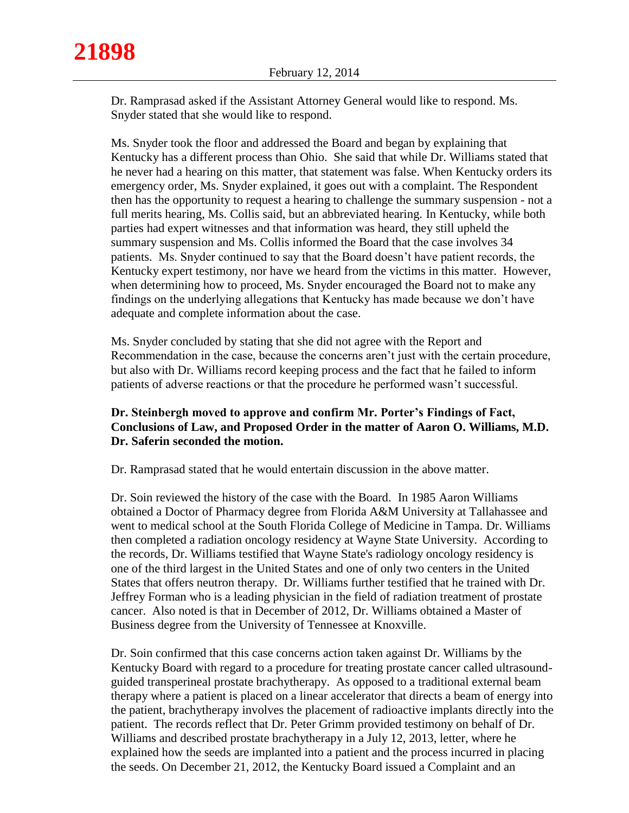Dr. Ramprasad asked if the Assistant Attorney General would like to respond. Ms. Snyder stated that she would like to respond.

Ms. Snyder took the floor and addressed the Board and began by explaining that Kentucky has a different process than Ohio. She said that while Dr. Williams stated that he never had a hearing on this matter, that statement was false. When Kentucky orders its emergency order, Ms. Snyder explained, it goes out with a complaint. The Respondent then has the opportunity to request a hearing to challenge the summary suspension - not a full merits hearing, Ms. Collis said, but an abbreviated hearing. In Kentucky, while both parties had expert witnesses and that information was heard, they still upheld the summary suspension and Ms. Collis informed the Board that the case involves 34 patients. Ms. Snyder continued to say that the Board doesn't have patient records, the Kentucky expert testimony, nor have we heard from the victims in this matter. However, when determining how to proceed, Ms. Snyder encouraged the Board not to make any findings on the underlying allegations that Kentucky has made because we don't have adequate and complete information about the case.

Ms. Snyder concluded by stating that she did not agree with the Report and Recommendation in the case, because the concerns aren't just with the certain procedure, but also with Dr. Williams record keeping process and the fact that he failed to inform patients of adverse reactions or that the procedure he performed wasn't successful.

## **Dr. Steinbergh moved to approve and confirm Mr. Porter's Findings of Fact, Conclusions of Law, and Proposed Order in the matter of Aaron O. Williams, M.D. Dr. Saferin seconded the motion.**

Dr. Ramprasad stated that he would entertain discussion in the above matter.

Dr. Soin reviewed the history of the case with the Board. In 1985 Aaron Williams obtained a Doctor of Pharmacy degree from Florida A&M University at Tallahassee and went to medical school at the South Florida College of Medicine in Tampa. Dr. Williams then completed a radiation oncology residency at Wayne State University. According to the records, Dr. Williams testified that Wayne State's radiology oncology residency is one of the third largest in the United States and one of only two centers in the United States that offers neutron therapy. Dr. Williams further testified that he trained with Dr. Jeffrey Forman who is a leading physician in the field of radiation treatment of prostate cancer. Also noted is that in December of 2012, Dr. Williams obtained a Master of Business degree from the University of Tennessee at Knoxville.

Dr. Soin confirmed that this case concerns action taken against Dr. Williams by the Kentucky Board with regard to a procedure for treating prostate cancer called ultrasoundguided transperineal prostate brachytherapy. As opposed to a traditional external beam therapy where a patient is placed on a linear accelerator that directs a beam of energy into the patient, brachytherapy involves the placement of radioactive implants directly into the patient. The records reflect that Dr. Peter Grimm provided testimony on behalf of Dr. Williams and described prostate brachytherapy in a July 12, 2013, letter, where he explained how the seeds are implanted into a patient and the process incurred in placing the seeds. On December 21, 2012, the Kentucky Board issued a Complaint and an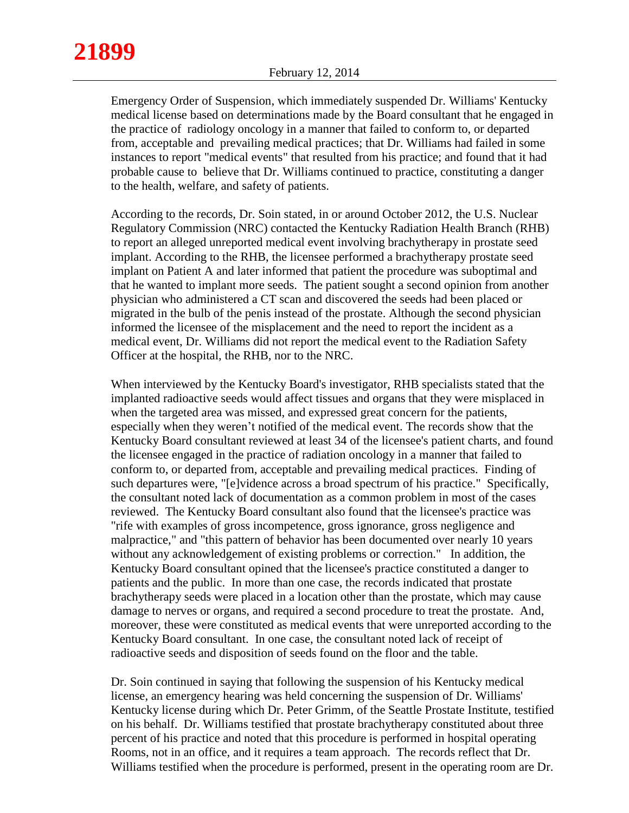Emergency Order of Suspension, which immediately suspended Dr. Williams' Kentucky medical license based on determinations made by the Board consultant that he engaged in the practice of radiology oncology in a manner that failed to conform to, or departed from, acceptable and prevailing medical practices; that Dr. Williams had failed in some instances to report "medical events" that resulted from his practice; and found that it had probable cause to believe that Dr. Williams continued to practice, constituting a danger to the health, welfare, and safety of patients.

According to the records, Dr. Soin stated, in or around October 2012, the U.S. Nuclear Regulatory Commission (NRC) contacted the Kentucky Radiation Health Branch (RHB) to report an alleged unreported medical event involving brachytherapy in prostate seed implant. According to the RHB, the licensee performed a brachytherapy prostate seed implant on Patient A and later informed that patient the procedure was suboptimal and that he wanted to implant more seeds. The patient sought a second opinion from another physician who administered a CT scan and discovered the seeds had been placed or migrated in the bulb of the penis instead of the prostate. Although the second physician informed the licensee of the misplacement and the need to report the incident as a medical event, Dr. Williams did not report the medical event to the Radiation Safety Officer at the hospital, the RHB, nor to the NRC.

When interviewed by the Kentucky Board's investigator, RHB specialists stated that the implanted radioactive seeds would affect tissues and organs that they were misplaced in when the targeted area was missed, and expressed great concern for the patients, especially when they weren't notified of the medical event. The records show that the Kentucky Board consultant reviewed at least 34 of the licensee's patient charts, and found the licensee engaged in the practice of radiation oncology in a manner that failed to conform to, or departed from, acceptable and prevailing medical practices. Finding of such departures were, "[e]vidence across a broad spectrum of his practice." Specifically, the consultant noted lack of documentation as a common problem in most of the cases reviewed. The Kentucky Board consultant also found that the licensee's practice was "rife with examples of gross incompetence, gross ignorance, gross negligence and malpractice," and "this pattern of behavior has been documented over nearly 10 years without any acknowledgement of existing problems or correction." In addition, the Kentucky Board consultant opined that the licensee's practice constituted a danger to patients and the public. In more than one case, the records indicated that prostate brachytherapy seeds were placed in a location other than the prostate, which may cause damage to nerves or organs, and required a second procedure to treat the prostate. And, moreover, these were constituted as medical events that were unreported according to the Kentucky Board consultant. In one case, the consultant noted lack of receipt of radioactive seeds and disposition of seeds found on the floor and the table.

Dr. Soin continued in saying that following the suspension of his Kentucky medical license, an emergency hearing was held concerning the suspension of Dr. Williams' Kentucky license during which Dr. Peter Grimm, of the Seattle Prostate Institute, testified on his behalf. Dr. Williams testified that prostate brachytherapy constituted about three percent of his practice and noted that this procedure is performed in hospital operating Rooms, not in an office, and it requires a team approach. The records reflect that Dr. Williams testified when the procedure is performed, present in the operating room are Dr.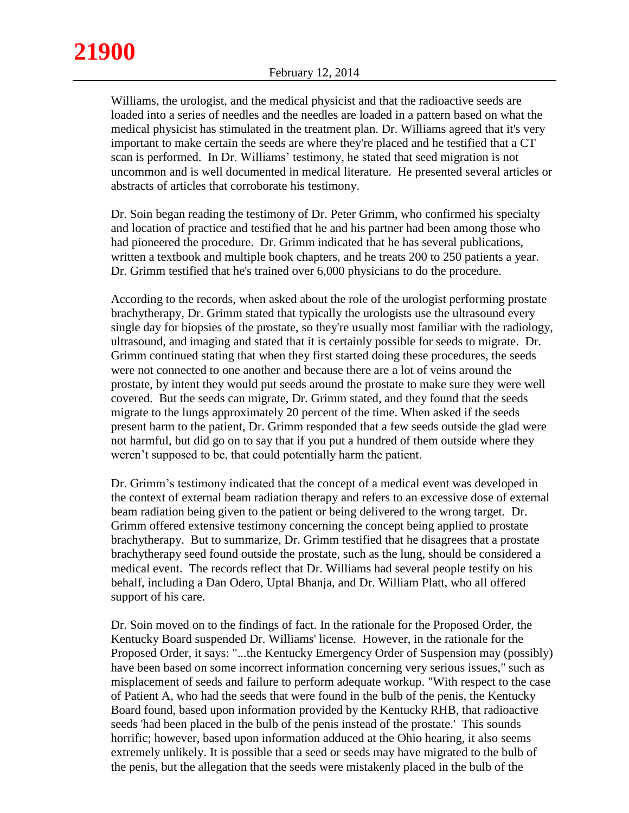Williams, the urologist, and the medical physicist and that the radioactive seeds are loaded into a series of needles and the needles are loaded in a pattern based on what the medical physicist has stimulated in the treatment plan. Dr. Williams agreed that it's very important to make certain the seeds are where they're placed and he testified that a CT scan is performed. In Dr. Williams' testimony, he stated that seed migration is not uncommon and is well documented in medical literature. He presented several articles or abstracts of articles that corroborate his testimony.

Dr. Soin began reading the testimony of Dr. Peter Grimm, who confirmed his specialty and location of practice and testified that he and his partner had been among those who had pioneered the procedure. Dr. Grimm indicated that he has several publications, written a textbook and multiple book chapters, and he treats 200 to 250 patients a year. Dr. Grimm testified that he's trained over 6,000 physicians to do the procedure.

According to the records, when asked about the role of the urologist performing prostate brachytherapy, Dr. Grimm stated that typically the urologists use the ultrasound every single day for biopsies of the prostate, so they're usually most familiar with the radiology, ultrasound, and imaging and stated that it is certainly possible for seeds to migrate. Dr. Grimm continued stating that when they first started doing these procedures, the seeds were not connected to one another and because there are a lot of veins around the prostate, by intent they would put seeds around the prostate to make sure they were well covered. But the seeds can migrate, Dr. Grimm stated, and they found that the seeds migrate to the lungs approximately 20 percent of the time. When asked if the seeds present harm to the patient, Dr. Grimm responded that a few seeds outside the glad were not harmful, but did go on to say that if you put a hundred of them outside where they weren't supposed to be, that could potentially harm the patient.

Dr. Grimm's testimony indicated that the concept of a medical event was developed in the context of external beam radiation therapy and refers to an excessive dose of external beam radiation being given to the patient or being delivered to the wrong target. Dr. Grimm offered extensive testimony concerning the concept being applied to prostate brachytherapy. But to summarize, Dr. Grimm testified that he disagrees that a prostate brachytherapy seed found outside the prostate, such as the lung, should be considered a medical event. The records reflect that Dr. Williams had several people testify on his behalf, including a Dan Odero, Uptal Bhanja, and Dr. William Platt, who all offered support of his care.

Dr. Soin moved on to the findings of fact. In the rationale for the Proposed Order, the Kentucky Board suspended Dr. Williams' license. However, in the rationale for the Proposed Order, it says: "...the Kentucky Emergency Order of Suspension may (possibly) have been based on some incorrect information concerning very serious issues," such as misplacement of seeds and failure to perform adequate workup. "With respect to the case of Patient A, who had the seeds that were found in the bulb of the penis, the Kentucky Board found, based upon information provided by the Kentucky RHB, that radioactive seeds 'had been placed in the bulb of the penis instead of the prostate.' This sounds horrific; however, based upon information adduced at the Ohio hearing, it also seems extremely unlikely. It is possible that a seed or seeds may have migrated to the bulb of the penis, but the allegation that the seeds were mistakenly placed in the bulb of the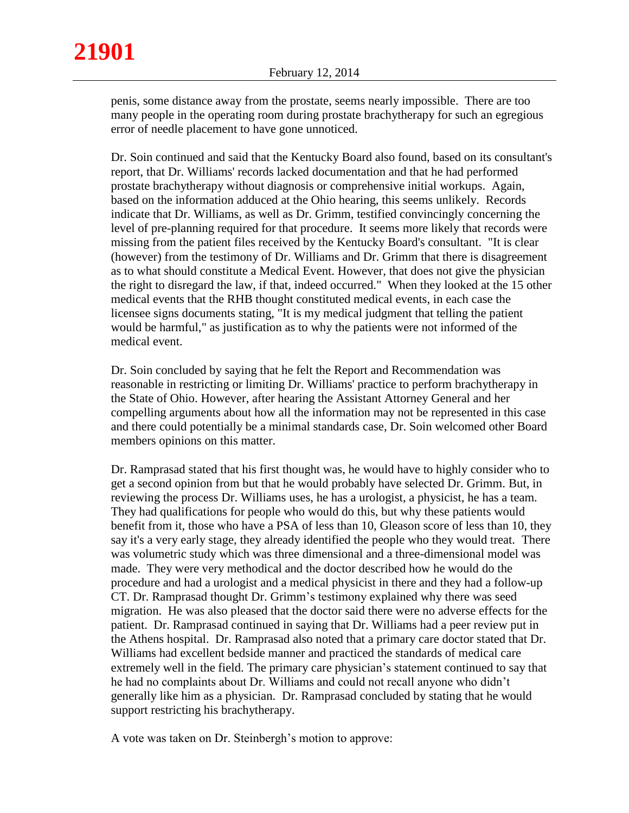penis, some distance away from the prostate, seems nearly impossible. There are too many people in the operating room during prostate brachytherapy for such an egregious error of needle placement to have gone unnoticed.

Dr. Soin continued and said that the Kentucky Board also found, based on its consultant's report, that Dr. Williams' records lacked documentation and that he had performed prostate brachytherapy without diagnosis or comprehensive initial workups. Again, based on the information adduced at the Ohio hearing, this seems unlikely. Records indicate that Dr. Williams, as well as Dr. Grimm, testified convincingly concerning the level of pre-planning required for that procedure. It seems more likely that records were missing from the patient files received by the Kentucky Board's consultant. "It is clear (however) from the testimony of Dr. Williams and Dr. Grimm that there is disagreement as to what should constitute a Medical Event. However, that does not give the physician the right to disregard the law, if that, indeed occurred." When they looked at the 15 other medical events that the RHB thought constituted medical events, in each case the licensee signs documents stating, "It is my medical judgment that telling the patient would be harmful," as justification as to why the patients were not informed of the medical event.

Dr. Soin concluded by saying that he felt the Report and Recommendation was reasonable in restricting or limiting Dr. Williams' practice to perform brachytherapy in the State of Ohio. However, after hearing the Assistant Attorney General and her compelling arguments about how all the information may not be represented in this case and there could potentially be a minimal standards case, Dr. Soin welcomed other Board members opinions on this matter.

Dr. Ramprasad stated that his first thought was, he would have to highly consider who to get a second opinion from but that he would probably have selected Dr. Grimm. But, in reviewing the process Dr. Williams uses, he has a urologist, a physicist, he has a team. They had qualifications for people who would do this, but why these patients would benefit from it, those who have a PSA of less than 10, Gleason score of less than 10, they say it's a very early stage, they already identified the people who they would treat. There was volumetric study which was three dimensional and a three-dimensional model was made. They were very methodical and the doctor described how he would do the procedure and had a urologist and a medical physicist in there and they had a follow-up CT. Dr. Ramprasad thought Dr. Grimm's testimony explained why there was seed migration. He was also pleased that the doctor said there were no adverse effects for the patient. Dr. Ramprasad continued in saying that Dr. Williams had a peer review put in the Athens hospital. Dr. Ramprasad also noted that a primary care doctor stated that Dr. Williams had excellent bedside manner and practiced the standards of medical care extremely well in the field. The primary care physician's statement continued to say that he had no complaints about Dr. Williams and could not recall anyone who didn't generally like him as a physician. Dr. Ramprasad concluded by stating that he would support restricting his brachytherapy.

A vote was taken on Dr. Steinbergh's motion to approve: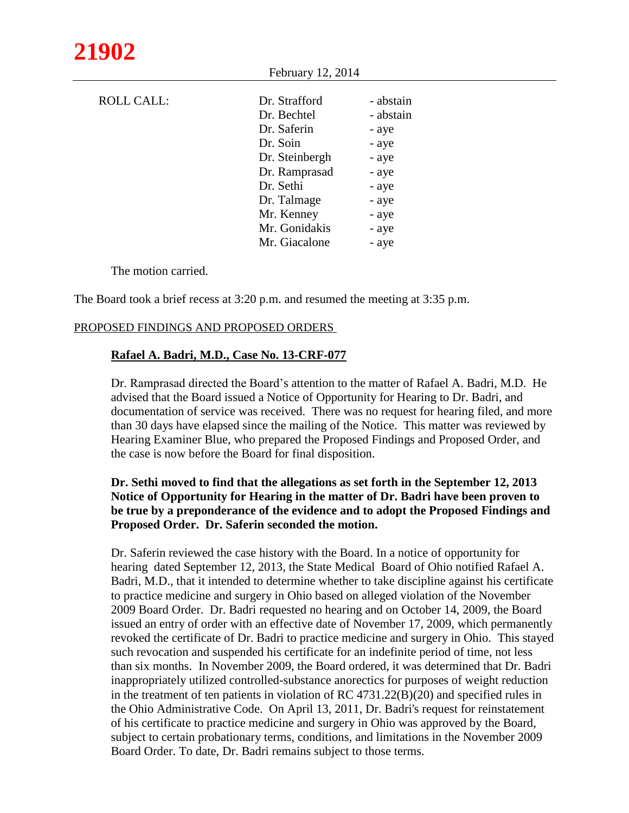| <b>ROLL CALL:</b> | Dr. Strafford  | - abstain |
|-------------------|----------------|-----------|
|                   | Dr. Bechtel    | - abstain |
|                   | Dr. Saferin    | - aye     |
|                   | Dr. Soin       | - aye     |
|                   | Dr. Steinbergh | - aye     |
|                   | Dr. Ramprasad  | - aye     |
|                   | Dr. Sethi      | - aye     |
|                   | Dr. Talmage    | - aye     |
|                   | Mr. Kenney     | - aye     |
|                   | Mr. Gonidakis  | - aye     |
|                   | Mr. Giacalone  | - aye     |

February 12, 2014

The motion carried.

The Board took a brief recess at 3:20 p.m. and resumed the meeting at 3:35 p.m.

## PROPOSED FINDINGS AND PROPOSED ORDERS

## **Rafael A. Badri, M.D., Case No. 13-CRF-077**

Dr. Ramprasad directed the Board's attention to the matter of Rafael A. Badri, M.D. He advised that the Board issued a Notice of Opportunity for Hearing to Dr. Badri, and documentation of service was received. There was no request for hearing filed, and more than 30 days have elapsed since the mailing of the Notice. This matter was reviewed by Hearing Examiner Blue, who prepared the Proposed Findings and Proposed Order, and the case is now before the Board for final disposition.

## **Dr. Sethi moved to find that the allegations as set forth in the September 12, 2013 Notice of Opportunity for Hearing in the matter of Dr. Badri have been proven to be true by a preponderance of the evidence and to adopt the Proposed Findings and Proposed Order. Dr. Saferin seconded the motion.**

Dr. Saferin reviewed the case history with the Board. In a notice of opportunity for hearing dated September 12, 2013, the State Medical Board of Ohio notified Rafael A. Badri, M.D., that it intended to determine whether to take discipline against his certificate to practice medicine and surgery in Ohio based on alleged violation of the November 2009 Board Order. Dr. Badri requested no hearing and on October 14, 2009, the Board issued an entry of order with an effective date of November 17, 2009, which permanently revoked the certificate of Dr. Badri to practice medicine and surgery in Ohio. This stayed such revocation and suspended his certificate for an indefinite period of time, not less than six months. In November 2009, the Board ordered, it was determined that Dr. Badri inappropriately utilized controlled-substance anorectics for purposes of weight reduction in the treatment of ten patients in violation of RC 4731.22(B)(20) and specified rules in the Ohio Administrative Code. On April 13, 2011, Dr. Badri's request for reinstatement of his certificate to practice medicine and surgery in Ohio was approved by the Board, subject to certain probationary terms, conditions, and limitations in the November 2009 Board Order. To date, Dr. Badri remains subject to those terms.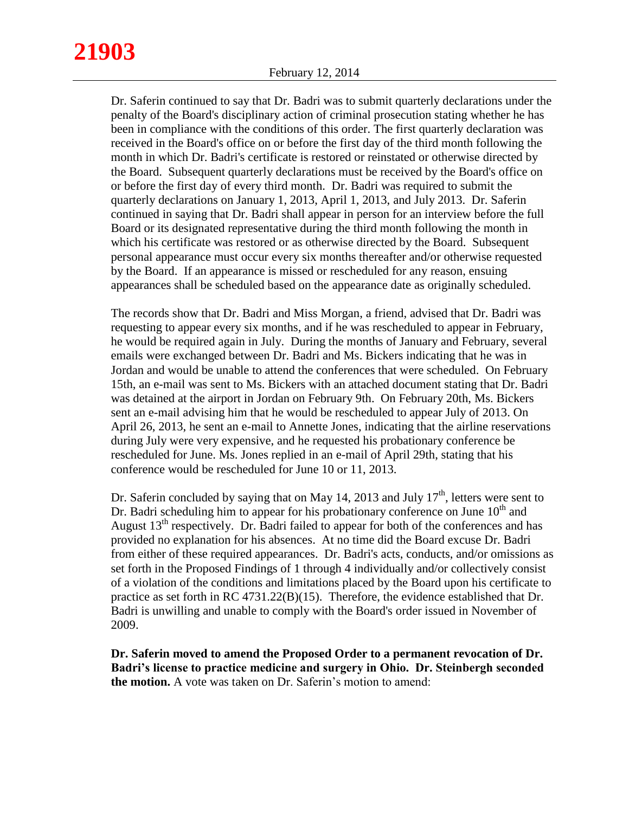Dr. Saferin continued to say that Dr. Badri was to submit quarterly declarations under the penalty of the Board's disciplinary action of criminal prosecution stating whether he has been in compliance with the conditions of this order. The first quarterly declaration was received in the Board's office on or before the first day of the third month following the month in which Dr. Badri's certificate is restored or reinstated or otherwise directed by the Board. Subsequent quarterly declarations must be received by the Board's office on or before the first day of every third month. Dr. Badri was required to submit the quarterly declarations on January 1, 2013, April 1, 2013, and July 2013. Dr. Saferin continued in saying that Dr. Badri shall appear in person for an interview before the full Board or its designated representative during the third month following the month in which his certificate was restored or as otherwise directed by the Board. Subsequent personal appearance must occur every six months thereafter and/or otherwise requested by the Board. If an appearance is missed or rescheduled for any reason, ensuing appearances shall be scheduled based on the appearance date as originally scheduled.

The records show that Dr. Badri and Miss Morgan, a friend, advised that Dr. Badri was requesting to appear every six months, and if he was rescheduled to appear in February, he would be required again in July. During the months of January and February, several emails were exchanged between Dr. Badri and Ms. Bickers indicating that he was in Jordan and would be unable to attend the conferences that were scheduled. On February 15th, an e-mail was sent to Ms. Bickers with an attached document stating that Dr. Badri was detained at the airport in Jordan on February 9th. On February 20th, Ms. Bickers sent an e-mail advising him that he would be rescheduled to appear July of 2013. On April 26, 2013, he sent an e-mail to Annette Jones, indicating that the airline reservations during July were very expensive, and he requested his probationary conference be rescheduled for June. Ms. Jones replied in an e-mail of April 29th, stating that his conference would be rescheduled for June 10 or 11, 2013.

Dr. Saferin concluded by saying that on May 14, 2013 and July  $17<sup>th</sup>$ , letters were sent to Dr. Badri scheduling him to appear for his probationary conference on June  $10<sup>th</sup>$  and August  $13<sup>th</sup>$  respectively. Dr. Badri failed to appear for both of the conferences and has provided no explanation for his absences. At no time did the Board excuse Dr. Badri from either of these required appearances. Dr. Badri's acts, conducts, and/or omissions as set forth in the Proposed Findings of 1 through 4 individually and/or collectively consist of a violation of the conditions and limitations placed by the Board upon his certificate to practice as set forth in RC 4731.22(B)(15). Therefore, the evidence established that Dr. Badri is unwilling and unable to comply with the Board's order issued in November of 2009.

**Dr. Saferin moved to amend the Proposed Order to a permanent revocation of Dr. Badri's license to practice medicine and surgery in Ohio. Dr. Steinbergh seconded the motion.** A vote was taken on Dr. Saferin's motion to amend: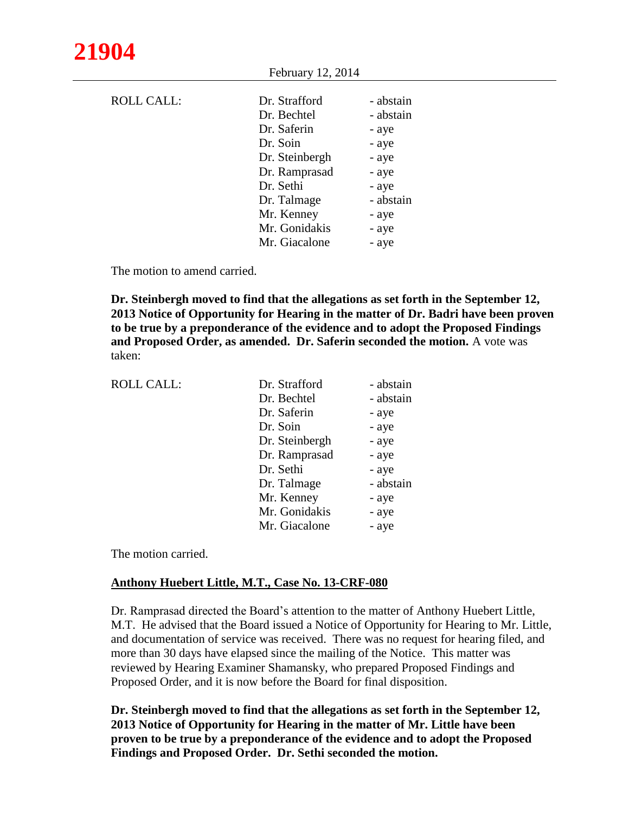| <b>ROLL CALL:</b> | Dr. Strafford  | - abstain |
|-------------------|----------------|-----------|
|                   | Dr. Bechtel    | - abstain |
|                   | Dr. Saferin    | - aye     |
|                   | Dr. Soin       | - aye     |
|                   | Dr. Steinbergh | - aye     |
|                   | Dr. Ramprasad  | - aye     |
|                   | Dr. Sethi      | - aye     |
|                   | Dr. Talmage    | - abstain |
|                   | Mr. Kenney     | - aye     |
|                   | Mr. Gonidakis  | - aye     |
|                   | Mr. Giacalone  | - aye     |

February 12, 2014

The motion to amend carried.

**Dr. Steinbergh moved to find that the allegations as set forth in the September 12, 2013 Notice of Opportunity for Hearing in the matter of Dr. Badri have been proven to be true by a preponderance of the evidence and to adopt the Proposed Findings and Proposed Order, as amended. Dr. Saferin seconded the motion.** A vote was taken:

| <b>ROLL CALL:</b> | Dr. Strafford  | - abstain |
|-------------------|----------------|-----------|
|                   | Dr. Bechtel    | - abstain |
|                   | Dr. Saferin    | - aye     |
|                   | Dr. Soin       | - aye     |
|                   | Dr. Steinbergh | - aye     |
|                   | Dr. Ramprasad  | - aye     |
|                   | Dr. Sethi      | - aye     |
|                   | Dr. Talmage    | - abstain |
|                   | Mr. Kenney     | - aye     |
|                   | Mr. Gonidakis  | - aye     |
|                   | Mr. Giacalone  | - aye     |
|                   |                |           |

The motion carried.

## **Anthony Huebert Little, M.T., Case No. 13-CRF-080**

Dr. Ramprasad directed the Board's attention to the matter of Anthony Huebert Little, M.T. He advised that the Board issued a Notice of Opportunity for Hearing to Mr. Little, and documentation of service was received. There was no request for hearing filed, and more than 30 days have elapsed since the mailing of the Notice. This matter was reviewed by Hearing Examiner Shamansky, who prepared Proposed Findings and Proposed Order, and it is now before the Board for final disposition.

**Dr. Steinbergh moved to find that the allegations as set forth in the September 12, 2013 Notice of Opportunity for Hearing in the matter of Mr. Little have been proven to be true by a preponderance of the evidence and to adopt the Proposed Findings and Proposed Order. Dr. Sethi seconded the motion.**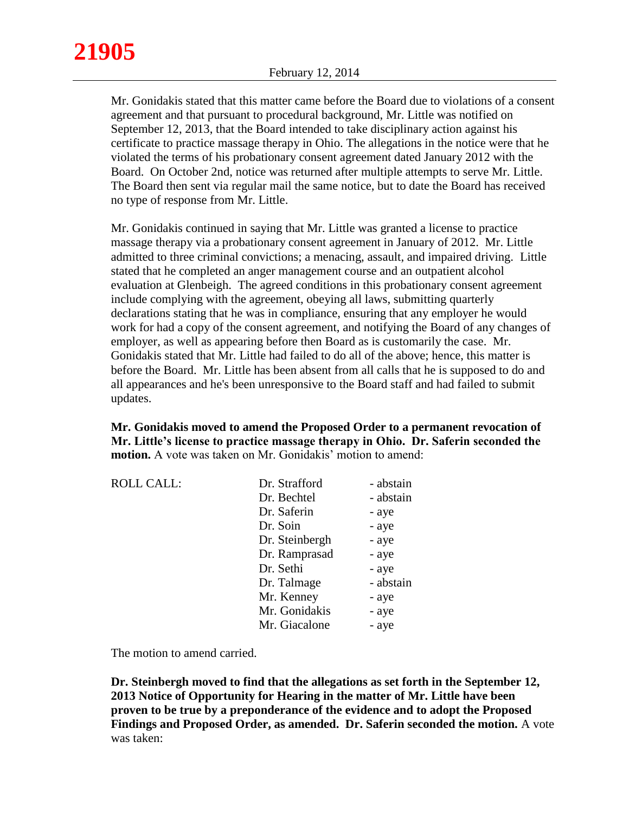Mr. Gonidakis stated that this matter came before the Board due to violations of a consent agreement and that pursuant to procedural background, Mr. Little was notified on September 12, 2013, that the Board intended to take disciplinary action against his certificate to practice massage therapy in Ohio. The allegations in the notice were that he violated the terms of his probationary consent agreement dated January 2012 with the Board. On October 2nd, notice was returned after multiple attempts to serve Mr. Little. The Board then sent via regular mail the same notice, but to date the Board has received no type of response from Mr. Little.

Mr. Gonidakis continued in saying that Mr. Little was granted a license to practice massage therapy via a probationary consent agreement in January of 2012. Mr. Little admitted to three criminal convictions; a menacing, assault, and impaired driving. Little stated that he completed an anger management course and an outpatient alcohol evaluation at Glenbeigh. The agreed conditions in this probationary consent agreement include complying with the agreement, obeying all laws, submitting quarterly declarations stating that he was in compliance, ensuring that any employer he would work for had a copy of the consent agreement, and notifying the Board of any changes of employer, as well as appearing before then Board as is customarily the case. Mr. Gonidakis stated that Mr. Little had failed to do all of the above; hence, this matter is before the Board. Mr. Little has been absent from all calls that he is supposed to do and all appearances and he's been unresponsive to the Board staff and had failed to submit updates.

**Mr. Gonidakis moved to amend the Proposed Order to a permanent revocation of Mr. Little's license to practice massage therapy in Ohio. Dr. Saferin seconded the motion.** A vote was taken on Mr. Gonidakis' motion to amend:

| <b>ROLL CALL:</b> | Dr. Strafford  | - abstain |
|-------------------|----------------|-----------|
|                   | Dr. Bechtel    | - abstain |
|                   | Dr. Saferin    | - aye     |
|                   | Dr. Soin       | - aye     |
|                   | Dr. Steinbergh | - aye     |
|                   | Dr. Ramprasad  | - aye     |
|                   | Dr. Sethi      | - aye     |
|                   | Dr. Talmage    | - abstain |
|                   | Mr. Kenney     | - aye     |
|                   | Mr. Gonidakis  | - aye     |
|                   | Mr. Giacalone  | - aye     |
|                   |                |           |

The motion to amend carried.

**Dr. Steinbergh moved to find that the allegations as set forth in the September 12, 2013 Notice of Opportunity for Hearing in the matter of Mr. Little have been proven to be true by a preponderance of the evidence and to adopt the Proposed Findings and Proposed Order, as amended. Dr. Saferin seconded the motion.** A vote was taken: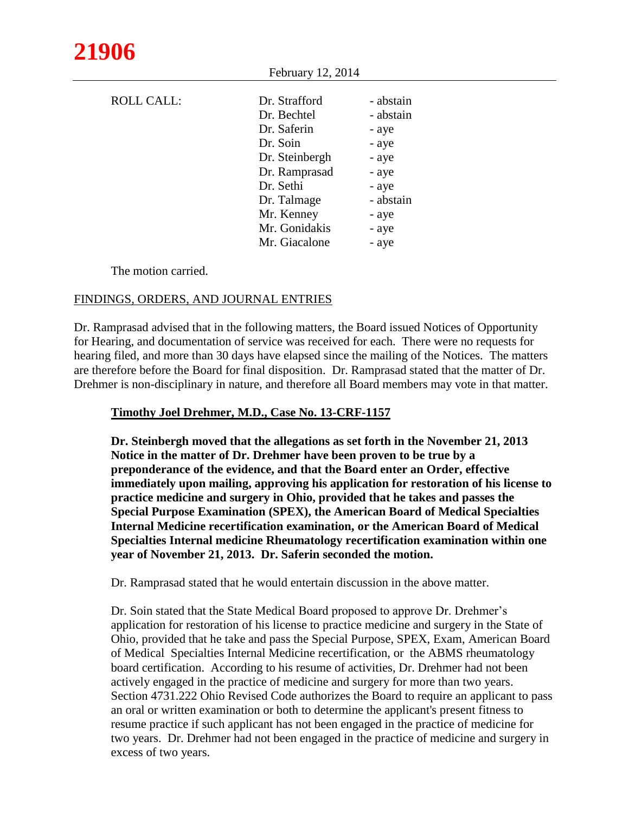| <b>ROLL CALL:</b> | Dr. Strafford  | - abstain |
|-------------------|----------------|-----------|
|                   | Dr. Bechtel    | - abstain |
|                   | Dr. Saferin    | - aye     |
|                   | Dr. Soin       | - aye     |
|                   | Dr. Steinbergh | - aye     |
|                   | Dr. Ramprasad  | - aye     |
|                   | Dr. Sethi      | - aye     |
|                   | Dr. Talmage    | - abstain |
|                   | Mr. Kenney     | - aye     |
|                   | Mr. Gonidakis  | - aye     |
|                   | Mr. Giacalone  | - aye     |

The motion carried.

## FINDINGS, ORDERS, AND JOURNAL ENTRIES

Dr. Ramprasad advised that in the following matters, the Board issued Notices of Opportunity for Hearing, and documentation of service was received for each. There were no requests for hearing filed, and more than 30 days have elapsed since the mailing of the Notices. The matters are therefore before the Board for final disposition. Dr. Ramprasad stated that the matter of Dr. Drehmer is non-disciplinary in nature, and therefore all Board members may vote in that matter.

February 12, 2014

## **Timothy Joel Drehmer, M.D., Case No. 13-CRF-1157**

**Dr. Steinbergh moved that the allegations as set forth in the November 21, 2013 Notice in the matter of Dr. Drehmer have been proven to be true by a preponderance of the evidence, and that the Board enter an Order, effective immediately upon mailing, approving his application for restoration of his license to practice medicine and surgery in Ohio, provided that he takes and passes the Special Purpose Examination (SPEX), the American Board of Medical Specialties Internal Medicine recertification examination, or the American Board of Medical Specialties Internal medicine Rheumatology recertification examination within one year of November 21, 2013. Dr. Saferin seconded the motion.** 

Dr. Ramprasad stated that he would entertain discussion in the above matter.

Dr. Soin stated that the State Medical Board proposed to approve Dr. Drehmer's application for restoration of his license to practice medicine and surgery in the State of Ohio, provided that he take and pass the Special Purpose, SPEX, Exam, American Board of Medical Specialties Internal Medicine recertification, or the ABMS rheumatology board certification. According to his resume of activities, Dr. Drehmer had not been actively engaged in the practice of medicine and surgery for more than two years. Section 4731.222 Ohio Revised Code authorizes the Board to require an applicant to pass an oral or written examination or both to determine the applicant's present fitness to resume practice if such applicant has not been engaged in the practice of medicine for two years. Dr. Drehmer had not been engaged in the practice of medicine and surgery in excess of two years.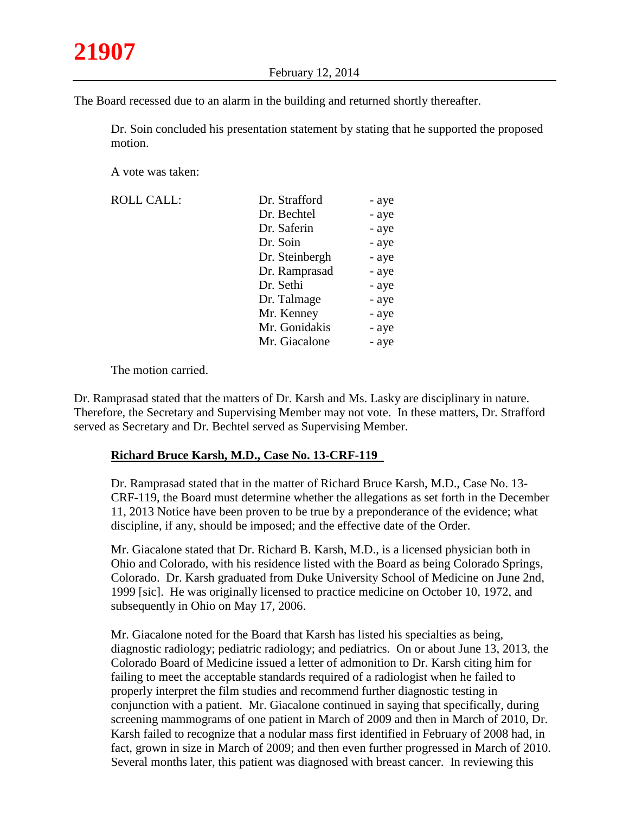The Board recessed due to an alarm in the building and returned shortly thereafter.

Dr. Soin concluded his presentation statement by stating that he supported the proposed motion.

A vote was taken:

| Dr. Strafford  | - aye |
|----------------|-------|
| Dr. Bechtel    | - aye |
| Dr. Saferin    | - aye |
| Dr. Soin       | - aye |
| Dr. Steinbergh | - aye |
| Dr. Ramprasad  | - aye |
| Dr. Sethi      | - aye |
| Dr. Talmage    | - aye |
| Mr. Kenney     | - aye |
| Mr. Gonidakis  | - aye |
| Mr. Giacalone  | - aye |
|                |       |

The motion carried.

Dr. Ramprasad stated that the matters of Dr. Karsh and Ms. Lasky are disciplinary in nature. Therefore, the Secretary and Supervising Member may not vote. In these matters, Dr. Strafford served as Secretary and Dr. Bechtel served as Supervising Member.

## **Richard Bruce Karsh, M.D., Case No. 13-CRF-119**

Dr. Ramprasad stated that in the matter of Richard Bruce Karsh, M.D., Case No. 13- CRF-119, the Board must determine whether the allegations as set forth in the December 11, 2013 Notice have been proven to be true by a preponderance of the evidence; what discipline, if any, should be imposed; and the effective date of the Order.

Mr. Giacalone stated that Dr. Richard B. Karsh, M.D., is a licensed physician both in Ohio and Colorado, with his residence listed with the Board as being Colorado Springs, Colorado. Dr. Karsh graduated from Duke University School of Medicine on June 2nd, 1999 [sic]. He was originally licensed to practice medicine on October 10, 1972, and subsequently in Ohio on May 17, 2006.

Mr. Giacalone noted for the Board that Karsh has listed his specialties as being, diagnostic radiology; pediatric radiology; and pediatrics. On or about June 13, 2013, the Colorado Board of Medicine issued a letter of admonition to Dr. Karsh citing him for failing to meet the acceptable standards required of a radiologist when he failed to properly interpret the film studies and recommend further diagnostic testing in conjunction with a patient. Mr. Giacalone continued in saying that specifically, during screening mammograms of one patient in March of 2009 and then in March of 2010, Dr. Karsh failed to recognize that a nodular mass first identified in February of 2008 had, in fact, grown in size in March of 2009; and then even further progressed in March of 2010. Several months later, this patient was diagnosed with breast cancer. In reviewing this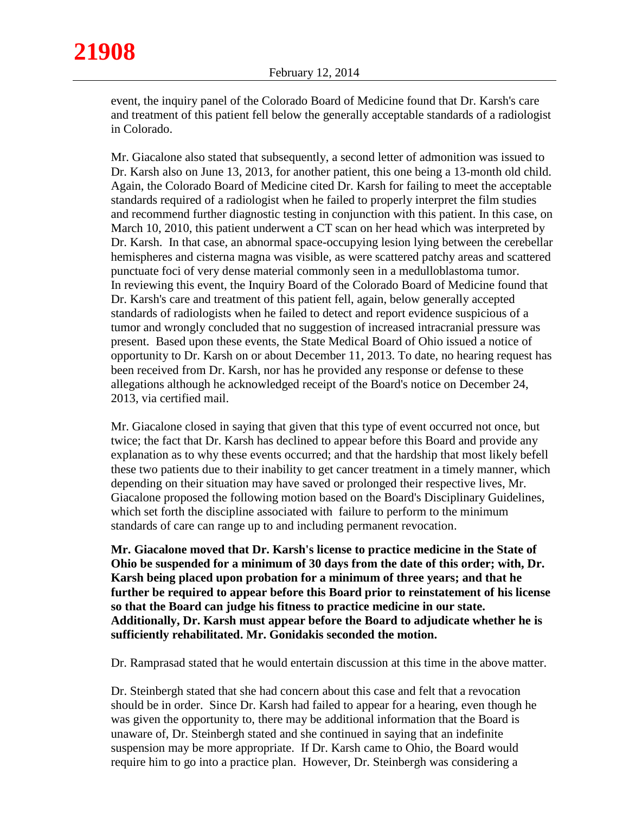event, the inquiry panel of the Colorado Board of Medicine found that Dr. Karsh's care and treatment of this patient fell below the generally acceptable standards of a radiologist in Colorado.

Mr. Giacalone also stated that subsequently, a second letter of admonition was issued to Dr. Karsh also on June 13, 2013, for another patient, this one being a 13-month old child. Again, the Colorado Board of Medicine cited Dr. Karsh for failing to meet the acceptable standards required of a radiologist when he failed to properly interpret the film studies and recommend further diagnostic testing in conjunction with this patient. In this case, on March 10, 2010, this patient underwent a CT scan on her head which was interpreted by Dr. Karsh. In that case, an abnormal space-occupying lesion lying between the cerebellar hemispheres and cisterna magna was visible, as were scattered patchy areas and scattered punctuate foci of very dense material commonly seen in a medulloblastoma tumor. In reviewing this event, the Inquiry Board of the Colorado Board of Medicine found that Dr. Karsh's care and treatment of this patient fell, again, below generally accepted standards of radiologists when he failed to detect and report evidence suspicious of a tumor and wrongly concluded that no suggestion of increased intracranial pressure was present. Based upon these events, the State Medical Board of Ohio issued a notice of opportunity to Dr. Karsh on or about December 11, 2013. To date, no hearing request has been received from Dr. Karsh, nor has he provided any response or defense to these allegations although he acknowledged receipt of the Board's notice on December 24, 2013, via certified mail.

Mr. Giacalone closed in saying that given that this type of event occurred not once, but twice; the fact that Dr. Karsh has declined to appear before this Board and provide any explanation as to why these events occurred; and that the hardship that most likely befell these two patients due to their inability to get cancer treatment in a timely manner, which depending on their situation may have saved or prolonged their respective lives, Mr. Giacalone proposed the following motion based on the Board's Disciplinary Guidelines, which set forth the discipline associated with failure to perform to the minimum standards of care can range up to and including permanent revocation.

**Mr. Giacalone moved that Dr. Karsh's license to practice medicine in the State of Ohio be suspended for a minimum of 30 days from the date of this order; with, Dr. Karsh being placed upon probation for a minimum of three years; and that he further be required to appear before this Board prior to reinstatement of his license so that the Board can judge his fitness to practice medicine in our state. Additionally, Dr. Karsh must appear before the Board to adjudicate whether he is sufficiently rehabilitated. Mr. Gonidakis seconded the motion.**

Dr. Ramprasad stated that he would entertain discussion at this time in the above matter.

Dr. Steinbergh stated that she had concern about this case and felt that a revocation should be in order. Since Dr. Karsh had failed to appear for a hearing, even though he was given the opportunity to, there may be additional information that the Board is unaware of, Dr. Steinbergh stated and she continued in saying that an indefinite suspension may be more appropriate. If Dr. Karsh came to Ohio, the Board would require him to go into a practice plan. However, Dr. Steinbergh was considering a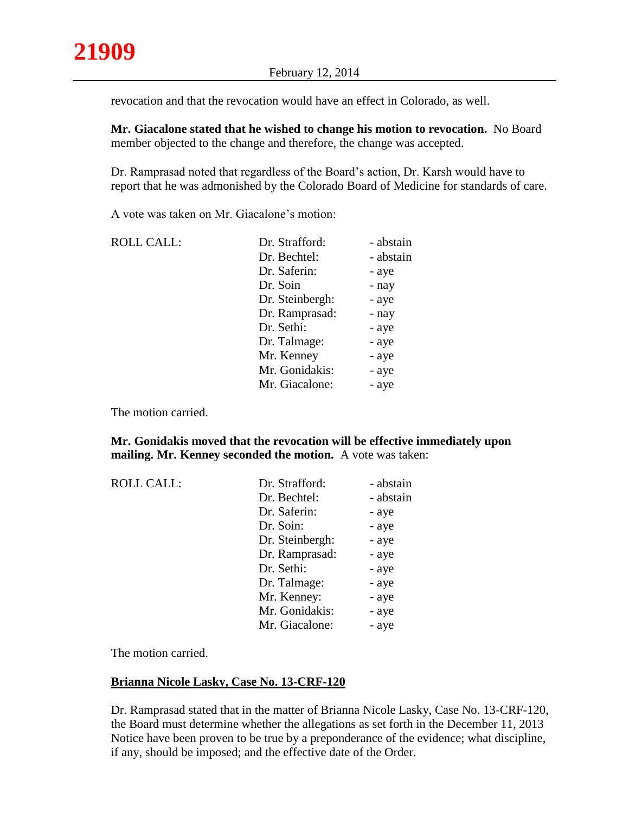revocation and that the revocation would have an effect in Colorado, as well.

**Mr. Giacalone stated that he wished to change his motion to revocation.** No Board member objected to the change and therefore, the change was accepted.

Dr. Ramprasad noted that regardless of the Board's action, Dr. Karsh would have to report that he was admonished by the Colorado Board of Medicine for standards of care.

A vote was taken on Mr. Giacalone's motion:

| <b>ROLL CALL:</b> | Dr. Strafford:  | - abstain |
|-------------------|-----------------|-----------|
|                   | Dr. Bechtel:    | - abstain |
|                   | Dr. Saferin:    | - aye     |
|                   | Dr. Soin        | - nay     |
|                   | Dr. Steinbergh: | - aye     |
|                   | Dr. Ramprasad:  | - nay     |
|                   | Dr. Sethi:      | - aye     |
|                   | Dr. Talmage:    | - aye     |
|                   | Mr. Kenney      | - aye     |
|                   | Mr. Gonidakis:  | - aye     |
|                   | Mr. Giacalone:  | - aye     |
|                   |                 |           |

The motion carried.

## **Mr. Gonidakis moved that the revocation will be effective immediately upon mailing. Mr. Kenney seconded the motion.** A vote was taken:

| <b>ROLL CALL:</b> | Dr. Strafford:  | - abstain |
|-------------------|-----------------|-----------|
|                   | Dr. Bechtel:    | - abstain |
|                   | Dr. Saferin:    | - aye     |
|                   | Dr. Soin:       | - aye     |
|                   | Dr. Steinbergh: | - aye     |
|                   | Dr. Ramprasad:  | - aye     |
|                   | Dr. Sethi:      | - aye     |
|                   | Dr. Talmage:    | - aye     |
|                   | Mr. Kenney:     | - aye     |
|                   | Mr. Gonidakis:  | - aye     |
|                   | Mr. Giacalone:  | - aye     |

The motion carried.

## **Brianna Nicole Lasky, Case No. 13-CRF-120**

Dr. Ramprasad stated that in the matter of Brianna Nicole Lasky, Case No. 13-CRF-120, the Board must determine whether the allegations as set forth in the December 11, 2013 Notice have been proven to be true by a preponderance of the evidence; what discipline, if any, should be imposed; and the effective date of the Order.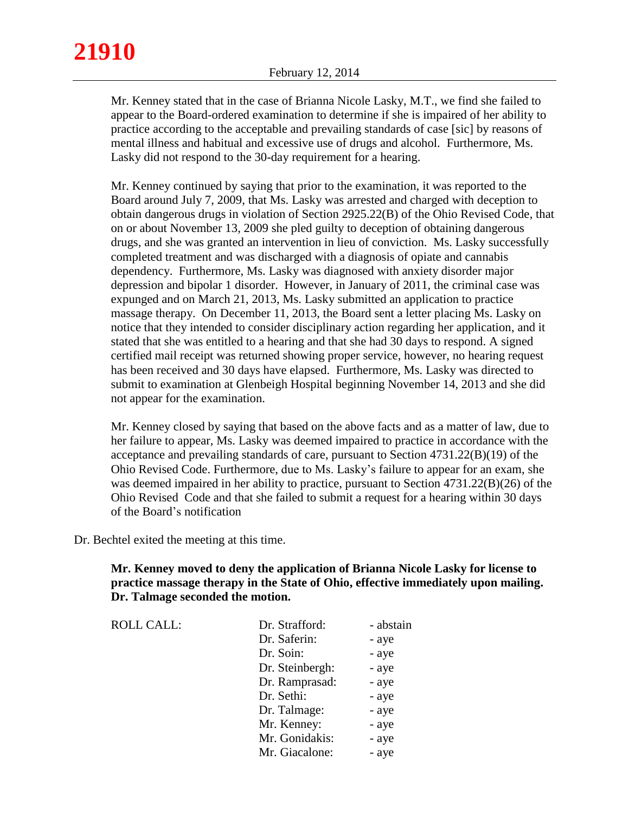Mr. Kenney stated that in the case of Brianna Nicole Lasky, M.T., we find she failed to appear to the Board-ordered examination to determine if she is impaired of her ability to practice according to the acceptable and prevailing standards of case [sic] by reasons of mental illness and habitual and excessive use of drugs and alcohol. Furthermore, Ms. Lasky did not respond to the 30-day requirement for a hearing.

Mr. Kenney continued by saying that prior to the examination, it was reported to the Board around July 7, 2009, that Ms. Lasky was arrested and charged with deception to obtain dangerous drugs in violation of Section 2925.22(B) of the Ohio Revised Code, that on or about November 13, 2009 she pled guilty to deception of obtaining dangerous drugs, and she was granted an intervention in lieu of conviction. Ms. Lasky successfully completed treatment and was discharged with a diagnosis of opiate and cannabis dependency. Furthermore, Ms. Lasky was diagnosed with anxiety disorder major depression and bipolar 1 disorder. However, in January of 2011, the criminal case was expunged and on March 21, 2013, Ms. Lasky submitted an application to practice massage therapy. On December 11, 2013, the Board sent a letter placing Ms. Lasky on notice that they intended to consider disciplinary action regarding her application, and it stated that she was entitled to a hearing and that she had 30 days to respond. A signed certified mail receipt was returned showing proper service, however, no hearing request has been received and 30 days have elapsed. Furthermore, Ms. Lasky was directed to submit to examination at Glenbeigh Hospital beginning November 14, 2013 and she did not appear for the examination.

Mr. Kenney closed by saying that based on the above facts and as a matter of law, due to her failure to appear, Ms. Lasky was deemed impaired to practice in accordance with the acceptance and prevailing standards of care, pursuant to Section 4731.22(B)(19) of the Ohio Revised Code. Furthermore, due to Ms. Lasky's failure to appear for an exam, she was deemed impaired in her ability to practice, pursuant to Section 4731.22(B)(26) of the Ohio Revised Code and that she failed to submit a request for a hearing within 30 days of the Board's notification

Dr. Bechtel exited the meeting at this time.

**21910**

**Mr. Kenney moved to deny the application of Brianna Nicole Lasky for license to practice massage therapy in the State of Ohio, effective immediately upon mailing. Dr. Talmage seconded the motion.**

| <b>ROLL CALL:</b> | Dr. Strafford:  | - abstain |
|-------------------|-----------------|-----------|
|                   | Dr. Saferin:    | - aye     |
|                   | Dr. Soin:       | - aye     |
|                   | Dr. Steinbergh: | - aye     |
|                   | Dr. Ramprasad:  | - aye     |
|                   | Dr. Sethi:      | - aye     |
|                   | Dr. Talmage:    | - aye     |
|                   | Mr. Kenney:     | - aye     |
|                   | Mr. Gonidakis:  | - aye     |
|                   | Mr. Giacalone:  | - aye     |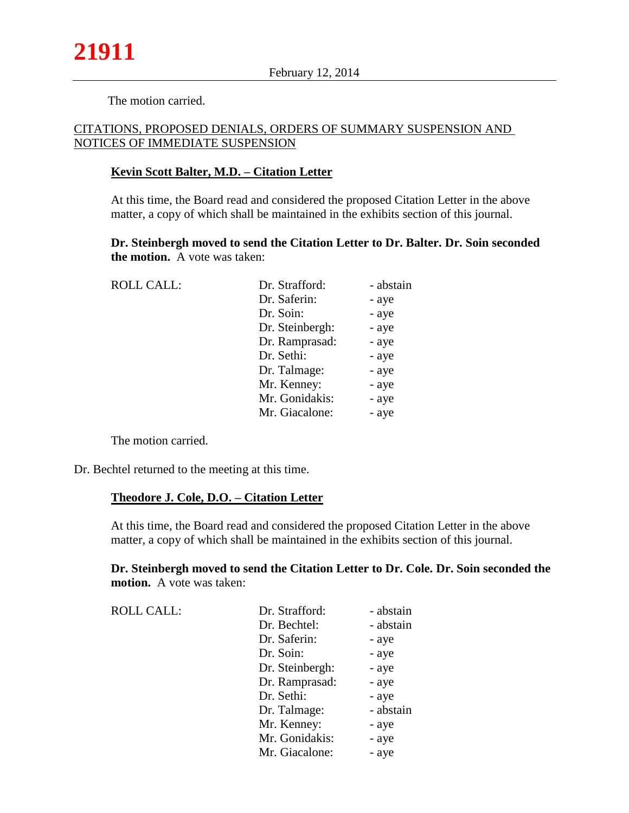The motion carried.

## CITATIONS, PROPOSED DENIALS, ORDERS OF SUMMARY SUSPENSION AND NOTICES OF IMMEDIATE SUSPENSION

## **Kevin Scott Balter, M.D. – Citation Letter**

At this time, the Board read and considered the proposed Citation Letter in the above matter, a copy of which shall be maintained in the exhibits section of this journal.

**Dr. Steinbergh moved to send the Citation Letter to Dr. Balter. Dr. Soin seconded the motion.** A vote was taken:

| <b>ROLL CALL:</b> | Dr. Strafford:  | - abstain |
|-------------------|-----------------|-----------|
|                   | Dr. Saferin:    | - aye     |
|                   | Dr. Soin:       | - aye     |
|                   | Dr. Steinbergh: | - aye     |
|                   | Dr. Ramprasad:  | - aye     |
|                   | Dr. Sethi:      | - aye     |
|                   | Dr. Talmage:    | - aye     |
|                   | Mr. Kenney:     | - aye     |
|                   | Mr. Gonidakis:  | - aye     |
|                   | Mr. Giacalone:  | - aye     |

The motion carried.

Dr. Bechtel returned to the meeting at this time.

## **Theodore J. Cole, D.O. – Citation Letter**

At this time, the Board read and considered the proposed Citation Letter in the above matter, a copy of which shall be maintained in the exhibits section of this journal.

## **Dr. Steinbergh moved to send the Citation Letter to Dr. Cole. Dr. Soin seconded the motion.** A vote was taken:

| <b>ROLL CALL:</b> | Dr. Strafford:  | - abstain |
|-------------------|-----------------|-----------|
|                   | Dr. Bechtel:    | - abstain |
|                   | Dr. Saferin:    | - aye     |
|                   | Dr. Soin:       | - aye     |
|                   | Dr. Steinbergh: | - aye     |
|                   | Dr. Ramprasad:  | - aye     |
|                   | Dr. Sethi:      | - aye     |
|                   | Dr. Talmage:    | - abstain |
|                   | Mr. Kenney:     | - aye     |
|                   | Mr. Gonidakis:  | - aye     |
|                   | Mr. Giacalone:  | - aye     |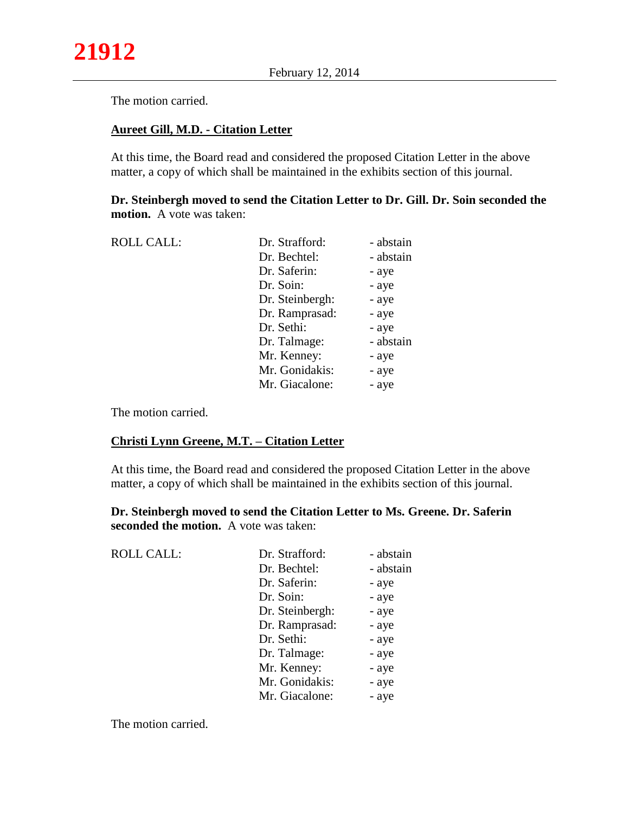The motion carried.

#### **Aureet Gill, M.D. - Citation Letter**

At this time, the Board read and considered the proposed Citation Letter in the above matter, a copy of which shall be maintained in the exhibits section of this journal.

**Dr. Steinbergh moved to send the Citation Letter to Dr. Gill. Dr. Soin seconded the motion.** A vote was taken:

| <b>ROLL CALL:</b> | Dr. Strafford:  | - abstain |
|-------------------|-----------------|-----------|
|                   | Dr. Bechtel:    | - abstain |
|                   | Dr. Saferin:    | - aye     |
|                   | Dr. Soin:       | - aye     |
|                   | Dr. Steinbergh: | - aye     |
|                   | Dr. Ramprasad:  | - aye     |
|                   | Dr. Sethi:      | - aye     |
|                   | Dr. Talmage:    | - abstain |
|                   | Mr. Kenney:     | - aye     |
|                   | Mr. Gonidakis:  | - aye     |
|                   | Mr. Giacalone:  | - aye     |
|                   |                 |           |

The motion carried.

#### **Christi Lynn Greene, M.T. – Citation Letter**

At this time, the Board read and considered the proposed Citation Letter in the above matter, a copy of which shall be maintained in the exhibits section of this journal.

**Dr. Steinbergh moved to send the Citation Letter to Ms. Greene. Dr. Saferin seconded the motion.** A vote was taken:

| <b>ROLL CALL:</b> | Dr. Strafford:  | - abstain |
|-------------------|-----------------|-----------|
|                   | Dr. Bechtel:    | - abstain |
|                   | Dr. Saferin:    | - aye     |
|                   | Dr. Soin:       | - aye     |
|                   | Dr. Steinbergh: | - aye     |
|                   | Dr. Ramprasad:  | - aye     |
|                   | Dr. Sethi:      | - aye     |
|                   | Dr. Talmage:    | - aye     |
|                   | Mr. Kenney:     | - aye     |
|                   | Mr. Gonidakis:  | - aye     |
|                   | Mr. Giacalone:  | - aye     |

The motion carried.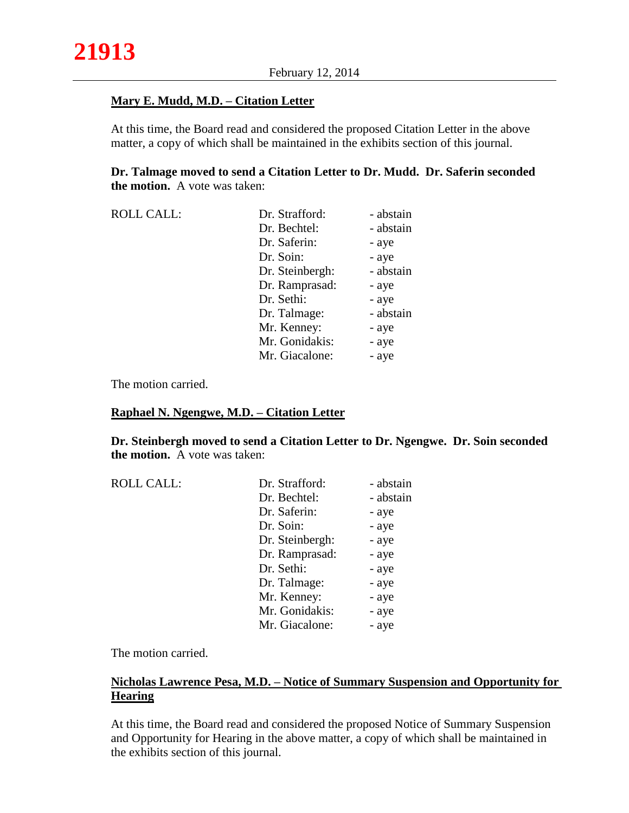## **Mary E. Mudd, M.D. – Citation Letter**

At this time, the Board read and considered the proposed Citation Letter in the above matter, a copy of which shall be maintained in the exhibits section of this journal.

## **Dr. Talmage moved to send a Citation Letter to Dr. Mudd. Dr. Saferin seconded the motion.** A vote was taken:

| <b>ROLL CALL:</b> | Dr. Strafford:  | - abstain |
|-------------------|-----------------|-----------|
|                   | Dr. Bechtel:    | - abstain |
|                   | Dr. Saferin:    | - aye     |
|                   | Dr. Soin:       | - aye     |
|                   | Dr. Steinbergh: | - abstain |
|                   | Dr. Ramprasad:  | - aye     |
|                   | Dr. Sethi:      | - aye     |
|                   | Dr. Talmage:    | - abstain |
|                   | Mr. Kenney:     | - aye     |
|                   | Mr. Gonidakis:  | - aye     |
|                   | Mr. Giacalone:  | - aye     |

The motion carried.

#### **Raphael N. Ngengwe, M.D. – Citation Letter**

**Dr. Steinbergh moved to send a Citation Letter to Dr. Ngengwe. Dr. Soin seconded the motion.** A vote was taken:

| <b>ROLL CALL:</b> | Dr. Strafford:  | - abstain |
|-------------------|-----------------|-----------|
|                   | Dr. Bechtel:    | - abstain |
|                   | Dr. Saferin:    | - aye     |
|                   | Dr. Soin:       | - aye     |
|                   | Dr. Steinbergh: | - aye     |
|                   | Dr. Ramprasad:  | - aye     |
|                   | Dr. Sethi:      | - aye     |
|                   | Dr. Talmage:    | - aye     |
|                   | Mr. Kenney:     | - aye     |
|                   | Mr. Gonidakis:  | - aye     |
|                   | Mr. Giacalone:  | - aye     |

The motion carried.

## **Nicholas Lawrence Pesa, M.D. – Notice of Summary Suspension and Opportunity for Hearing**

At this time, the Board read and considered the proposed Notice of Summary Suspension and Opportunity for Hearing in the above matter, a copy of which shall be maintained in the exhibits section of this journal.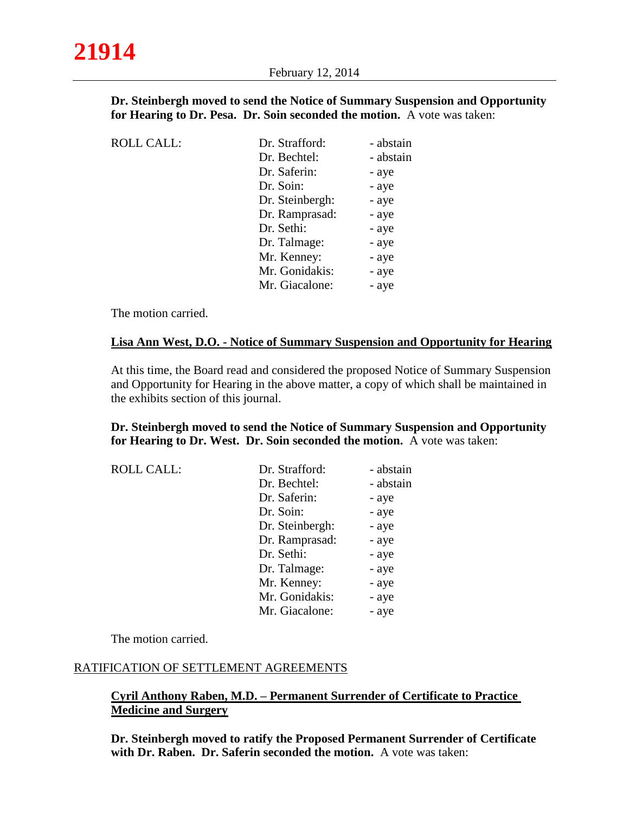**Dr. Steinbergh moved to send the Notice of Summary Suspension and Opportunity for Hearing to Dr. Pesa. Dr. Soin seconded the motion.** A vote was taken:

| <b>ROLL CALL:</b> | Dr. Strafford:  | - abstain |
|-------------------|-----------------|-----------|
|                   | Dr. Bechtel:    | - abstain |
|                   | Dr. Saferin:    | - aye     |
|                   | Dr. Soin:       | - aye     |
|                   | Dr. Steinbergh: | - aye     |
|                   | Dr. Ramprasad:  | - aye     |
|                   | Dr. Sethi:      | - aye     |
|                   | Dr. Talmage:    | - aye     |
|                   | Mr. Kenney:     | - aye     |
|                   | Mr. Gonidakis:  | - aye     |
|                   | Mr. Giacalone:  | - aye     |

The motion carried.

## **Lisa Ann West, D.O. - Notice of Summary Suspension and Opportunity for Hearing**

At this time, the Board read and considered the proposed Notice of Summary Suspension and Opportunity for Hearing in the above matter, a copy of which shall be maintained in the exhibits section of this journal.

## **Dr. Steinbergh moved to send the Notice of Summary Suspension and Opportunity for Hearing to Dr. West. Dr. Soin seconded the motion.** A vote was taken:

| <b>ROLL CALL:</b> | Dr. Strafford:  | - abstain |
|-------------------|-----------------|-----------|
|                   | Dr. Bechtel:    | - abstain |
|                   | Dr. Saferin:    | - aye     |
|                   | Dr. Soin:       | - aye     |
|                   | Dr. Steinbergh: | - aye     |
|                   | Dr. Ramprasad:  | - aye     |
|                   | Dr. Sethi:      | - aye     |
|                   | Dr. Talmage:    | - aye     |
|                   | Mr. Kenney:     | - aye     |
|                   | Mr. Gonidakis:  | - aye     |
|                   | Mr. Giacalone:  | - aye     |

The motion carried.

## RATIFICATION OF SETTLEMENT AGREEMENTS

## **Cyril Anthony Raben, M.D. – Permanent Surrender of Certificate to Practice Medicine and Surgery**

**Dr. Steinbergh moved to ratify the Proposed Permanent Surrender of Certificate with Dr. Raben. Dr. Saferin seconded the motion.** A vote was taken: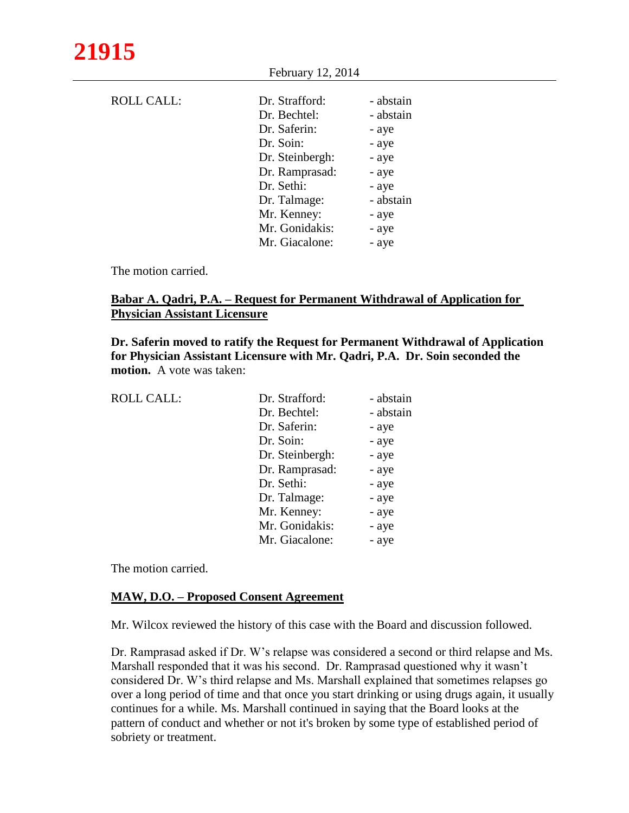|                   | $F$ eoruary 12, 2014 |           |  |
|-------------------|----------------------|-----------|--|
|                   |                      |           |  |
| <b>ROLL CALL:</b> | Dr. Strafford:       | - abstain |  |
|                   | Dr. Bechtel:         | - abstain |  |
|                   | Dr. Saferin:         | - aye     |  |
|                   | Dr. Soin:            | - aye     |  |
|                   | Dr. Steinbergh:      | - aye     |  |
|                   | Dr. Ramprasad:       | - aye     |  |
|                   | Dr. Sethi:           | - aye     |  |
|                   | Dr. Talmage:         | - abstain |  |
|                   | Mr. Kenney:          | - aye     |  |
|                   | Mr. Gonidakis:       | - aye     |  |
|                   | Mr. Giacalone:       | - aye     |  |
|                   |                      |           |  |

 $F1 = 12, 2014$ 

The motion carried.

## **Babar A. Qadri, P.A. – Request for Permanent Withdrawal of Application for Physician Assistant Licensure**

**Dr. Saferin moved to ratify the Request for Permanent Withdrawal of Application for Physician Assistant Licensure with Mr. Qadri, P.A. Dr. Soin seconded the motion.** A vote was taken:

| <b>ROLL CALL:</b> | Dr. Strafford:  | - abstain |
|-------------------|-----------------|-----------|
|                   | Dr. Bechtel:    | - abstain |
|                   | Dr. Saferin:    | - aye     |
|                   | Dr. Soin:       | - aye     |
|                   | Dr. Steinbergh: | - aye     |
|                   | Dr. Ramprasad:  | - aye     |
|                   | Dr. Sethi:      | - aye     |
|                   | Dr. Talmage:    | - aye     |
|                   | Mr. Kenney:     | - aye     |
|                   | Mr. Gonidakis:  | - aye     |
|                   | Mr. Giacalone:  | - aye     |
|                   |                 |           |

The motion carried.

## **MAW, D.O. – Proposed Consent Agreement**

Mr. Wilcox reviewed the history of this case with the Board and discussion followed.

Dr. Ramprasad asked if Dr. W's relapse was considered a second or third relapse and Ms. Marshall responded that it was his second. Dr. Ramprasad questioned why it wasn't considered Dr. W's third relapse and Ms. Marshall explained that sometimes relapses go over a long period of time and that once you start drinking or using drugs again, it usually continues for a while. Ms. Marshall continued in saying that the Board looks at the pattern of conduct and whether or not it's broken by some type of established period of sobriety or treatment.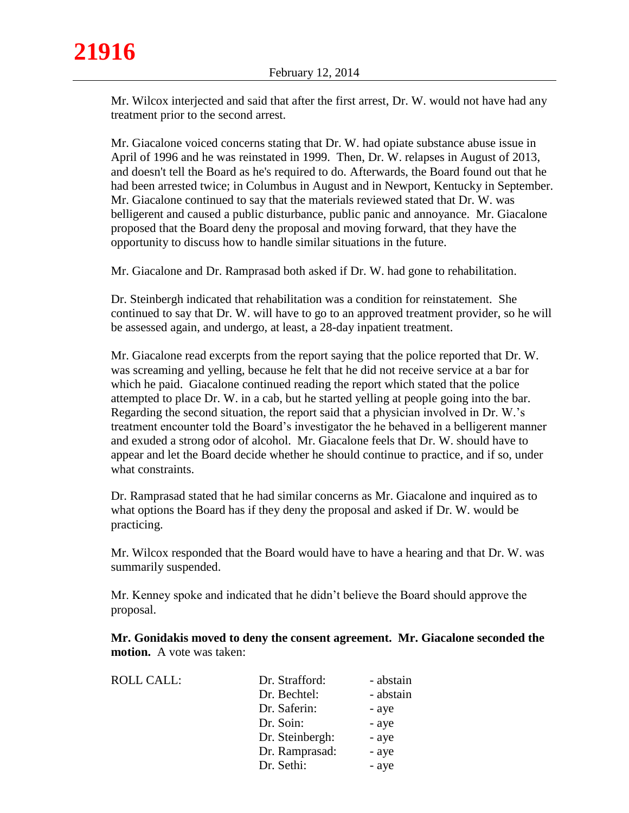Mr. Wilcox interjected and said that after the first arrest, Dr. W. would not have had any treatment prior to the second arrest.

Mr. Giacalone voiced concerns stating that Dr. W. had opiate substance abuse issue in April of 1996 and he was reinstated in 1999. Then, Dr. W. relapses in August of 2013, and doesn't tell the Board as he's required to do. Afterwards, the Board found out that he had been arrested twice; in Columbus in August and in Newport, Kentucky in September. Mr. Giacalone continued to say that the materials reviewed stated that Dr. W. was belligerent and caused a public disturbance, public panic and annoyance. Mr. Giacalone proposed that the Board deny the proposal and moving forward, that they have the opportunity to discuss how to handle similar situations in the future.

Mr. Giacalone and Dr. Ramprasad both asked if Dr. W. had gone to rehabilitation.

Dr. Steinbergh indicated that rehabilitation was a condition for reinstatement. She continued to say that Dr. W. will have to go to an approved treatment provider, so he will be assessed again, and undergo, at least, a 28-day inpatient treatment.

Mr. Giacalone read excerpts from the report saying that the police reported that Dr. W. was screaming and yelling, because he felt that he did not receive service at a bar for which he paid. Giacalone continued reading the report which stated that the police attempted to place Dr. W. in a cab, but he started yelling at people going into the bar. Regarding the second situation, the report said that a physician involved in Dr. W.'s treatment encounter told the Board's investigator the he behaved in a belligerent manner and exuded a strong odor of alcohol. Mr. Giacalone feels that Dr. W. should have to appear and let the Board decide whether he should continue to practice, and if so, under what constraints.

Dr. Ramprasad stated that he had similar concerns as Mr. Giacalone and inquired as to what options the Board has if they deny the proposal and asked if Dr. W. would be practicing.

Mr. Wilcox responded that the Board would have to have a hearing and that Dr. W. was summarily suspended.

Mr. Kenney spoke and indicated that he didn't believe the Board should approve the proposal.

**Mr. Gonidakis moved to deny the consent agreement. Mr. Giacalone seconded the motion.** A vote was taken:

| <b>ROLL CALL:</b> | Dr. Strafford:  | - abstain |
|-------------------|-----------------|-----------|
|                   | Dr. Bechtel:    | - abstain |
|                   | Dr. Saferin:    | - aye     |
|                   | Dr. Soin:       | - aye     |
|                   | Dr. Steinbergh: | - aye     |
|                   | Dr. Ramprasad:  | - aye     |
|                   | Dr. Sethi:      | - aye     |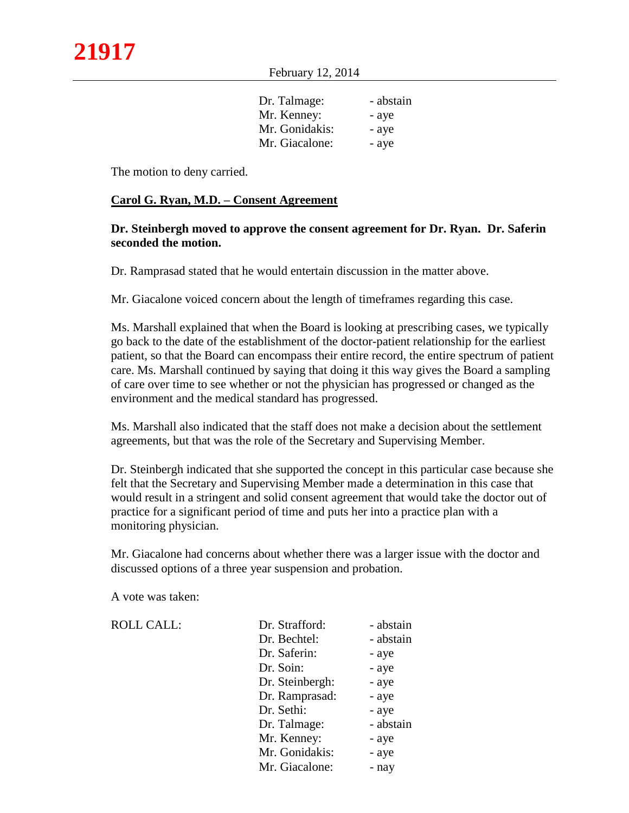February 12, 2014

| Dr. Talmage:   | - abstain |
|----------------|-----------|
| Mr. Kenney:    | - ave     |
| Mr. Gonidakis: | - aye     |
| Mr. Giacalone: | - aye     |
|                |           |

The motion to deny carried.

#### **Carol G. Ryan, M.D. – Consent Agreement**

## **Dr. Steinbergh moved to approve the consent agreement for Dr. Ryan. Dr. Saferin seconded the motion.**

Dr. Ramprasad stated that he would entertain discussion in the matter above.

Mr. Giacalone voiced concern about the length of timeframes regarding this case.

Ms. Marshall explained that when the Board is looking at prescribing cases, we typically go back to the date of the establishment of the doctor-patient relationship for the earliest patient, so that the Board can encompass their entire record, the entire spectrum of patient care. Ms. Marshall continued by saying that doing it this way gives the Board a sampling of care over time to see whether or not the physician has progressed or changed as the environment and the medical standard has progressed.

Ms. Marshall also indicated that the staff does not make a decision about the settlement agreements, but that was the role of the Secretary and Supervising Member.

Dr. Steinbergh indicated that she supported the concept in this particular case because she felt that the Secretary and Supervising Member made a determination in this case that would result in a stringent and solid consent agreement that would take the doctor out of practice for a significant period of time and puts her into a practice plan with a monitoring physician.

Mr. Giacalone had concerns about whether there was a larger issue with the doctor and discussed options of a three year suspension and probation.

A vote was taken:

| <b>ROLL CALL:</b> | Dr. Strafford:  | - abstain |
|-------------------|-----------------|-----------|
|                   | Dr. Bechtel:    | - abstain |
|                   | Dr. Saferin:    | - aye     |
|                   | Dr. Soin:       | - aye     |
|                   | Dr. Steinbergh: | - aye     |
|                   | Dr. Ramprasad:  | - aye     |
|                   | Dr. Sethi:      | - aye     |
|                   | Dr. Talmage:    | - abstain |
|                   | Mr. Kenney:     | - aye     |
|                   | Mr. Gonidakis:  | - aye     |
|                   | Mr. Giacalone:  | - nay     |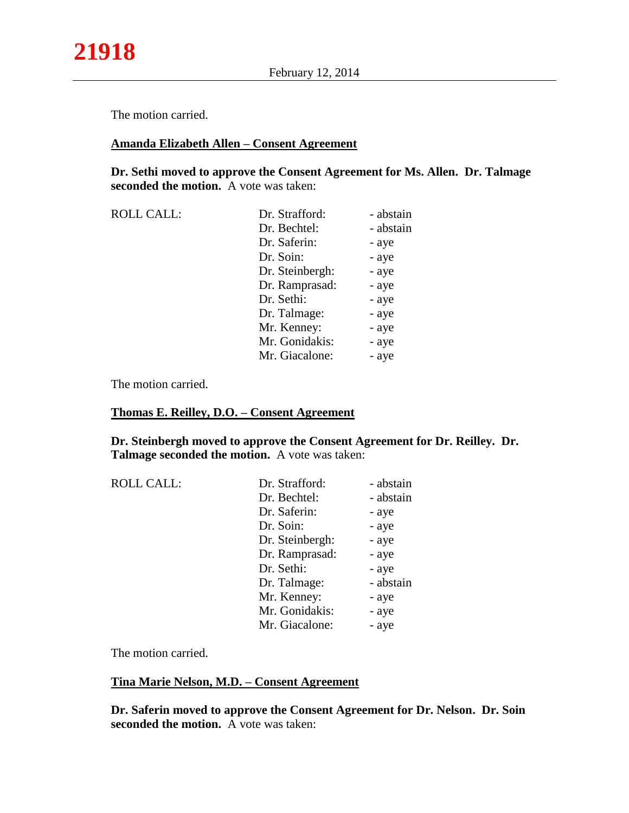The motion carried.

## **Amanda Elizabeth Allen – Consent Agreement**

**Dr. Sethi moved to approve the Consent Agreement for Ms. Allen. Dr. Talmage seconded the motion.** A vote was taken:

| <b>ROLL CALL:</b> | Dr. Strafford:  | - abstain |
|-------------------|-----------------|-----------|
|                   | Dr. Bechtel:    | - abstain |
|                   | Dr. Saferin:    | - aye     |
|                   | Dr. Soin:       | - aye     |
|                   | Dr. Steinbergh: | - aye     |
|                   | Dr. Ramprasad:  | - aye     |
|                   | Dr. Sethi:      | - aye     |
|                   | Dr. Talmage:    | - aye     |
|                   | Mr. Kenney:     | - aye     |
|                   | Mr. Gonidakis:  | - aye     |
|                   | Mr. Giacalone:  | - aye     |

The motion carried.

#### **Thomas E. Reilley, D.O. – Consent Agreement**

**Dr. Steinbergh moved to approve the Consent Agreement for Dr. Reilley. Dr. Talmage seconded the motion.** A vote was taken:

| <b>ROLL CALL:</b> | Dr. Strafford:  | - abstain |
|-------------------|-----------------|-----------|
|                   | Dr. Bechtel:    | - abstain |
|                   | Dr. Saferin:    | - aye     |
|                   | Dr. Soin:       | - aye     |
|                   | Dr. Steinbergh: | - aye     |
|                   | Dr. Ramprasad:  | - aye     |
|                   | Dr. Sethi:      | - aye     |
|                   | Dr. Talmage:    | - abstain |
|                   | Mr. Kenney:     | - aye     |
|                   | Mr. Gonidakis:  | - aye     |
|                   | Mr. Giacalone:  | - aye     |

The motion carried.

#### **Tina Marie Nelson, M.D. – Consent Agreement**

**Dr. Saferin moved to approve the Consent Agreement for Dr. Nelson. Dr. Soin seconded the motion.** A vote was taken: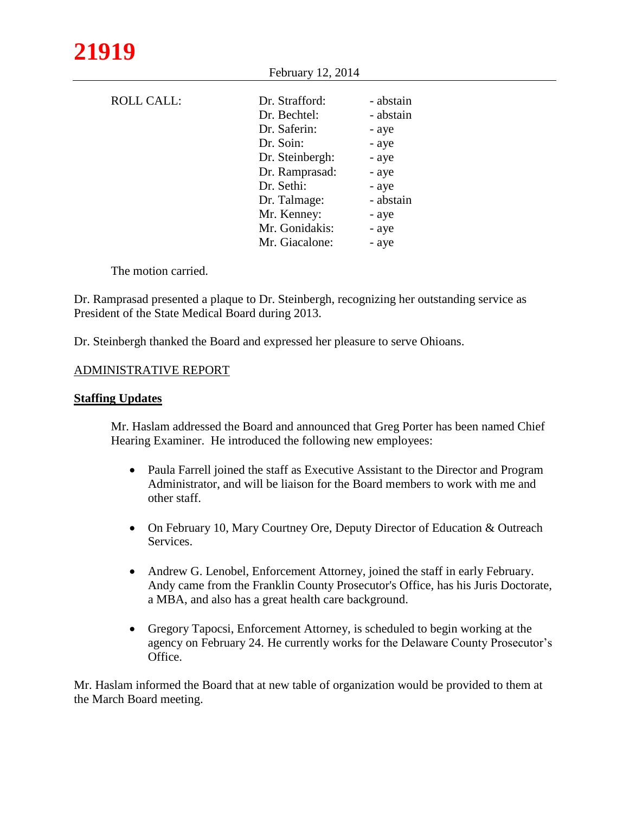| <b>ROLL CALL:</b> | Dr. Strafford:  | - abstain |
|-------------------|-----------------|-----------|
|                   | Dr. Bechtel:    | - abstain |
|                   | Dr. Saferin:    | - aye     |
|                   | Dr. Soin:       | - aye     |
|                   | Dr. Steinbergh: | - aye     |
|                   | Dr. Ramprasad:  | - aye     |
|                   | Dr. Sethi:      | - aye     |
|                   | Dr. Talmage:    | - abstain |
|                   | Mr. Kenney:     | - aye     |
|                   | Mr. Gonidakis:  | - aye     |
|                   | Mr. Giacalone:  | - aye     |

February 12, 2014

The motion carried.

Dr. Ramprasad presented a plaque to Dr. Steinbergh, recognizing her outstanding service as President of the State Medical Board during 2013.

Dr. Steinbergh thanked the Board and expressed her pleasure to serve Ohioans.

#### ADMINISTRATIVE REPORT

#### **Staffing Updates**

Mr. Haslam addressed the Board and announced that Greg Porter has been named Chief Hearing Examiner. He introduced the following new employees:

- Paula Farrell joined the staff as Executive Assistant to the Director and Program Administrator, and will be liaison for the Board members to work with me and other staff.
- On February 10, Mary Courtney Ore, Deputy Director of Education & Outreach Services.
- Andrew G. Lenobel, Enforcement Attorney, joined the staff in early February. Andy came from the Franklin County Prosecutor's Office, has his Juris Doctorate, a MBA, and also has a great health care background.
- Gregory Tapocsi, Enforcement Attorney, is scheduled to begin working at the agency on February 24. He currently works for the Delaware County Prosecutor's Office.

Mr. Haslam informed the Board that at new table of organization would be provided to them at the March Board meeting.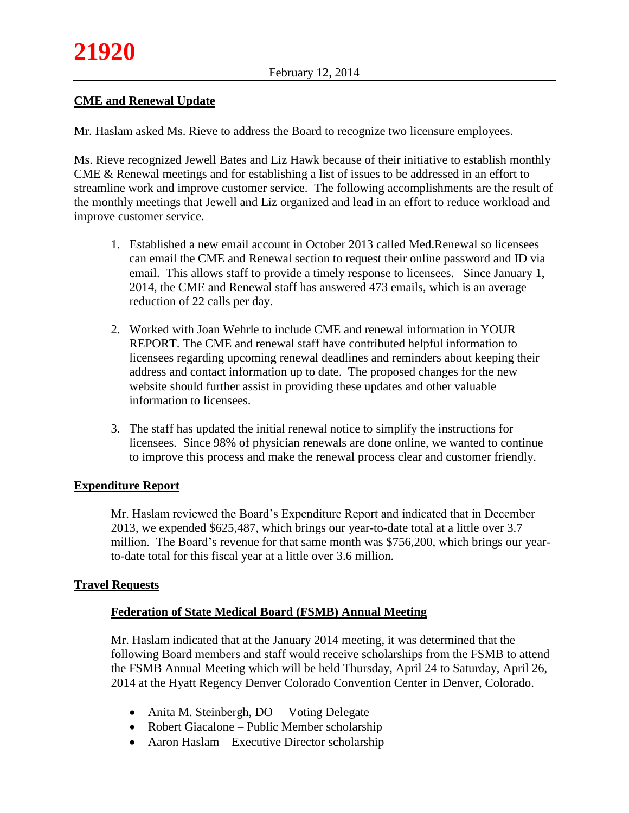# **CME and Renewal Update**

Mr. Haslam asked Ms. Rieve to address the Board to recognize two licensure employees.

Ms. Rieve recognized Jewell Bates and Liz Hawk because of their initiative to establish monthly CME & Renewal meetings and for establishing a list of issues to be addressed in an effort to streamline work and improve customer service. The following accomplishments are the result of the monthly meetings that Jewell and Liz organized and lead in an effort to reduce workload and improve customer service.

- 1. Established a new email account in October 2013 called Med.Renewal so licensees can email the CME and Renewal section to request their online password and ID via email. This allows staff to provide a timely response to licensees. Since January 1, 2014, the CME and Renewal staff has answered 473 emails, which is an average reduction of 22 calls per day.
- 2. Worked with Joan Wehrle to include CME and renewal information in YOUR REPORT. The CME and renewal staff have contributed helpful information to licensees regarding upcoming renewal deadlines and reminders about keeping their address and contact information up to date. The proposed changes for the new website should further assist in providing these updates and other valuable information to licensees.
- 3. The staff has updated the initial renewal notice to simplify the instructions for licensees. Since 98% of physician renewals are done online, we wanted to continue to improve this process and make the renewal process clear and customer friendly.

## **Expenditure Report**

Mr. Haslam reviewed the Board's Expenditure Report and indicated that in December 2013, we expended \$625,487, which brings our year-to-date total at a little over 3.7 million. The Board's revenue for that same month was \$756,200, which brings our yearto-date total for this fiscal year at a little over 3.6 million.

## **Travel Requests**

## **Federation of State Medical Board (FSMB) Annual Meeting**

Mr. Haslam indicated that at the January 2014 meeting, it was determined that the following Board members and staff would receive scholarships from the FSMB to attend the FSMB Annual Meeting which will be held Thursday, April 24 to Saturday, April 26, 2014 at the Hyatt Regency Denver Colorado Convention Center in Denver, Colorado.

- Anita M. Steinbergh, DO Voting Delegate
- Robert Giacalone Public Member scholarship
- Aaron Haslam Executive Director scholarship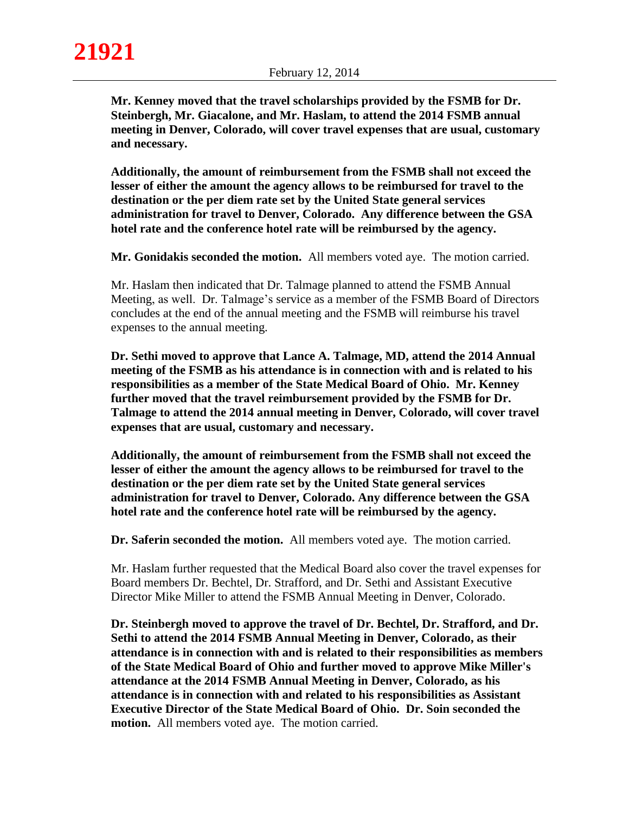**Mr. Kenney moved that the travel scholarships provided by the FSMB for Dr. Steinbergh, Mr. Giacalone, and Mr. Haslam, to attend the 2014 FSMB annual meeting in Denver, Colorado, will cover travel expenses that are usual, customary and necessary.**

**Additionally, the amount of reimbursement from the FSMB shall not exceed the lesser of either the amount the agency allows to be reimbursed for travel to the destination or the per diem rate set by the United State general services administration for travel to Denver, Colorado. Any difference between the GSA hotel rate and the conference hotel rate will be reimbursed by the agency.** 

**Mr. Gonidakis seconded the motion.** All members voted aye. The motion carried.

Mr. Haslam then indicated that Dr. Talmage planned to attend the FSMB Annual Meeting, as well. Dr. Talmage's service as a member of the FSMB Board of Directors concludes at the end of the annual meeting and the FSMB will reimburse his travel expenses to the annual meeting.

**Dr. Sethi moved to approve that Lance A. Talmage, MD, attend the 2014 Annual meeting of the FSMB as his attendance is in connection with and is related to his responsibilities as a member of the State Medical Board of Ohio. Mr. Kenney further moved that the travel reimbursement provided by the FSMB for Dr. Talmage to attend the 2014 annual meeting in Denver, Colorado, will cover travel expenses that are usual, customary and necessary.**

**Additionally, the amount of reimbursement from the FSMB shall not exceed the lesser of either the amount the agency allows to be reimbursed for travel to the destination or the per diem rate set by the United State general services administration for travel to Denver, Colorado. Any difference between the GSA hotel rate and the conference hotel rate will be reimbursed by the agency.** 

**Dr. Saferin seconded the motion.** All members voted aye. The motion carried.

Mr. Haslam further requested that the Medical Board also cover the travel expenses for Board members Dr. Bechtel, Dr. Strafford, and Dr. Sethi and Assistant Executive Director Mike Miller to attend the FSMB Annual Meeting in Denver, Colorado.

**Dr. Steinbergh moved to approve the travel of Dr. Bechtel, Dr. Strafford, and Dr. Sethi to attend the 2014 FSMB Annual Meeting in Denver, Colorado, as their attendance is in connection with and is related to their responsibilities as members of the State Medical Board of Ohio and further moved to approve Mike Miller's attendance at the 2014 FSMB Annual Meeting in Denver, Colorado, as his attendance is in connection with and related to his responsibilities as Assistant Executive Director of the State Medical Board of Ohio. Dr. Soin seconded the motion.** All members voted aye. The motion carried.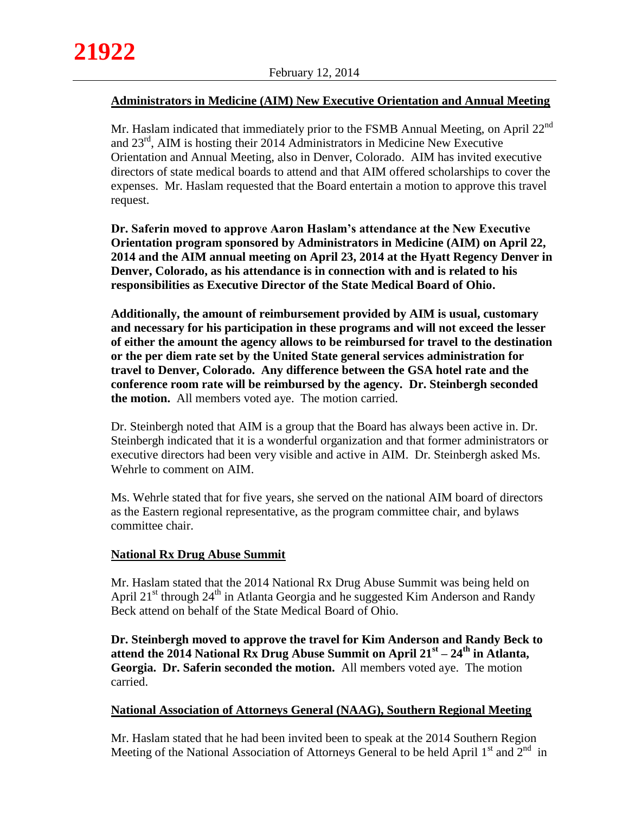## **Administrators in Medicine (AIM) New Executive Orientation and Annual Meeting**

Mr. Haslam indicated that immediately prior to the FSMB Annual Meeting, on April  $22^{nd}$ and 23rd , AIM is hosting their 2014 Administrators in Medicine New Executive Orientation and Annual Meeting, also in Denver, Colorado. AIM has invited executive directors of state medical boards to attend and that AIM offered scholarships to cover the expenses. Mr. Haslam requested that the Board entertain a motion to approve this travel request.

**Dr. Saferin moved to approve Aaron Haslam's attendance at the New Executive Orientation program sponsored by Administrators in Medicine (AIM) on April 22, 2014 and the AIM annual meeting on April 23, 2014 at the Hyatt Regency Denver in Denver, Colorado, as his attendance is in connection with and is related to his responsibilities as Executive Director of the State Medical Board of Ohio.** 

**Additionally, the amount of reimbursement provided by AIM is usual, customary and necessary for his participation in these programs and will not exceed the lesser of either the amount the agency allows to be reimbursed for travel to the destination or the per diem rate set by the United State general services administration for travel to Denver, Colorado. Any difference between the GSA hotel rate and the conference room rate will be reimbursed by the agency. Dr. Steinbergh seconded the motion.** All members voted aye. The motion carried.

Dr. Steinbergh noted that AIM is a group that the Board has always been active in. Dr. Steinbergh indicated that it is a wonderful organization and that former administrators or executive directors had been very visible and active in AIM. Dr. Steinbergh asked Ms. Wehrle to comment on AIM.

Ms. Wehrle stated that for five years, she served on the national AIM board of directors as the Eastern regional representative, as the program committee chair, and bylaws committee chair.

## **National Rx Drug Abuse Summit**

Mr. Haslam stated that the 2014 National Rx Drug Abuse Summit was being held on April  $21<sup>st</sup>$  through  $24<sup>th</sup>$  in Atlanta Georgia and he suggested Kim Anderson and Randy Beck attend on behalf of the State Medical Board of Ohio.

**Dr. Steinbergh moved to approve the travel for Kim Anderson and Randy Beck to attend the 2014 National Rx Drug Abuse Summit on April 21st – 24th in Atlanta, Georgia. Dr. Saferin seconded the motion.** All members voted aye. The motion carried.

## **National Association of Attorneys General (NAAG), Southern Regional Meeting**

Mr. Haslam stated that he had been invited been to speak at the 2014 Southern Region Meeting of the National Association of Attorneys General to be held April  $1<sup>st</sup>$  and  $2<sup>nd</sup>$  in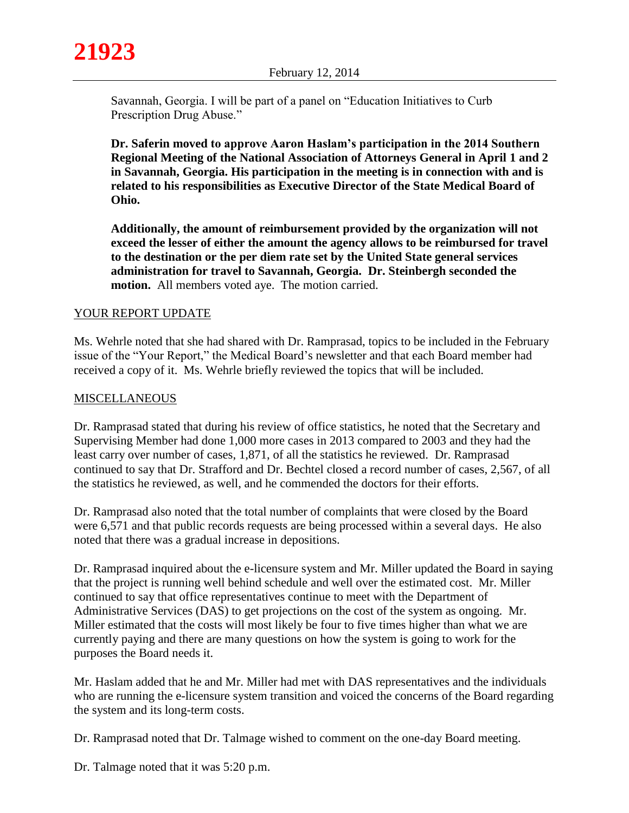

Savannah, Georgia. I will be part of a panel on "Education Initiatives to Curb Prescription Drug Abuse."

**Dr. Saferin moved to approve Aaron Haslam's participation in the 2014 Southern Regional Meeting of the National Association of Attorneys General in April 1 and 2 in Savannah, Georgia. His participation in the meeting is in connection with and is related to his responsibilities as Executive Director of the State Medical Board of Ohio.** 

**Additionally, the amount of reimbursement provided by the organization will not exceed the lesser of either the amount the agency allows to be reimbursed for travel to the destination or the per diem rate set by the United State general services administration for travel to Savannah, Georgia. Dr. Steinbergh seconded the motion.** All members voted aye. The motion carried.

## YOUR REPORT UPDATE

Ms. Wehrle noted that she had shared with Dr. Ramprasad, topics to be included in the February issue of the "Your Report," the Medical Board's newsletter and that each Board member had received a copy of it. Ms. Wehrle briefly reviewed the topics that will be included.

## **MISCELLANEOUS**

Dr. Ramprasad stated that during his review of office statistics, he noted that the Secretary and Supervising Member had done 1,000 more cases in 2013 compared to 2003 and they had the least carry over number of cases, 1,871, of all the statistics he reviewed. Dr. Ramprasad continued to say that Dr. Strafford and Dr. Bechtel closed a record number of cases, 2,567, of all the statistics he reviewed, as well, and he commended the doctors for their efforts.

Dr. Ramprasad also noted that the total number of complaints that were closed by the Board were 6,571 and that public records requests are being processed within a several days. He also noted that there was a gradual increase in depositions.

Dr. Ramprasad inquired about the e-licensure system and Mr. Miller updated the Board in saying that the project is running well behind schedule and well over the estimated cost. Mr. Miller continued to say that office representatives continue to meet with the Department of Administrative Services (DAS) to get projections on the cost of the system as ongoing. Mr. Miller estimated that the costs will most likely be four to five times higher than what we are currently paying and there are many questions on how the system is going to work for the purposes the Board needs it.

Mr. Haslam added that he and Mr. Miller had met with DAS representatives and the individuals who are running the e-licensure system transition and voiced the concerns of the Board regarding the system and its long-term costs.

Dr. Ramprasad noted that Dr. Talmage wished to comment on the one-day Board meeting.

Dr. Talmage noted that it was 5:20 p.m.